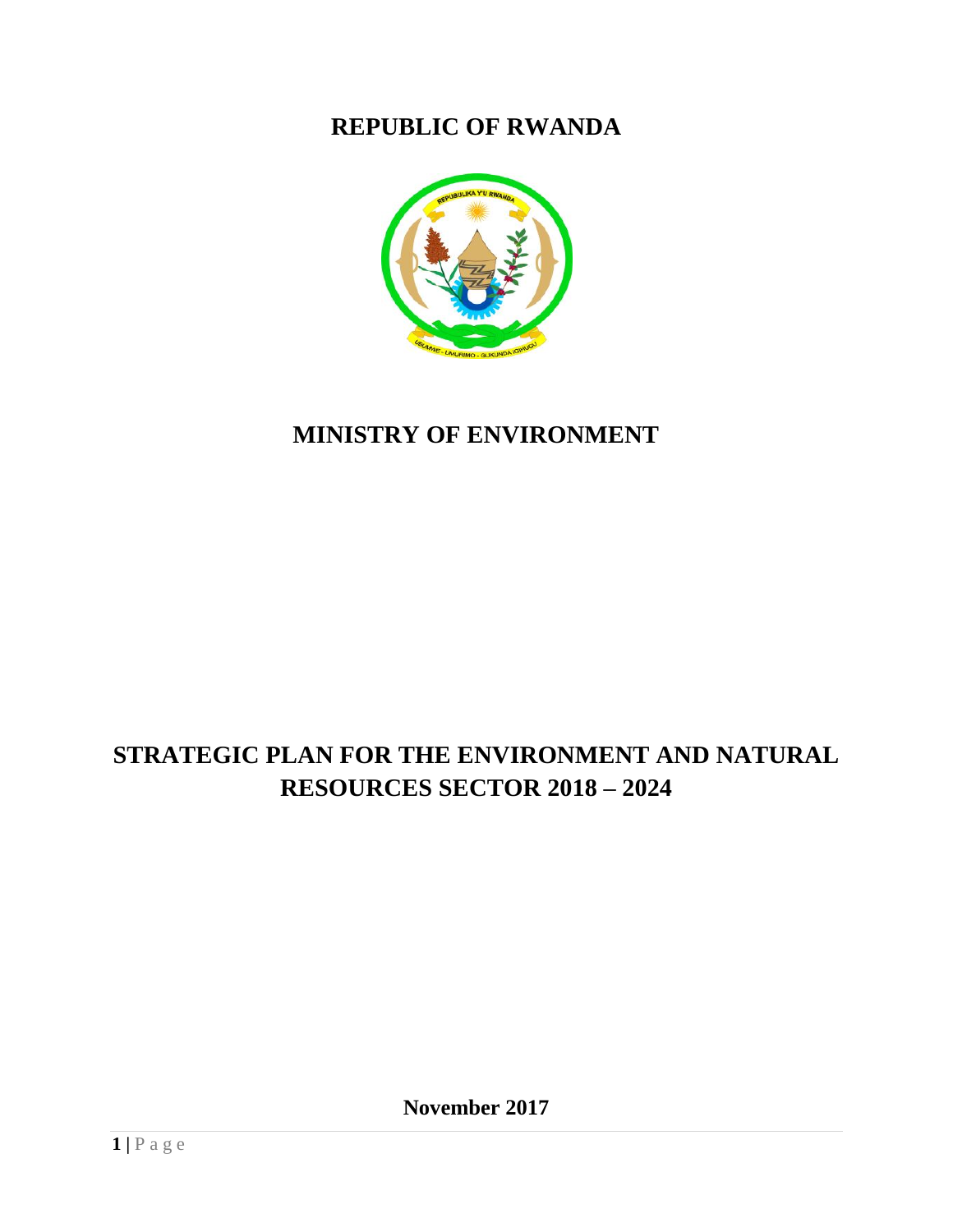### **REPUBLIC OF RWANDA**



## **MINISTRY OF ENVIRONMENT**

# **STRATEGIC PLAN FOR THE ENVIRONMENT AND NATURAL RESOURCES SECTOR 2018 – 2024**

**November 2017**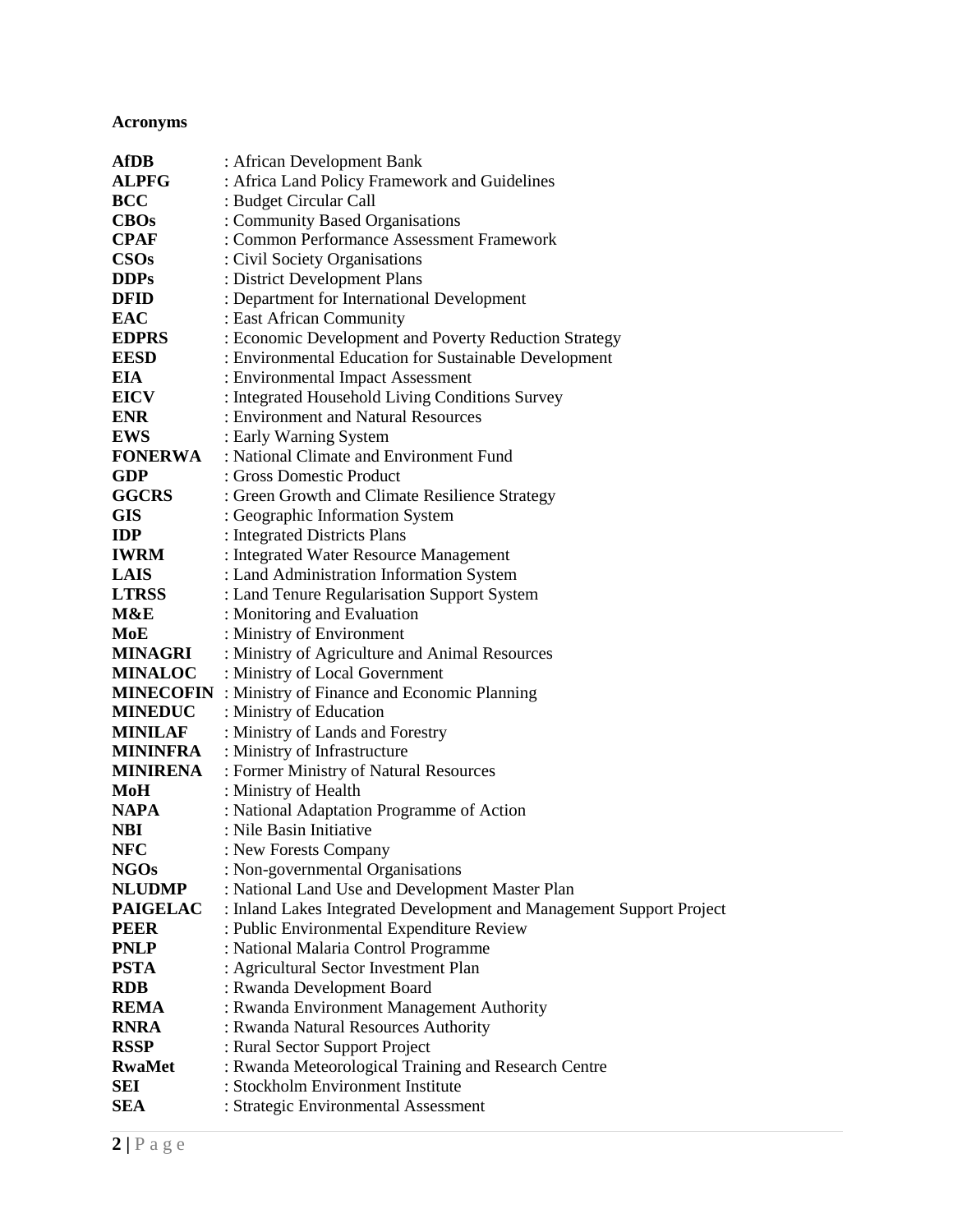### <span id="page-1-0"></span>**Acronyms**

| <b>AfDB</b>      | : African Development Bank                                           |
|------------------|----------------------------------------------------------------------|
| ALPFG            | : Africa Land Policy Framework and Guidelines                        |
| <b>BCC</b>       | : Budget Circular Call                                               |
| <b>CBOs</b>      | : Community Based Organisations                                      |
| <b>CPAF</b>      | : Common Performance Assessment Framework                            |
| CSOs             | : Civil Society Organisations                                        |
| <b>DDPs</b>      | : District Development Plans                                         |
| <b>DFID</b>      | : Department for International Development                           |
| <b>EAC</b>       | : East African Community                                             |
| <b>EDPRS</b>     | : Economic Development and Poverty Reduction Strategy                |
| <b>EESD</b>      | : Environmental Education for Sustainable Development                |
| EIA              | : Environmental Impact Assessment                                    |
| <b>EICV</b>      | : Integrated Household Living Conditions Survey                      |
| <b>ENR</b>       | : Environment and Natural Resources                                  |
| <b>EWS</b>       | : Early Warning System                                               |
| <b>FONERWA</b>   | : National Climate and Environment Fund                              |
| <b>GDP</b>       | : Gross Domestic Product                                             |
| <b>GGCRS</b>     | : Green Growth and Climate Resilience Strategy                       |
| <b>GIS</b>       | : Geographic Information System                                      |
| <b>IDP</b>       | : Integrated Districts Plans                                         |
| <b>IWRM</b>      | : Integrated Water Resource Management                               |
| <b>LAIS</b>      | : Land Administration Information System                             |
| <b>LTRSS</b>     | : Land Tenure Regularisation Support System                          |
| M&E              | : Monitoring and Evaluation                                          |
| MoE              | : Ministry of Environment                                            |
| MINAGRI          | : Ministry of Agriculture and Animal Resources                       |
| <b>MINALOC</b>   | : Ministry of Local Government                                       |
| <b>MINECOFIN</b> | : Ministry of Finance and Economic Planning                          |
| <b>MINEDUC</b>   | : Ministry of Education                                              |
| <b>MINILAF</b>   | : Ministry of Lands and Forestry                                     |
| <b>MININFRA</b>  | : Ministry of Infrastructure                                         |
| <b>MINIRENA</b>  | : Former Ministry of Natural Resources                               |
| MoH              | : Ministry of Health                                                 |
| <b>NAPA</b>      | : National Adaptation Programme of Action                            |
| <b>NBI</b>       | : Nile Basin Initiative                                              |
| <b>NFC</b>       | : New Forests Company                                                |
| <b>NGOs</b>      | : Non-governmental Organisations                                     |
| <b>NLUDMP</b>    | : National Land Use and Development Master Plan                      |
| <b>PAIGELAC</b>  | : Inland Lakes Integrated Development and Management Support Project |
| <b>PEER</b>      | : Public Environmental Expenditure Review                            |
| <b>PNLP</b>      | : National Malaria Control Programme                                 |
| <b>PSTA</b>      | : Agricultural Sector Investment Plan                                |
| <b>RDB</b>       | : Rwanda Development Board                                           |
| <b>REMA</b>      | : Rwanda Environment Management Authority                            |
| <b>RNRA</b>      | : Rwanda Natural Resources Authority                                 |
| <b>RSSP</b>      | : Rural Sector Support Project                                       |
| <b>RwaMet</b>    | : Rwanda Meteorological Training and Research Centre                 |
| SEI              | : Stockholm Environment Institute                                    |
| <b>SEA</b>       | : Strategic Environmental Assessment                                 |
|                  |                                                                      |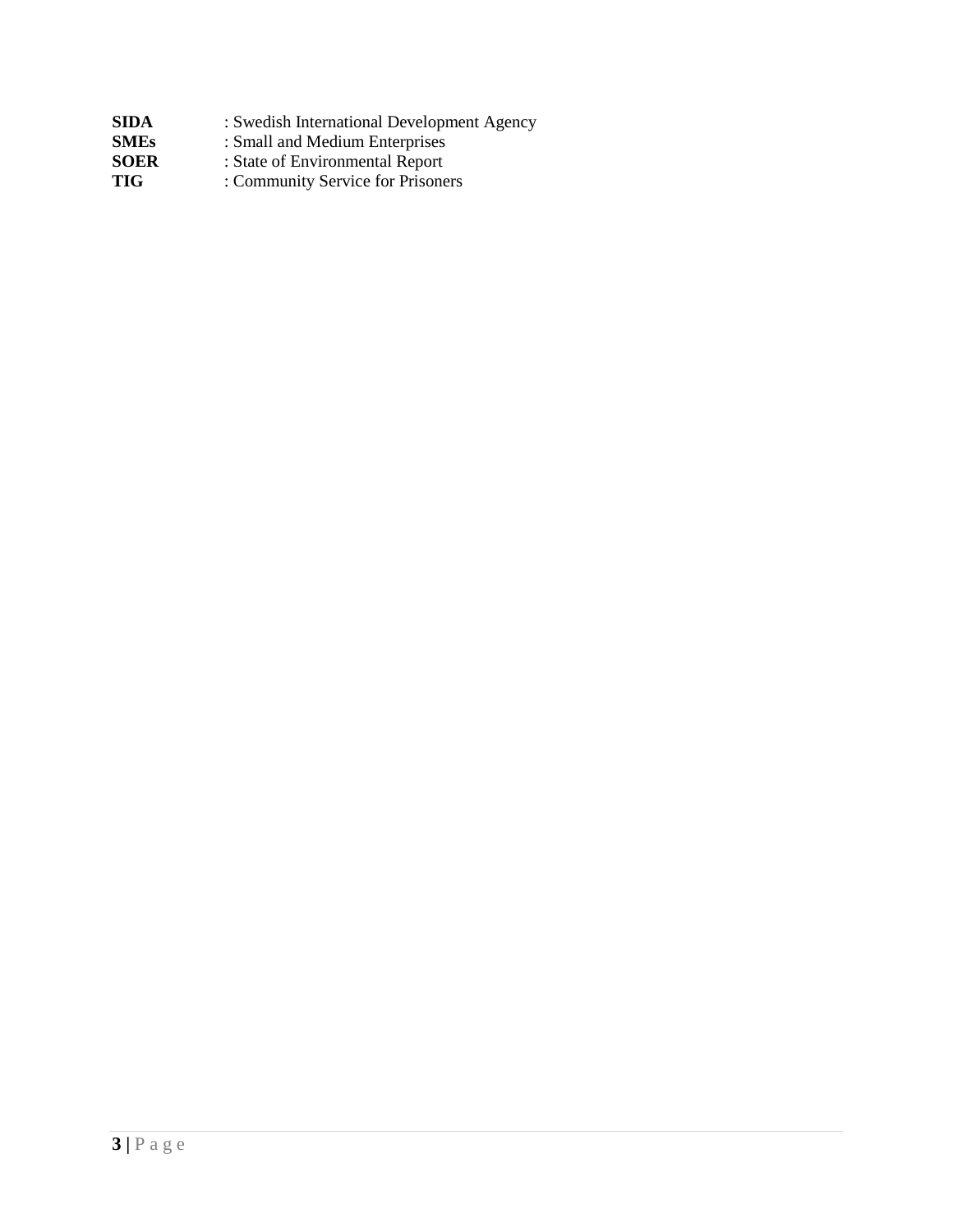| SIDA        | : Swedish International Development Agency |
|-------------|--------------------------------------------|
| <b>SMEs</b> | : Small and Medium Enterprises             |
| SOER        | : State of Environmental Report            |
| TIG         | : Community Service for Prisoners          |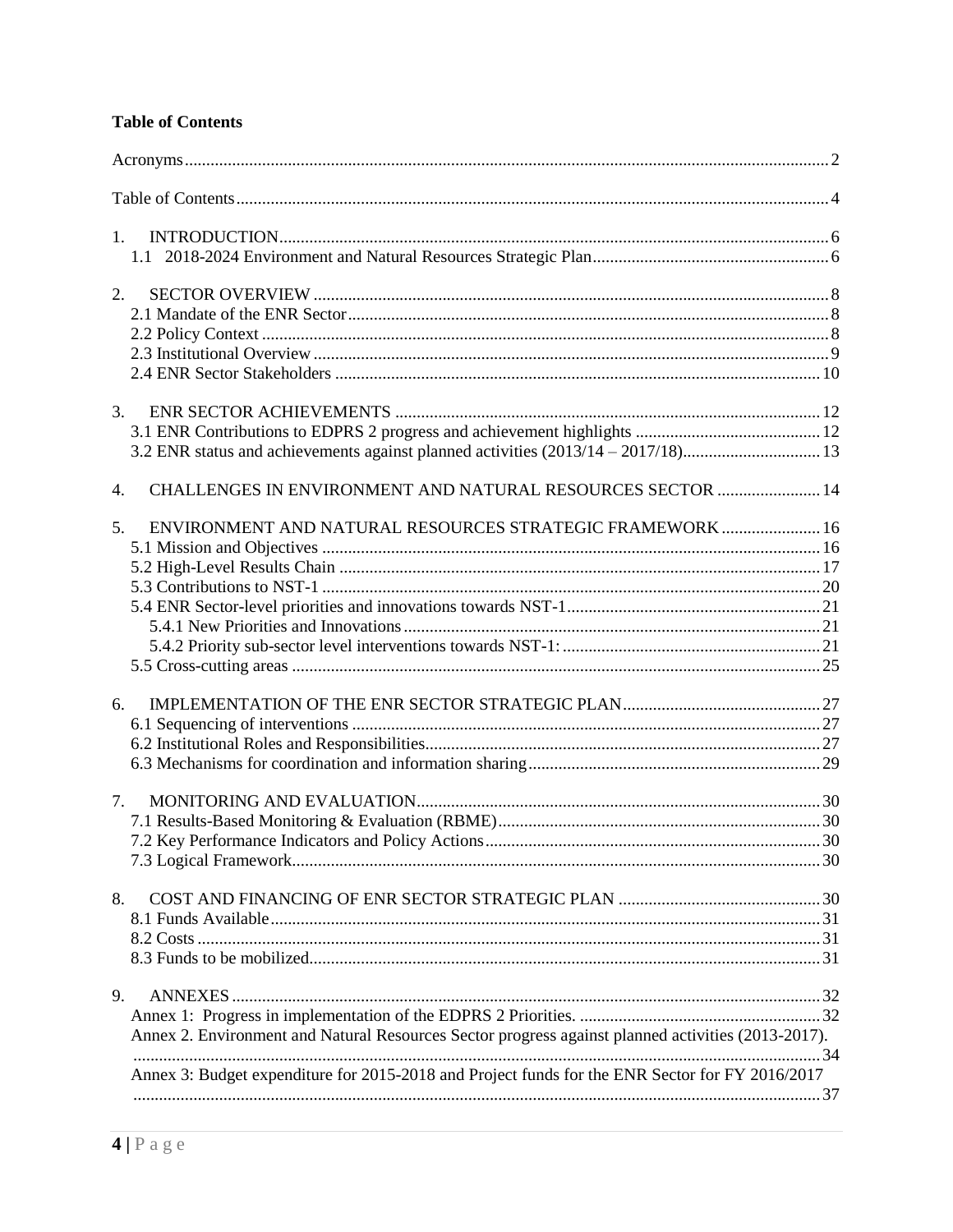#### <span id="page-3-0"></span>**Table of Contents**

| $1_{\cdot}$                                                                                        |  |
|----------------------------------------------------------------------------------------------------|--|
|                                                                                                    |  |
|                                                                                                    |  |
| 2.                                                                                                 |  |
|                                                                                                    |  |
|                                                                                                    |  |
|                                                                                                    |  |
| 3.                                                                                                 |  |
|                                                                                                    |  |
| 3.2 ENR status and achievements against planned activities (2013/14 - 2017/18)13                   |  |
| CHALLENGES IN ENVIRONMENT AND NATURAL RESOURCES SECTOR  14<br>4.                                   |  |
| ENVIRONMENT AND NATURAL RESOURCES STRATEGIC FRAMEWORK  16<br>5.                                    |  |
|                                                                                                    |  |
|                                                                                                    |  |
|                                                                                                    |  |
|                                                                                                    |  |
|                                                                                                    |  |
|                                                                                                    |  |
|                                                                                                    |  |
| 6.                                                                                                 |  |
|                                                                                                    |  |
|                                                                                                    |  |
|                                                                                                    |  |
| 7.                                                                                                 |  |
|                                                                                                    |  |
|                                                                                                    |  |
|                                                                                                    |  |
| 8.                                                                                                 |  |
|                                                                                                    |  |
|                                                                                                    |  |
|                                                                                                    |  |
| 9.                                                                                                 |  |
|                                                                                                    |  |
| Annex 2. Environment and Natural Resources Sector progress against planned activities (2013-2017). |  |
| Annex 3: Budget expenditure for 2015-2018 and Project funds for the ENR Sector for FY 2016/2017    |  |
|                                                                                                    |  |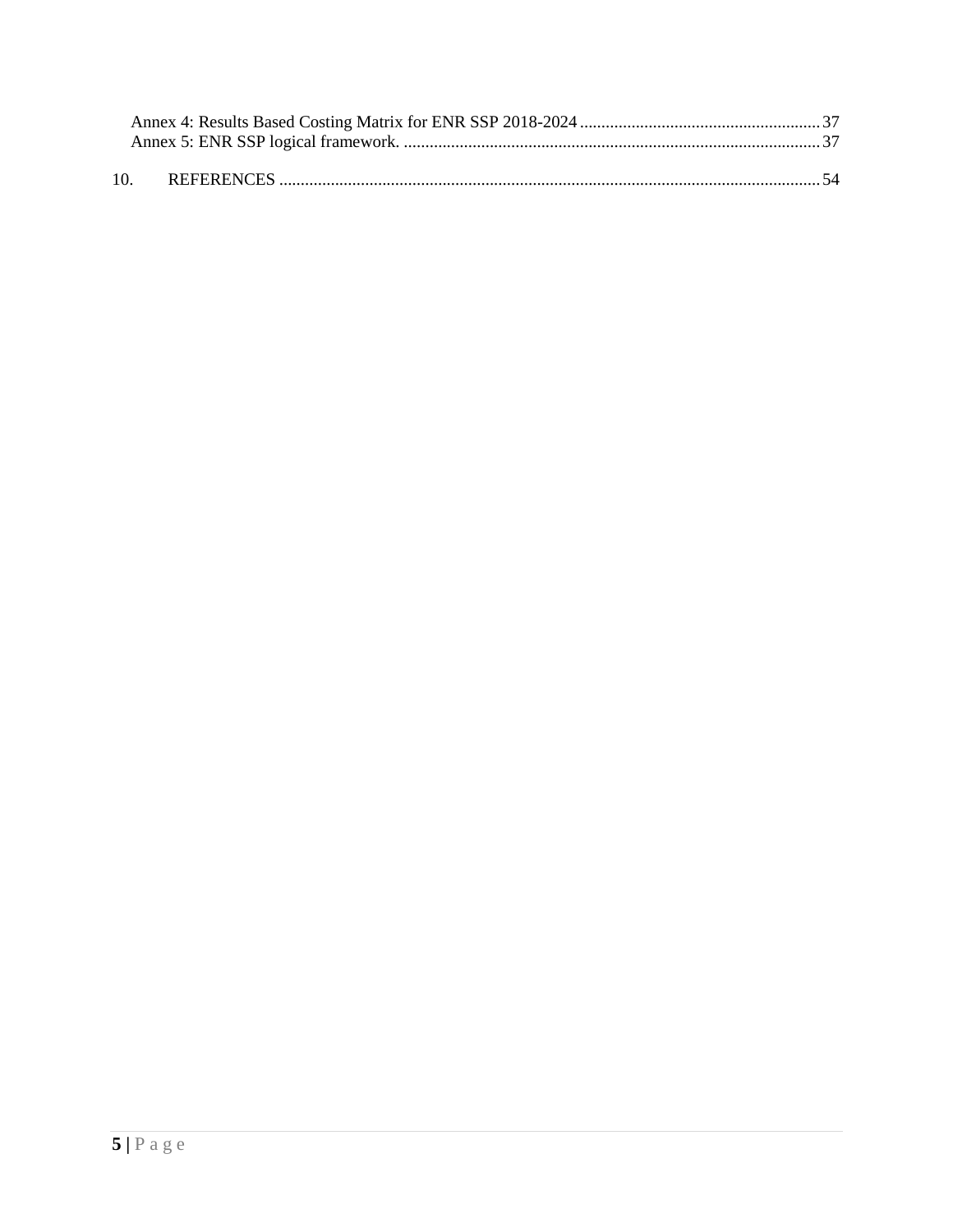| 10. |  |
|-----|--|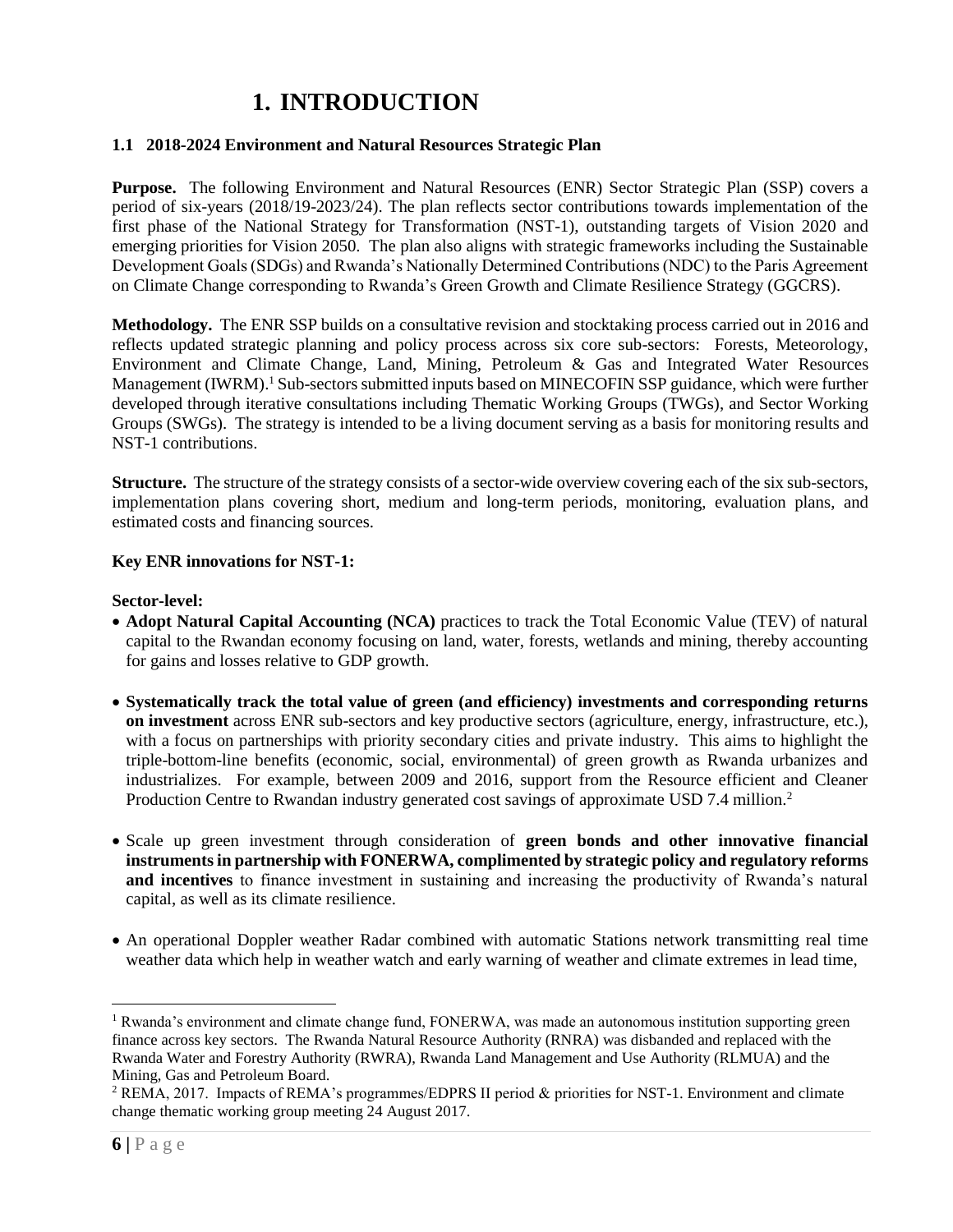### **1. INTRODUCTION**

#### <span id="page-5-1"></span><span id="page-5-0"></span>**1.1 2018-2024 Environment and Natural Resources Strategic Plan**

**Purpose.** The following Environment and Natural Resources (ENR) Sector Strategic Plan (SSP) covers a period of six-years (2018/19-2023/24). The plan reflects sector contributions towards implementation of the first phase of the National Strategy for Transformation (NST-1), outstanding targets of Vision 2020 and emerging priorities for Vision 2050. The plan also aligns with strategic frameworks including the Sustainable Development Goals (SDGs) and Rwanda's Nationally Determined Contributions (NDC) to the Paris Agreement on Climate Change corresponding to Rwanda's Green Growth and Climate Resilience Strategy (GGCRS).

**Methodology.** The ENR SSP builds on a consultative revision and stocktaking process carried out in 2016 and reflects updated strategic planning and policy process across six core sub-sectors: Forests, Meteorology, Environment and Climate Change, Land, Mining, Petroleum & Gas and Integrated Water Resources Management (IWRM).<sup>1</sup> Sub-sectors submitted inputs based on MINECOFIN SSP guidance, which were further developed through iterative consultations including Thematic Working Groups (TWGs), and Sector Working Groups (SWGs). The strategy is intended to be a living document serving as a basis for monitoring results and NST-1 contributions.

**Structure.** The structure of the strategy consists of a sector-wide overview covering each of the six sub-sectors, implementation plans covering short, medium and long-term periods, monitoring, evaluation plans, and estimated costs and financing sources.

#### **Key ENR innovations for NST-1:**

#### **Sector-level:**

- **Adopt Natural Capital Accounting (NCA)** practices to track the Total Economic Value (TEV) of natural capital to the Rwandan economy focusing on land, water, forests, wetlands and mining, thereby accounting for gains and losses relative to GDP growth.
- **Systematically track the total value of green (and efficiency) investments and corresponding returns on investment** across ENR sub-sectors and key productive sectors (agriculture, energy, infrastructure, etc.), with a focus on partnerships with priority secondary cities and private industry. This aims to highlight the triple-bottom-line benefits (economic, social, environmental) of green growth as Rwanda urbanizes and industrializes. For example, between 2009 and 2016, support from the Resource efficient and Cleaner Production Centre to Rwandan industry generated cost savings of approximate USD 7.4 million.<sup>2</sup>
- Scale up green investment through consideration of **green bonds and other innovative financial instruments in partnership with FONERWA, complimented by strategic policy and regulatory reforms and incentives** to finance investment in sustaining and increasing the productivity of Rwanda's natural capital, as well as its climate resilience.
- An operational Doppler weather Radar combined with automatic Stations network transmitting real time weather data which help in weather watch and early warning of weather and climate extremes in lead time,

<sup>&</sup>lt;sup>1</sup> Rwanda's environment and climate change fund, FONERWA, was made an autonomous institution supporting green finance across key sectors. The Rwanda Natural Resource Authority (RNRA) was disbanded and replaced with the Rwanda Water and Forestry Authority (RWRA), Rwanda Land Management and Use Authority (RLMUA) and the Mining, Gas and Petroleum Board.

<sup>2</sup> REMA, 2017. Impacts of REMA's programmes/EDPRS II period & priorities for NST-1. Environment and climate change thematic working group meeting 24 August 2017.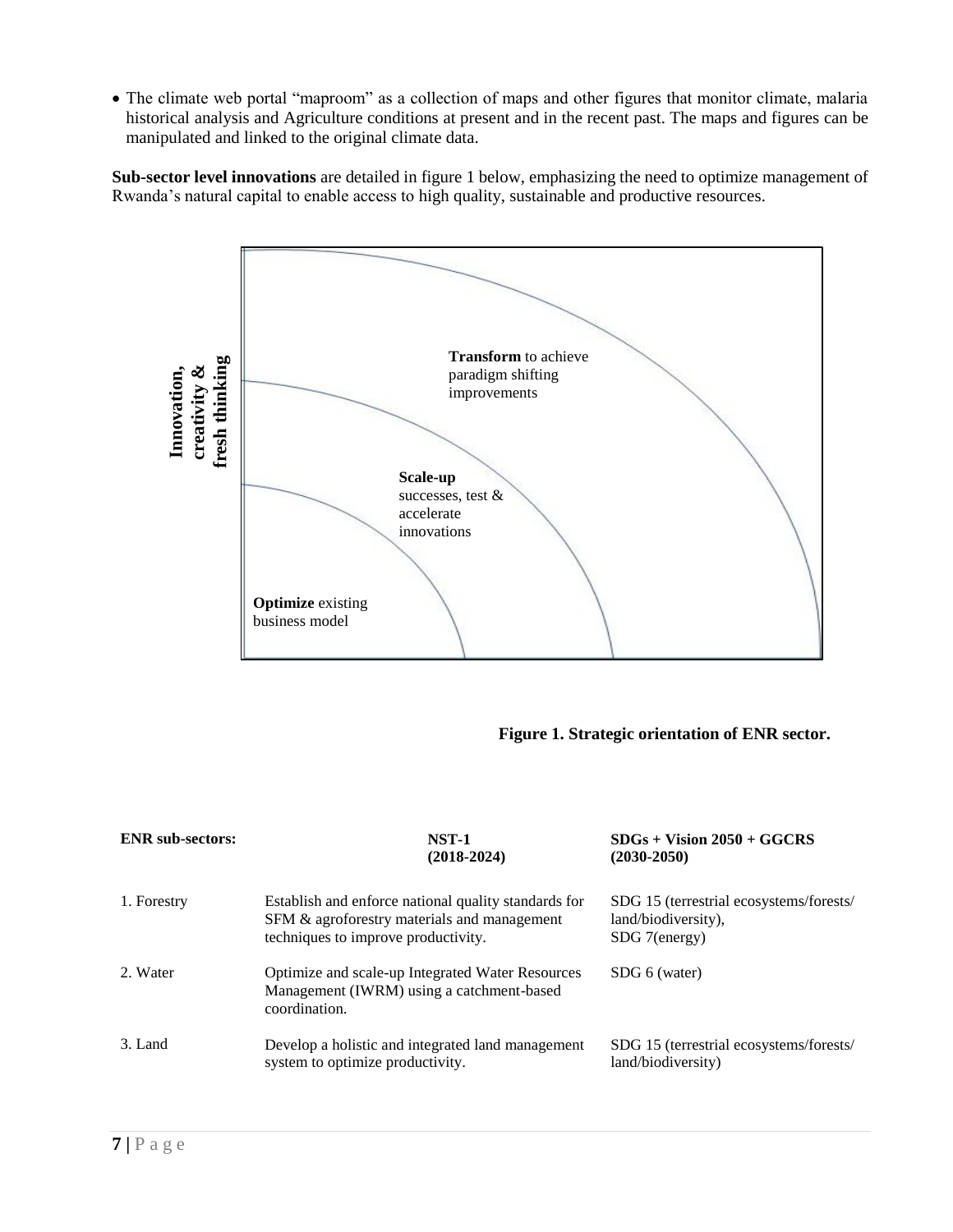The climate web portal "maproom" as a collection of maps and other figures that monitor climate, malaria historical analysis and Agriculture conditions at present and in the recent past. The maps and figures can be manipulated and linked to the original climate data.

**Sub-sector level innovations** are detailed in figure 1 below, emphasizing the need to optimize management of Rwanda's natural capital to enable access to high quality, sustainable and productive resources.



#### **Figure 1. Strategic orientation of ENR sector.**

| <b>ENR</b> sub-sectors: | <b>NST-1</b><br>$(2018-2024)$                                                                                                              | $SDGs + Vision 2050 + GGCRS$<br>$(2030 - 2050)$                                 |
|-------------------------|--------------------------------------------------------------------------------------------------------------------------------------------|---------------------------------------------------------------------------------|
| 1. Forestry             | Establish and enforce national quality standards for<br>SFM & agroforestry materials and management<br>techniques to improve productivity. | SDG 15 (terrestrial ecosystems/forests/<br>land/biodiversity),<br>SDG 7(energy) |
| 2. Water                | Optimize and scale-up Integrated Water Resources<br>Management (IWRM) using a catchment-based<br>coordination.                             | SDG 6 (water)                                                                   |
| 3. Land                 | Develop a holistic and integrated land management<br>system to optimize productivity.                                                      | SDG 15 (terrestrial ecosystems/forests/<br>land/biodiversity)                   |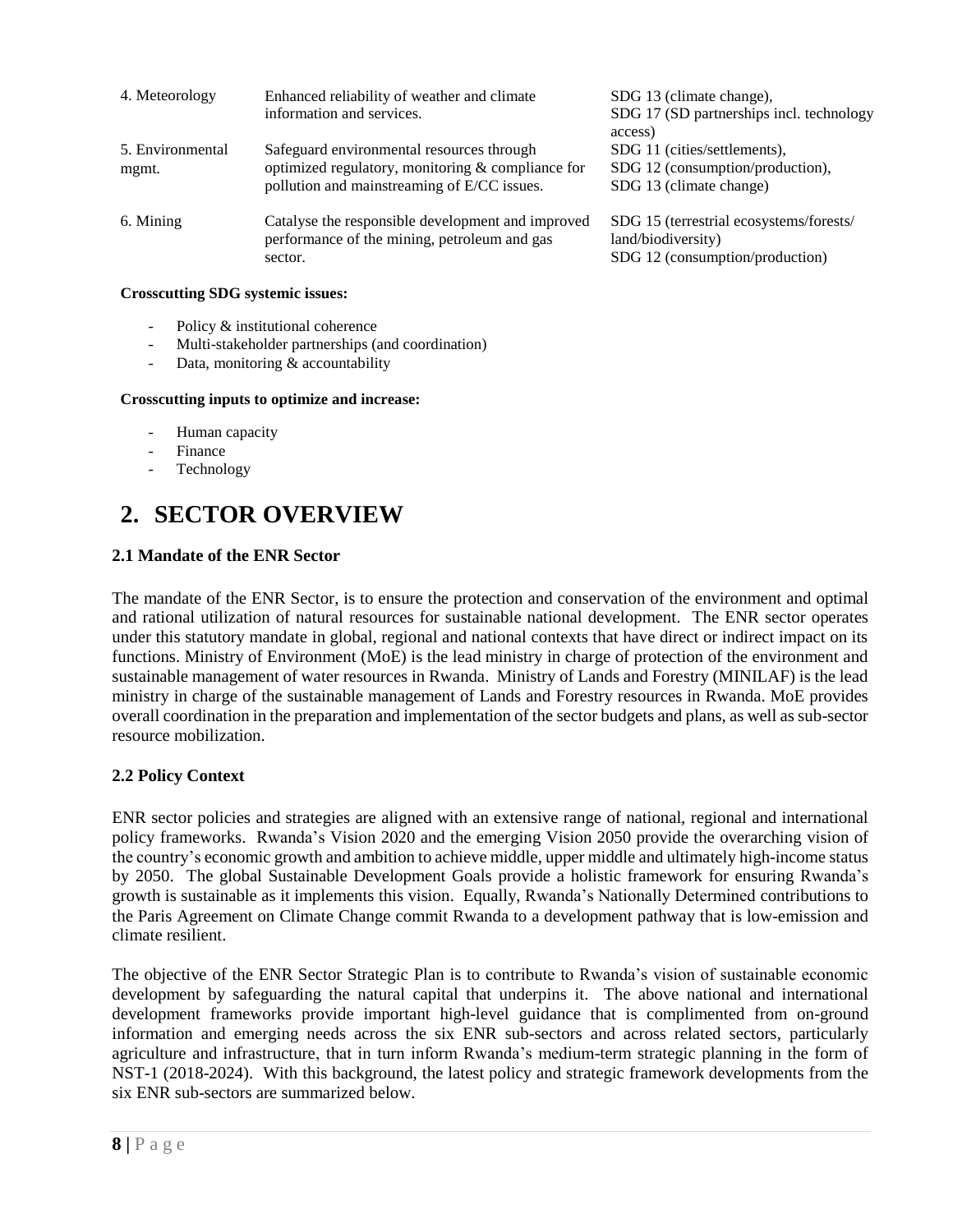| 4. Meteorology            | Enhanced reliability of weather and climate<br>information and services.                                                                      | SDG 13 (climate change),<br>SDG 17 (SD partnerships incl. technology<br>access)                  |
|---------------------------|-----------------------------------------------------------------------------------------------------------------------------------------------|--------------------------------------------------------------------------------------------------|
| 5. Environmental<br>mgmt. | Safeguard environmental resources through<br>optimized regulatory, monitoring & compliance for<br>pollution and mainstreaming of E/CC issues. | SDG 11 (cities/settlements),<br>SDG 12 (consumption/production),<br>SDG 13 (climate change)      |
| 6. Mining                 | Catalyse the responsible development and improved<br>performance of the mining, petroleum and gas<br>sector.                                  | SDG 15 (terrestrial ecosystems/forests/<br>land/biodiversity)<br>SDG 12 (consumption/production) |

#### **Crosscutting SDG systemic issues:**

- Policy & institutional coherence
- Multi-stakeholder partnerships (and coordination)
- Data, monitoring & accountability

#### **Crosscutting inputs to optimize and increase:**

- Human capacity
- **Finance**
- **Technology**

## <span id="page-7-0"></span>**2. SECTOR OVERVIEW**

#### <span id="page-7-1"></span>**2.1 Mandate of the ENR Sector**

The mandate of the ENR Sector, is to ensure the protection and conservation of the environment and optimal and rational utilization of natural resources for sustainable national development. The ENR sector operates under this statutory mandate in global, regional and national contexts that have direct or indirect impact on its functions. Ministry of Environment (MoE) is the lead ministry in charge of protection of the environment and sustainable management of water resources in Rwanda. Ministry of Lands and Forestry (MINILAF) is the lead ministry in charge of the sustainable management of Lands and Forestry resources in Rwanda. MoE provides overall coordination in the preparation and implementation of the sector budgets and plans, as well as sub-sector resource mobilization.

#### <span id="page-7-2"></span>**2.2 Policy Context**

ENR sector policies and strategies are aligned with an extensive range of national, regional and international policy frameworks. Rwanda's Vision 2020 and the emerging Vision 2050 provide the overarching vision of the country's economic growth and ambition to achieve middle, upper middle and ultimately high-income status by 2050. The global Sustainable Development Goals provide a holistic framework for ensuring Rwanda's growth is sustainable as it implements this vision. Equally, Rwanda's Nationally Determined contributions to the Paris Agreement on Climate Change commit Rwanda to a development pathway that is low-emission and climate resilient.

The objective of the ENR Sector Strategic Plan is to contribute to Rwanda's vision of sustainable economic development by safeguarding the natural capital that underpins it. The above national and international development frameworks provide important high-level guidance that is complimented from on-ground information and emerging needs across the six ENR sub-sectors and across related sectors, particularly agriculture and infrastructure, that in turn inform Rwanda's medium-term strategic planning in the form of NST-1 (2018-2024). With this background, the latest policy and strategic framework developments from the six ENR sub-sectors are summarized below.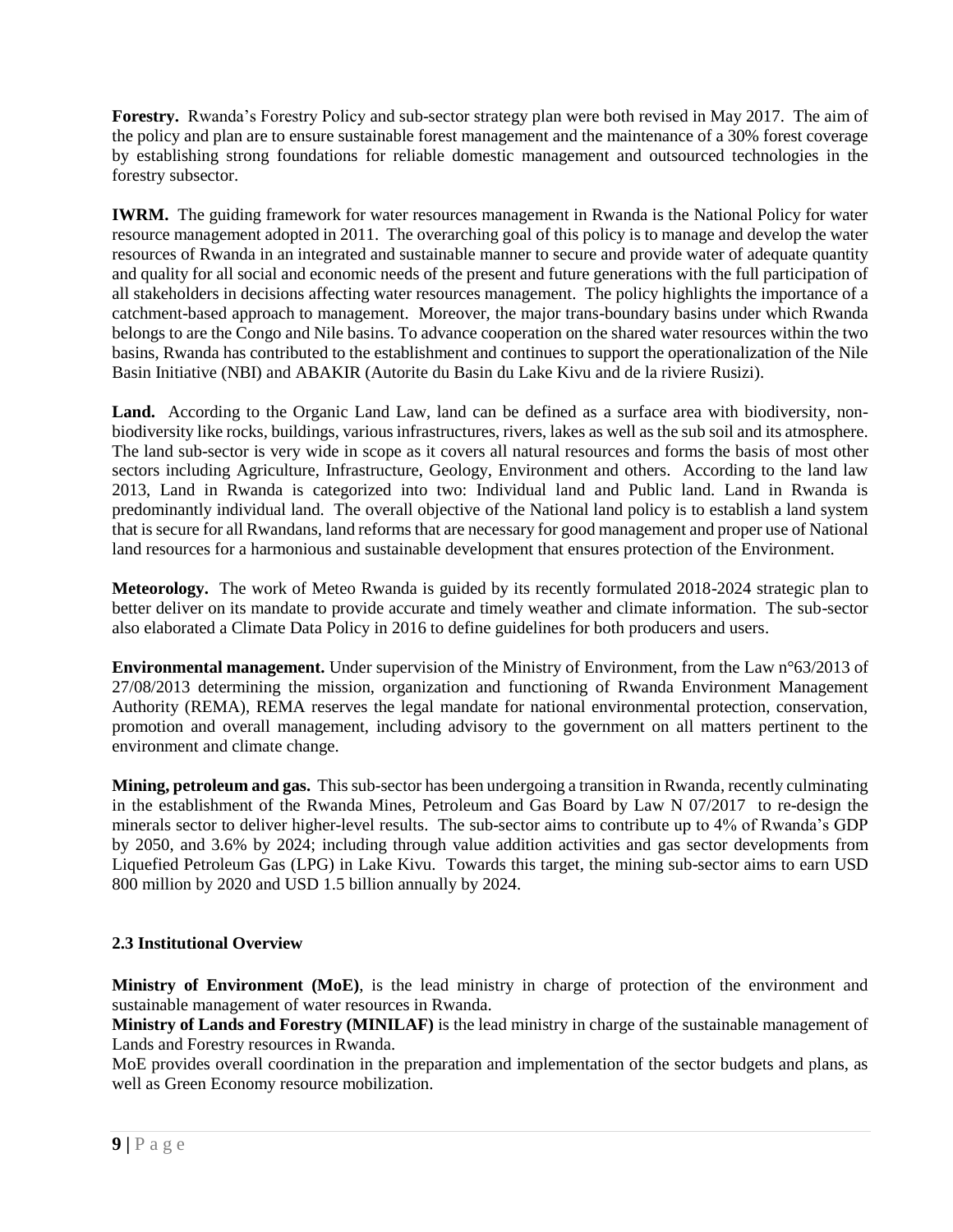**Forestry.** Rwanda's Forestry Policy and sub-sector strategy plan were both revised in May 2017. The aim of the policy and plan are to ensure sustainable forest management and the maintenance of a 30% forest coverage by establishing strong foundations for reliable domestic management and outsourced technologies in the forestry subsector.

**IWRM.** The guiding framework for water resources management in Rwanda is the National Policy for water resource management adopted in 2011. The overarching goal of this policy is to manage and develop the water resources of Rwanda in an integrated and sustainable manner to secure and provide water of adequate quantity and quality for all social and economic needs of the present and future generations with the full participation of all stakeholders in decisions affecting water resources management. The policy highlights the importance of a catchment-based approach to management. Moreover, the major trans-boundary basins under which Rwanda belongs to are the Congo and Nile basins. To advance cooperation on the shared water resources within the two basins, Rwanda has contributed to the establishment and continues to support the operationalization of the Nile Basin Initiative (NBI) and ABAKIR (Autorite du Basin du Lake Kivu and de la riviere Rusizi).

Land. According to the Organic Land Law, land can be defined as a surface area with biodiversity, nonbiodiversity like rocks, buildings, various infrastructures, rivers, lakes as well as the sub soil and its atmosphere. The land sub-sector is very wide in scope as it covers all natural resources and forms the basis of most other sectors including Agriculture, Infrastructure, Geology, Environment and others. According to the land law 2013, Land in Rwanda is categorized into two: Individual land and Public land. Land in Rwanda is predominantly individual land. The overall objective of the National land policy is to establish a land system that is secure for all Rwandans, land reforms that are necessary for good management and proper use of National land resources for a harmonious and sustainable development that ensures protection of the Environment.

**Meteorology.** The work of Meteo Rwanda is guided by its recently formulated 2018-2024 strategic plan to better deliver on its mandate to provide accurate and timely weather and climate information. The sub-sector also elaborated a Climate Data Policy in 2016 to define guidelines for both producers and users.

**Environmental management.** Under supervision of the Ministry of Environment, from the Law n°63/2013 of 27/08/2013 determining the mission, organization and functioning of Rwanda Environment Management Authority (REMA), REMA reserves the legal mandate for national environmental protection, conservation, promotion and overall management, including advisory to the government on all matters pertinent to the environment and climate change.

**Mining, petroleum and gas.** This sub-sector has been undergoing a transition in Rwanda, recently culminating in the establishment of the Rwanda Mines, Petroleum and Gas Board by Law N 07/2017 to re-design the minerals sector to deliver higher-level results. The sub-sector aims to contribute up to 4% of Rwanda's GDP by 2050, and 3.6% by 2024; including through value addition activities and gas sector developments from Liquefied Petroleum Gas (LPG) in Lake Kivu. Towards this target, the mining sub-sector aims to earn USD 800 million by 2020 and USD 1.5 billion annually by 2024.

#### <span id="page-8-0"></span>**2.3 Institutional Overview**

**Ministry of Environment (MoE)**, is the lead ministry in charge of protection of the environment and sustainable management of water resources in Rwanda.

**Ministry of Lands and Forestry (MINILAF)** is the lead ministry in charge of the sustainable management of Lands and Forestry resources in Rwanda.

MoE provides overall coordination in the preparation and implementation of the sector budgets and plans, as well as Green Economy resource mobilization.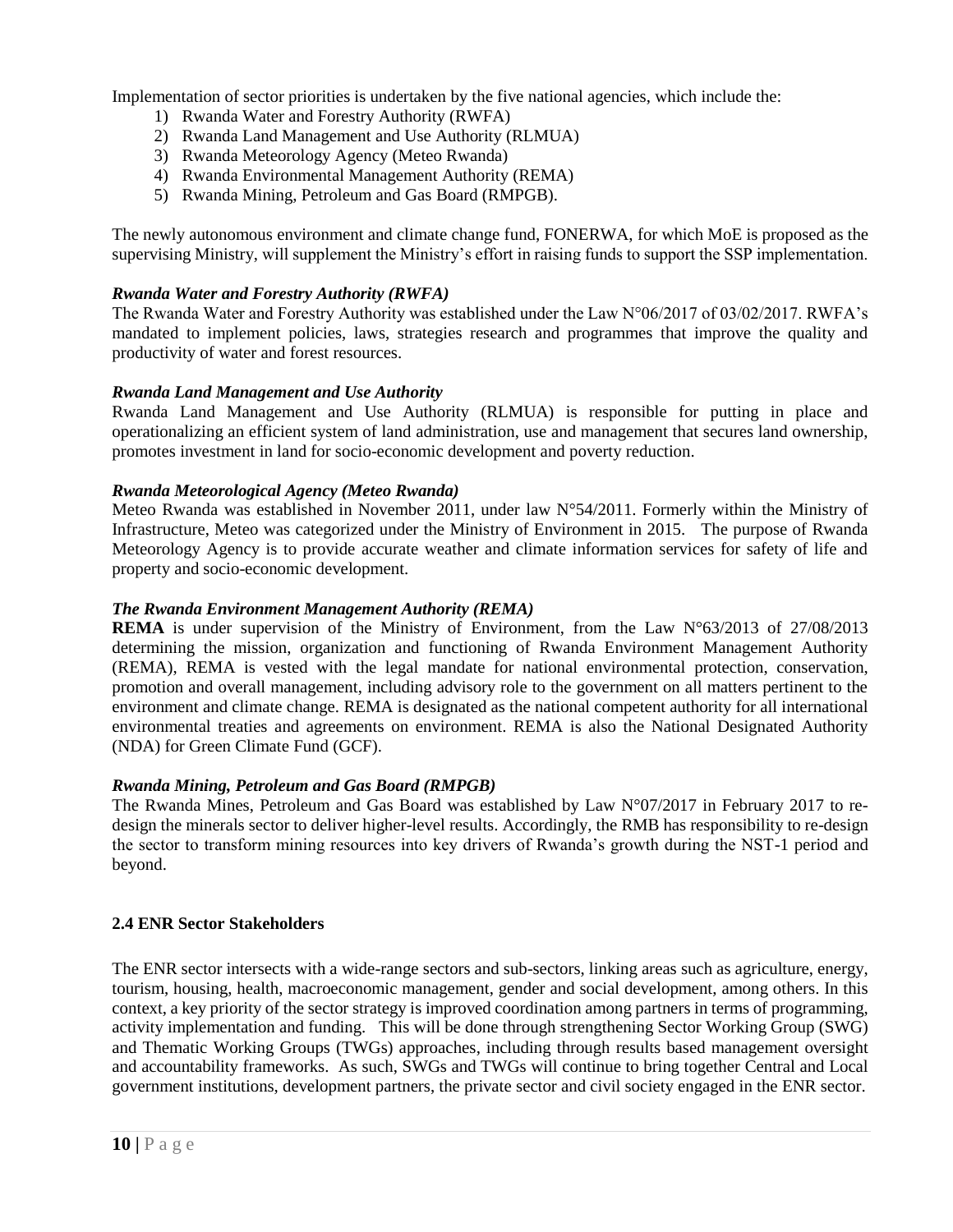Implementation of sector priorities is undertaken by the five national agencies, which include the:

- 1) Rwanda Water and Forestry Authority (RWFA)
- 2) Rwanda Land Management and Use Authority (RLMUA)
- 3) Rwanda Meteorology Agency (Meteo Rwanda)
- 4) Rwanda Environmental Management Authority (REMA)
- 5) Rwanda Mining, Petroleum and Gas Board (RMPGB).

The newly autonomous environment and climate change fund, FONERWA, for which MoE is proposed as the supervising Ministry, will supplement the Ministry's effort in raising funds to support the SSP implementation.

#### *Rwanda Water and Forestry Authority (RWFA)*

The Rwanda Water and Forestry Authority was established under the Law N°06/2017 of 03/02/2017. RWFA's mandated to implement policies, laws, strategies research and programmes that improve the quality and productivity of water and forest resources.

#### *Rwanda Land Management and Use Authority*

Rwanda Land Management and Use Authority (RLMUA) is responsible for putting in place and operationalizing an efficient system of land administration, use and management that secures land ownership, promotes investment in land for socio-economic development and poverty reduction.

#### *Rwanda Meteorological Agency (Meteo Rwanda)*

Meteo Rwanda was established in November 2011, under law N°54/2011. Formerly within the Ministry of Infrastructure, Meteo was categorized under the Ministry of Environment in 2015. The purpose of Rwanda Meteorology Agency is to provide accurate weather and climate information services for safety of life and property and socio-economic development.

#### *The Rwanda Environment Management Authority (REMA)*

**REMA** is under supervision of the Ministry of Environment, from the Law N°63/2013 of 27/08/2013 determining the mission, organization and functioning of Rwanda Environment Management Authority (REMA), REMA is vested with the legal mandate for national environmental protection, conservation, promotion and overall management, including advisory role to the government on all matters pertinent to the environment and climate change. REMA is designated as the national competent authority for all international environmental treaties and agreements on environment. REMA is also the National Designated Authority (NDA) for Green Climate Fund (GCF).

#### *Rwanda Mining, Petroleum and Gas Board (RMPGB)*

The Rwanda Mines, Petroleum and Gas Board was established by Law N°07/2017 in February 2017 to redesign the minerals sector to deliver higher-level results. Accordingly, the RMB has responsibility to re-design the sector to transform mining resources into key drivers of Rwanda's growth during the NST-1 period and beyond.

#### <span id="page-9-0"></span>**2.4 ENR Sector Stakeholders**

The ENR sector intersects with a wide-range sectors and sub-sectors, linking areas such as agriculture, energy, tourism, housing, health, macroeconomic management, gender and social development, among others. In this context, a key priority of the sector strategy is improved coordination among partners in terms of programming, activity implementation and funding. This will be done through strengthening Sector Working Group (SWG) and Thematic Working Groups (TWGs) approaches, including through results based management oversight and accountability frameworks. As such, SWGs and TWGs will continue to bring together Central and Local government institutions, development partners, the private sector and civil society engaged in the ENR sector.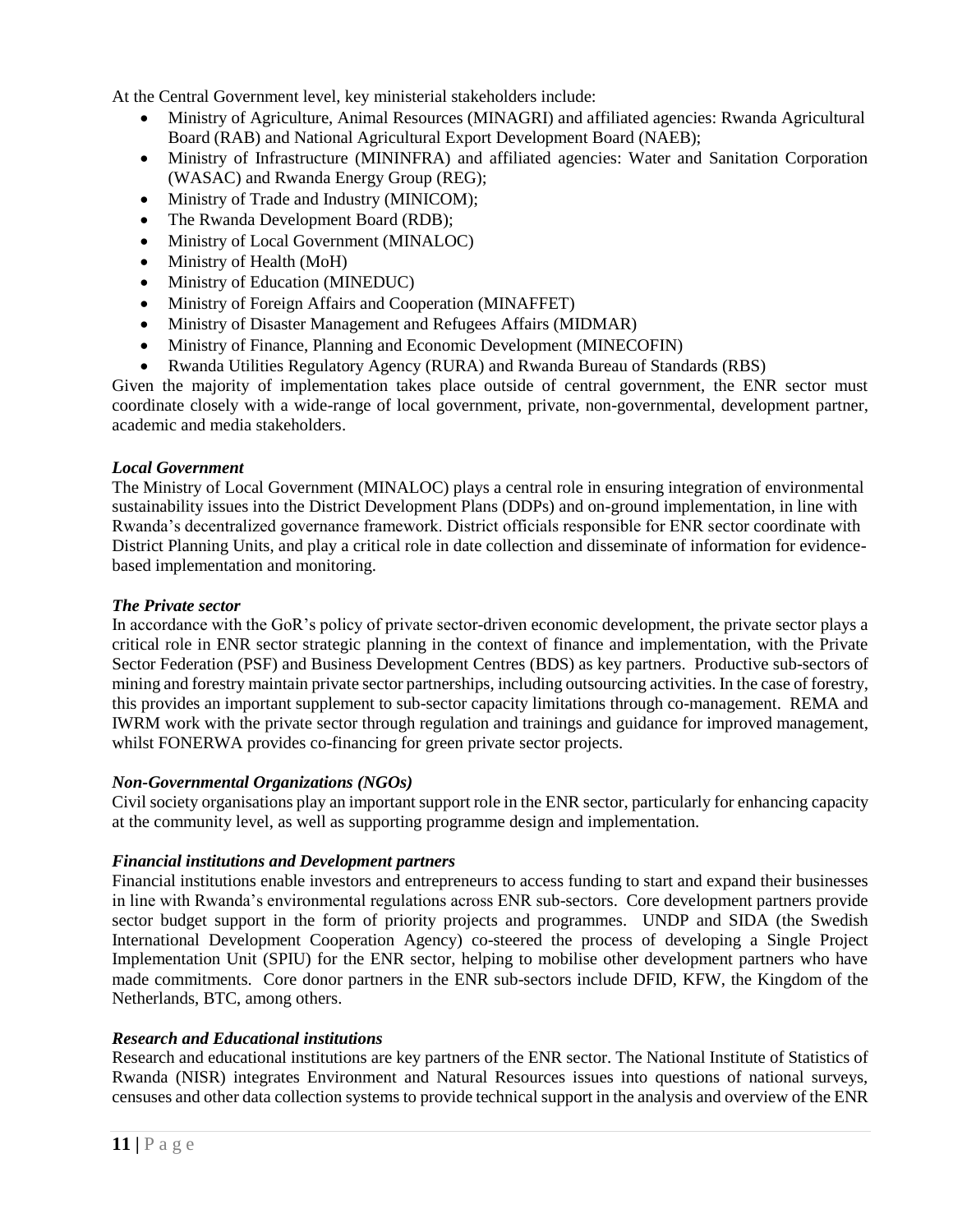At the Central Government level, key ministerial stakeholders include:

- Ministry of Agriculture, Animal Resources (MINAGRI) and affiliated agencies: Rwanda Agricultural Board (RAB) and National Agricultural Export Development Board (NAEB);
- Ministry of Infrastructure (MININFRA) and affiliated agencies: Water and Sanitation Corporation (WASAC) and Rwanda Energy Group (REG);
- Ministry of Trade and Industry (MINICOM);
- The Rwanda Development Board (RDB);
- Ministry of Local Government (MINALOC)
- Ministry of Health (MoH)
- Ministry of Education (MINEDUC)
- Ministry of Foreign Affairs and Cooperation (MINAFFET)
- Ministry of Disaster Management and Refugees Affairs (MIDMAR)
- Ministry of Finance, Planning and Economic Development (MINECOFIN)
- Rwanda Utilities Regulatory Agency (RURA) and Rwanda Bureau of Standards (RBS)

Given the majority of implementation takes place outside of central government, the ENR sector must coordinate closely with a wide-range of local government, private, non-governmental, development partner, academic and media stakeholders.

#### *Local Government*

The Ministry of Local Government (MINALOC) plays a central role in ensuring integration of environmental sustainability issues into the District Development Plans (DDPs) and on-ground implementation, in line with Rwanda's decentralized governance framework. District officials responsible for ENR sector coordinate with District Planning Units, and play a critical role in date collection and disseminate of information for evidencebased implementation and monitoring.

#### *The Private sector*

In accordance with the GoR's policy of private sector-driven economic development, the private sector plays a critical role in ENR sector strategic planning in the context of finance and implementation, with the Private Sector Federation (PSF) and Business Development Centres (BDS) as key partners. Productive sub-sectors of mining and forestry maintain private sector partnerships, including outsourcing activities. In the case of forestry, this provides an important supplement to sub-sector capacity limitations through co-management. REMA and IWRM work with the private sector through regulation and trainings and guidance for improved management, whilst FONERWA provides co-financing for green private sector projects.

#### *Non-Governmental Organizations (NGOs)*

Civil society organisations play an important support role in the ENR sector, particularly for enhancing capacity at the community level, as well as supporting programme design and implementation.

#### *Financial institutions and Development partners*

Financial institutions enable investors and entrepreneurs to access funding to start and expand their businesses in line with Rwanda's environmental regulations across ENR sub-sectors. Core development partners provide sector budget support in the form of priority projects and programmes. UNDP and SIDA (the Swedish International Development Cooperation Agency) co-steered the process of developing a Single Project Implementation Unit (SPIU) for the ENR sector, helping to mobilise other development partners who have made commitments. Core donor partners in the ENR sub-sectors include DFID, KFW, the Kingdom of the Netherlands, BTC, among others.

#### *Research and Educational institutions*

Research and educational institutions are key partners of the ENR sector. The National Institute of Statistics of Rwanda (NISR) integrates Environment and Natural Resources issues into questions of national surveys, censuses and other data collection systems to provide technical support in the analysis and overview of the ENR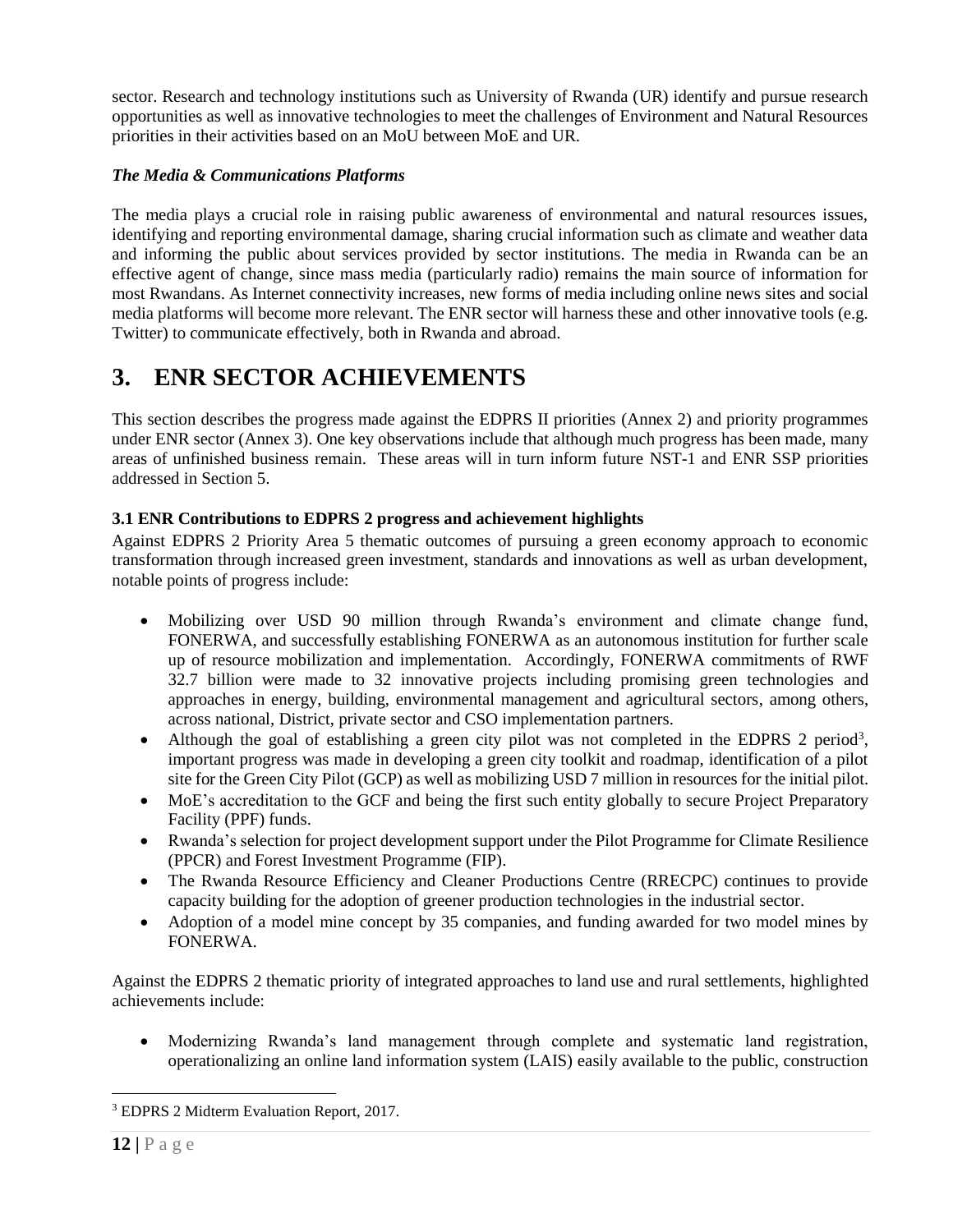sector. Research and technology institutions such as University of Rwanda (UR) identify and pursue research opportunities as well as innovative technologies to meet the challenges of Environment and Natural Resources priorities in their activities based on an MoU between MoE and UR.

#### *The Media & Communications Platforms*

The media plays a crucial role in raising public awareness of environmental and natural resources issues, identifying and reporting environmental damage, sharing crucial information such as climate and weather data and informing the public about services provided by sector institutions. The media in Rwanda can be an effective agent of change, since mass media (particularly radio) remains the main source of information for most Rwandans. As Internet connectivity increases, new forms of media including online news sites and social media platforms will become more relevant. The ENR sector will harness these and other innovative tools (e.g. Twitter) to communicate effectively, both in Rwanda and abroad.

### <span id="page-11-0"></span>**3. ENR SECTOR ACHIEVEMENTS**

This section describes the progress made against the EDPRS II priorities (Annex 2) and priority programmes under ENR sector (Annex 3). One key observations include that although much progress has been made, many areas of unfinished business remain. These areas will in turn inform future NST-1 and ENR SSP priorities addressed in Section 5.

#### <span id="page-11-1"></span>**3.1 ENR Contributions to EDPRS 2 progress and achievement highlights**

Against EDPRS 2 Priority Area 5 thematic outcomes of pursuing a green economy approach to economic transformation through increased green investment, standards and innovations as well as urban development, notable points of progress include:

- Mobilizing over USD 90 million through Rwanda's environment and climate change fund, FONERWA, and successfully establishing FONERWA as an autonomous institution for further scale up of resource mobilization and implementation. Accordingly, FONERWA commitments of RWF 32.7 billion were made to 32 innovative projects including promising green technologies and approaches in energy, building, environmental management and agricultural sectors, among others, across national, District, private sector and CSO implementation partners.
- Although the goal of establishing a green city pilot was not completed in the EDPRS 2 period<sup>3</sup>, important progress was made in developing a green city toolkit and roadmap, identification of a pilot site for the Green City Pilot (GCP) as well as mobilizing USD 7 million in resources for the initial pilot.
- MoE's accreditation to the GCF and being the first such entity globally to secure Project Preparatory Facility (PPF) funds.
- Rwanda's selection for project development support under the Pilot Programme for Climate Resilience (PPCR) and Forest Investment Programme (FIP).
- The Rwanda Resource Efficiency and Cleaner Productions Centre (RRECPC) continues to provide capacity building for the adoption of greener production technologies in the industrial sector.
- Adoption of a model mine concept by 35 companies, and funding awarded for two model mines by FONERWA.

Against the EDPRS 2 thematic priority of integrated approaches to land use and rural settlements, highlighted achievements include:

 Modernizing Rwanda's land management through complete and systematic land registration, operationalizing an online land information system (LAIS) easily available to the public, construction

<sup>3</sup> EDPRS 2 Midterm Evaluation Report, 2017.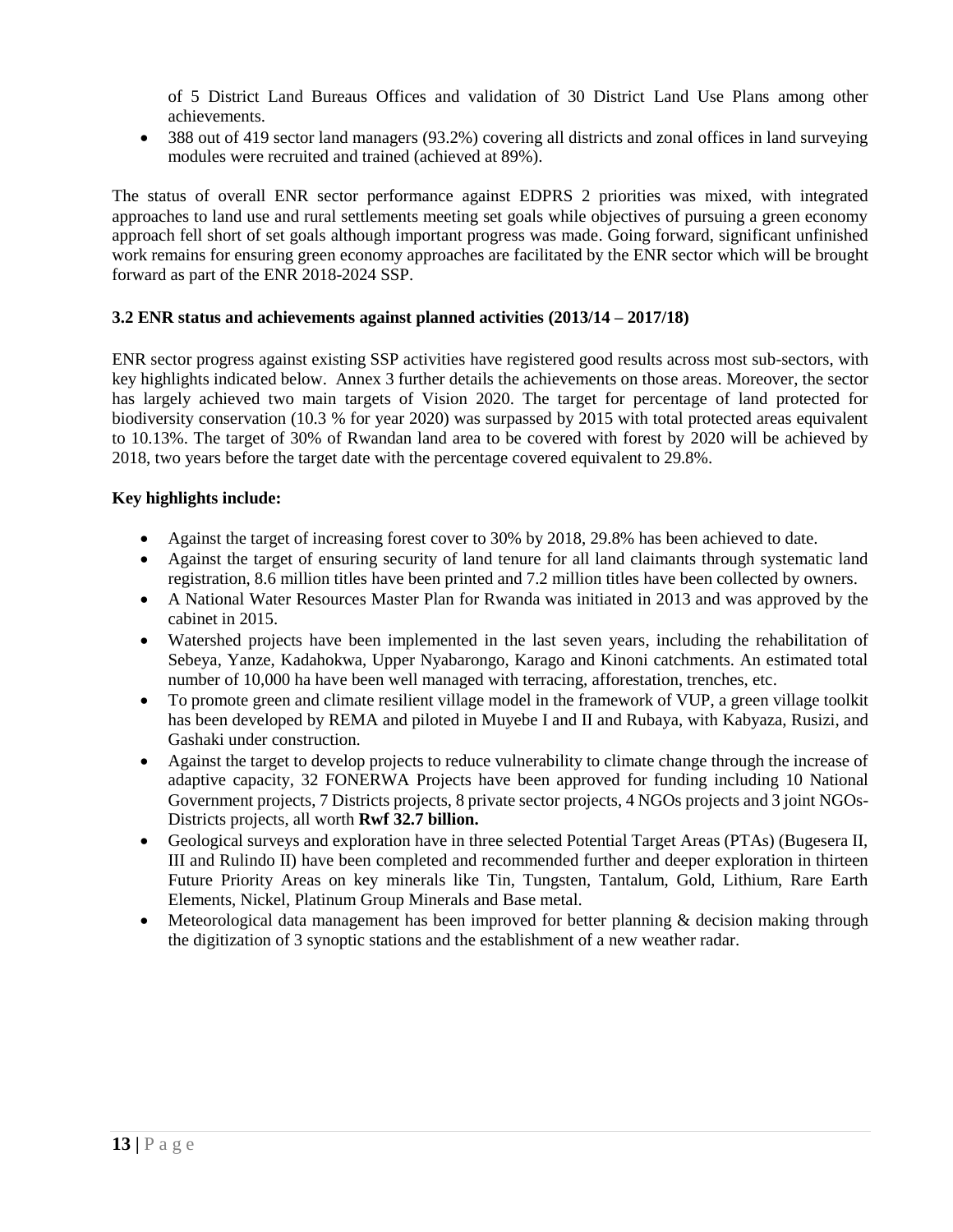of 5 District Land Bureaus Offices and validation of 30 District Land Use Plans among other achievements.

 388 out of 419 sector land managers (93.2%) covering all districts and zonal offices in land surveying modules were recruited and trained (achieved at 89%).

The status of overall ENR sector performance against EDPRS 2 priorities was mixed, with integrated approaches to land use and rural settlements meeting set goals while objectives of pursuing a green economy approach fell short of set goals although important progress was made. Going forward, significant unfinished work remains for ensuring green economy approaches are facilitated by the ENR sector which will be brought forward as part of the ENR 2018-2024 SSP.

#### <span id="page-12-0"></span>**3.2 ENR status and achievements against planned activities (2013/14 – 2017/18)**

ENR sector progress against existing SSP activities have registered good results across most sub-sectors, with key highlights indicated below. Annex 3 further details the achievements on those areas. Moreover, the sector has largely achieved two main targets of Vision 2020. The target for percentage of land protected for biodiversity conservation (10.3 % for year 2020) was surpassed by 2015 with total protected areas equivalent to 10.13%. The target of 30% of Rwandan land area to be covered with forest by 2020 will be achieved by 2018, two years before the target date with the percentage covered equivalent to 29.8%.

#### **Key highlights include:**

- Against the target of increasing forest cover to 30% by 2018, 29.8% has been achieved to date.
- Against the target of ensuring security of land tenure for all land claimants through systematic land registration, 8.6 million titles have been printed and 7.2 million titles have been collected by owners.
- A National Water Resources Master Plan for Rwanda was initiated in 2013 and was approved by the cabinet in 2015.
- Watershed projects have been implemented in the last seven years, including the rehabilitation of Sebeya, Yanze, Kadahokwa, Upper Nyabarongo, Karago and Kinoni catchments. An estimated total number of 10,000 ha have been well managed with terracing, afforestation, trenches, etc.
- To promote green and climate resilient village model in the framework of VUP, a green village toolkit has been developed by REMA and piloted in Muyebe I and II and Rubaya, with Kabyaza, Rusizi, and Gashaki under construction.
- Against the target to develop projects to reduce vulnerability to climate change through the increase of adaptive capacity, 32 FONERWA Projects have been approved for funding including 10 National Government projects, 7 Districts projects, 8 private sector projects, 4 NGOs projects and 3 joint NGOs-Districts projects, all worth **Rwf 32.7 billion.**
- Geological surveys and exploration have in three selected Potential Target Areas (PTAs) (Bugesera II, III and Rulindo II) have been completed and recommended further and deeper exploration in thirteen Future Priority Areas on key minerals like Tin, Tungsten, Tantalum, Gold, Lithium, Rare Earth Elements, Nickel, Platinum Group Minerals and Base metal.
- Meteorological data management has been improved for better planning & decision making through the digitization of 3 synoptic stations and the establishment of a new weather radar.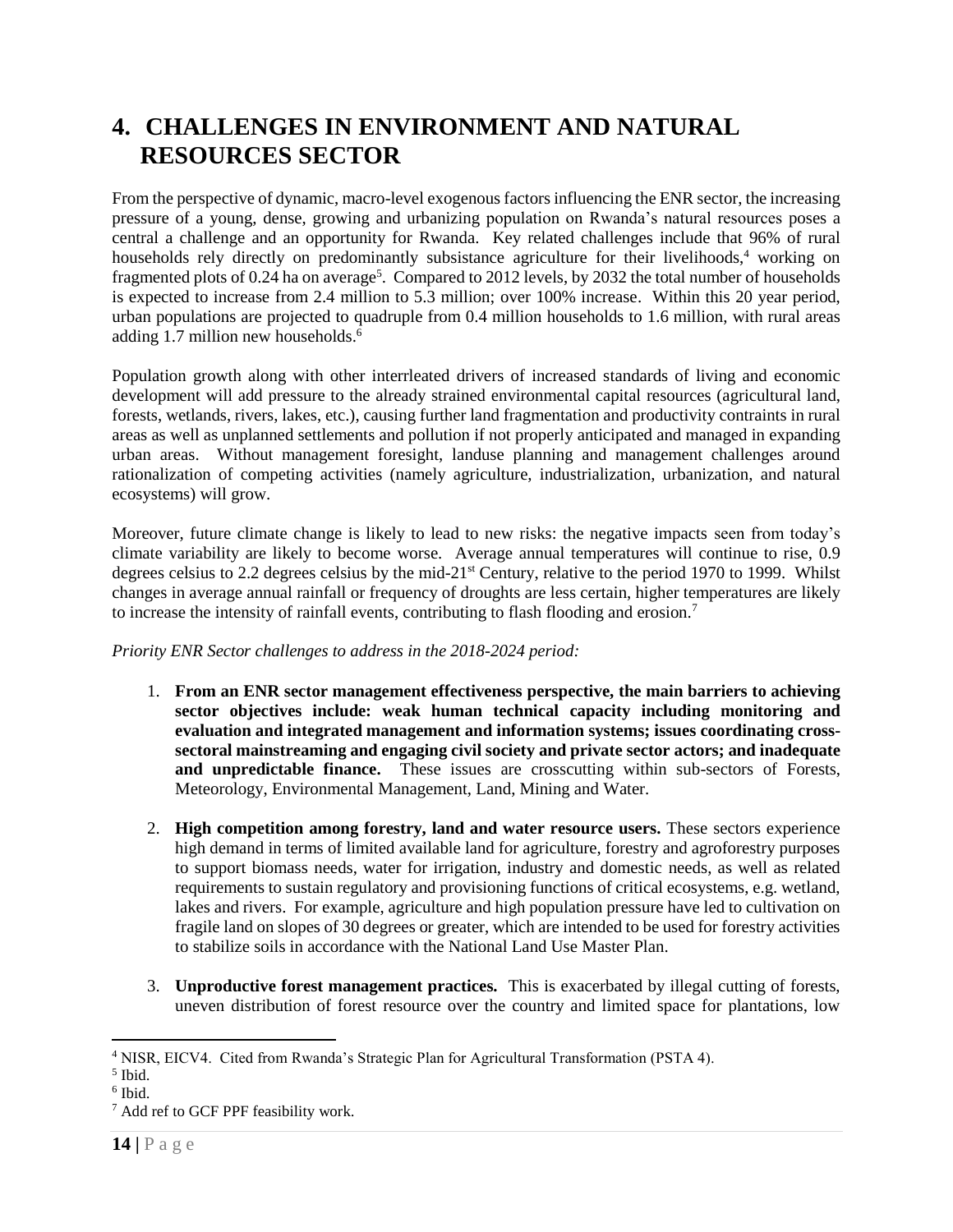## <span id="page-13-0"></span>**4. CHALLENGES IN ENVIRONMENT AND NATURAL RESOURCES SECTOR**

From the perspective of dynamic, macro-level exogenous factors influencing the ENR sector, the increasing pressure of a young, dense, growing and urbanizing population on Rwanda's natural resources poses a central a challenge and an opportunity for Rwanda. Key related challenges include that 96% of rural households rely directly on predominantly subsistance agriculture for their livelihoods,<sup>4</sup> working on fragmented plots of 0.24 ha on average<sup>5</sup>. Compared to 2012 levels, by 2032 the total number of households is expected to increase from 2.4 million to 5.3 million; over 100% increase. Within this 20 year period, urban populations are projected to quadruple from 0.4 million households to 1.6 million, with rural areas adding 1.7 million new households.<sup>6</sup>

Population growth along with other interrleated drivers of increased standards of living and economic development will add pressure to the already strained environmental capital resources (agricultural land, forests, wetlands, rivers, lakes, etc.), causing further land fragmentation and productivity contraints in rural areas as well as unplanned settlements and pollution if not properly anticipated and managed in expanding urban areas. Without management foresight, landuse planning and management challenges around rationalization of competing activities (namely agriculture, industrialization, urbanization, and natural ecosystems) will grow.

Moreover, future climate change is likely to lead to new risks: the negative impacts seen from today's climate variability are likely to become worse. Average annual temperatures will continue to rise, 0.9 degrees celsius to 2.2 degrees celsius by the mid-21<sup>st</sup> Century, relative to the period 1970 to 1999. Whilst changes in average annual rainfall or frequency of droughts are less certain, higher temperatures are likely to increase the intensity of rainfall events, contributing to flash flooding and erosion.<sup>7</sup>

#### *Priority ENR Sector challenges to address in the 2018-2024 period:*

- 1. **From an ENR sector management effectiveness perspective, the main barriers to achieving sector objectives include: weak human technical capacity including monitoring and evaluation and integrated management and information systems; issues coordinating crosssectoral mainstreaming and engaging civil society and private sector actors; and inadequate and unpredictable finance.** These issues are crosscutting within sub-sectors of Forests, Meteorology, Environmental Management, Land, Mining and Water.
- 2. **High competition among forestry, land and water resource users.** These sectors experience high demand in terms of limited available land for agriculture, forestry and agroforestry purposes to support biomass needs, water for irrigation, industry and domestic needs, as well as related requirements to sustain regulatory and provisioning functions of critical ecosystems, e.g. wetland, lakes and rivers. For example, agriculture and high population pressure have led to cultivation on fragile land on slopes of 30 degrees or greater, which are intended to be used for forestry activities to stabilize soils in accordance with the National Land Use Master Plan.
- 3. **Unproductive forest management practices.** This is exacerbated by illegal cutting of forests, uneven distribution of forest resource over the country and limited space for plantations, low

<sup>4</sup> NISR, EICV4. Cited from Rwanda's Strategic Plan for Agricultural Transformation (PSTA 4).

<sup>5</sup> Ibid.

<sup>6</sup> Ibid.

<sup>7</sup> Add ref to GCF PPF feasibility work.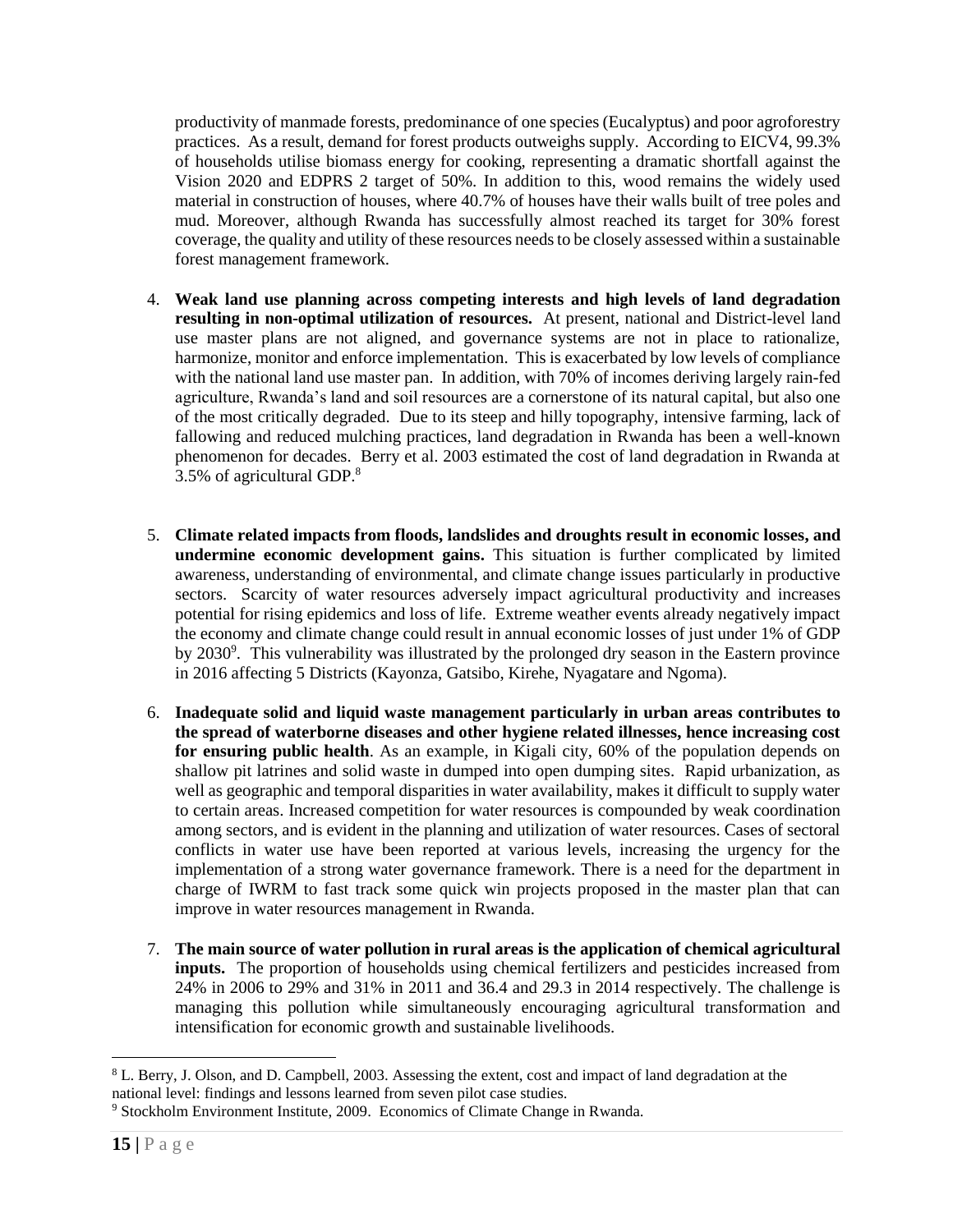productivity of manmade forests, predominance of one species (Eucalyptus) and poor agroforestry practices. As a result, demand for forest products outweighs supply. According to EICV4, 99.3% of households utilise biomass energy for cooking, representing a dramatic shortfall against the Vision 2020 and EDPRS 2 target of 50%. In addition to this, wood remains the widely used material in construction of houses, where 40.7% of houses have their walls built of tree poles and mud. Moreover, although Rwanda has successfully almost reached its target for 30% forest coverage, the quality and utility of these resources needs to be closely assessed within a sustainable forest management framework.

- 4. **Weak land use planning across competing interests and high levels of land degradation resulting in non-optimal utilization of resources.** At present, national and District-level land use master plans are not aligned, and governance systems are not in place to rationalize, harmonize, monitor and enforce implementation. This is exacerbated by low levels of compliance with the national land use master pan. In addition, with 70% of incomes deriving largely rain-fed agriculture, Rwanda's land and soil resources are a cornerstone of its natural capital, but also one of the most critically degraded. Due to its steep and hilly topography, intensive farming, lack of fallowing and reduced mulching practices, land degradation in Rwanda has been a well-known phenomenon for decades. Berry et al. 2003 estimated the cost of land degradation in Rwanda at 3.5% of agricultural GDP.<sup>8</sup>
- 5. **Climate related impacts from floods, landslides and droughts result in economic losses, and undermine economic development gains.** This situation is further complicated by limited awareness, understanding of environmental, and climate change issues particularly in productive sectors. Scarcity of water resources adversely impact agricultural productivity and increases potential for rising epidemics and loss of life. Extreme weather events already negatively impact the economy and climate change could result in annual economic losses of just under 1% of GDP by 2030<sup>9</sup>. This vulnerability was illustrated by the prolonged dry season in the Eastern province in 2016 affecting 5 Districts (Kayonza, Gatsibo, Kirehe, Nyagatare and Ngoma).
- 6. **Inadequate solid and liquid waste management particularly in urban areas contributes to the spread of waterborne diseases and other hygiene related illnesses, hence increasing cost for ensuring public health**. As an example, in Kigali city, 60% of the population depends on shallow pit latrines and solid waste in dumped into open dumping sites. Rapid urbanization, as well as geographic and temporal disparities in water availability, makes it difficult to supply water to certain areas. Increased competition for water resources is compounded by weak coordination among sectors, and is evident in the planning and utilization of water resources. Cases of sectoral conflicts in water use have been reported at various levels, increasing the urgency for the implementation of a strong water governance framework. There is a need for the department in charge of IWRM to fast track some quick win projects proposed in the master plan that can improve in water resources management in Rwanda.
- 7. **The main source of water pollution in rural areas is the application of chemical agricultural inputs.** The proportion of households using chemical fertilizers and pesticides increased from 24% in 2006 to 29% and 31% in 2011 and 36.4 and 29.3 in 2014 respectively. The challenge is managing this pollution while simultaneously encouraging agricultural transformation and intensification for economic growth and sustainable livelihoods.

 $\overline{a}$ <sup>8</sup> L. Berry, J. Olson, and D. Campbell, 2003. Assessing the extent, cost and impact of land degradation at the national level: findings and lessons learned from seven pilot case studies.

<sup>&</sup>lt;sup>9</sup> Stockholm Environment Institute, 2009. Economics of Climate Change in Rwanda.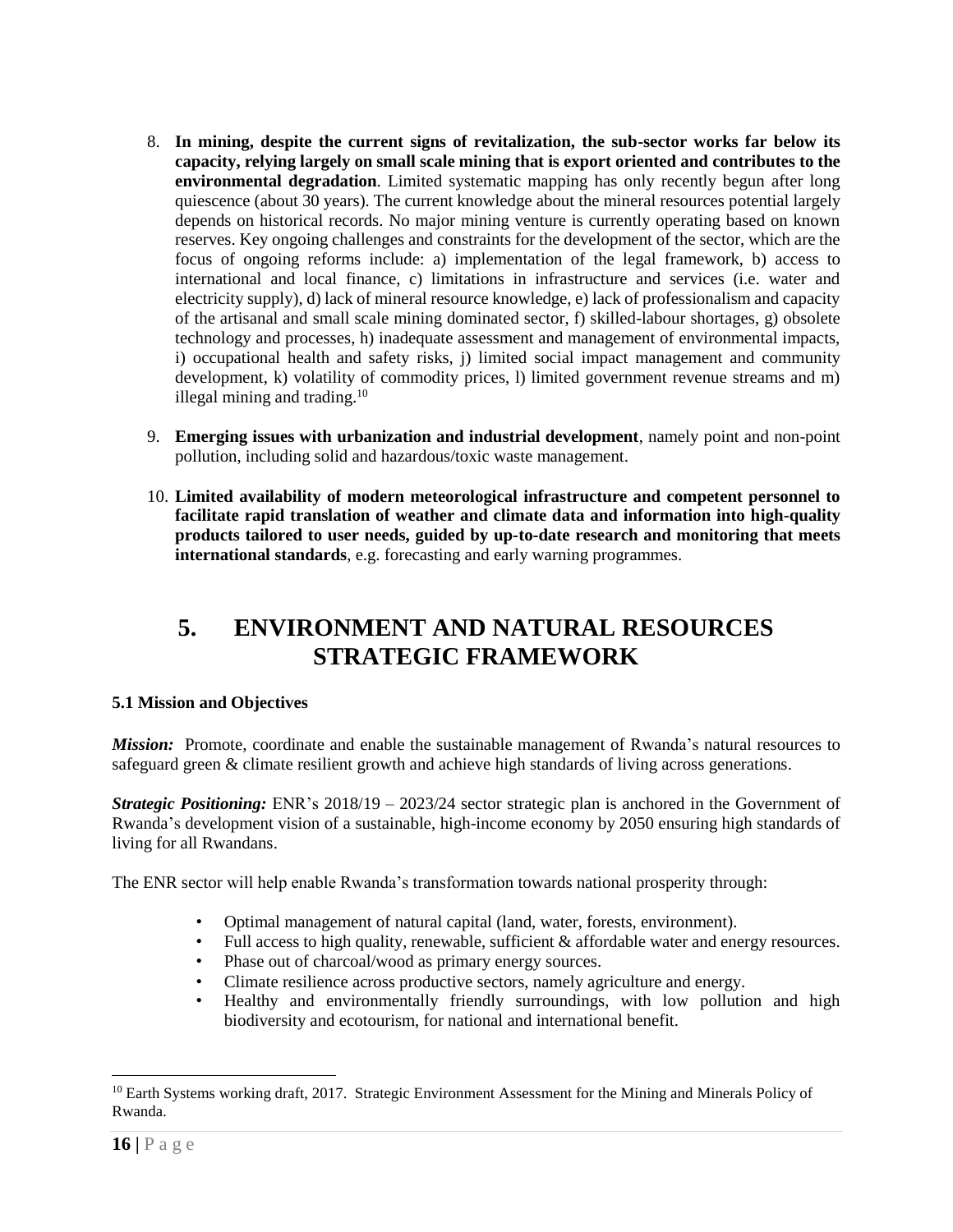- 8. **In mining, despite the current signs of revitalization, the sub-sector works far below its capacity, relying largely on small scale mining that is export oriented and contributes to the environmental degradation**. Limited systematic mapping has only recently begun after long quiescence (about 30 years). The current knowledge about the mineral resources potential largely depends on historical records. No major mining venture is currently operating based on known reserves. Key ongoing challenges and constraints for the development of the sector, which are the focus of ongoing reforms include: a) implementation of the legal framework, b) access to international and local finance, c) limitations in infrastructure and services (i.e. water and electricity supply), d) lack of mineral resource knowledge, e) lack of professionalism and capacity of the artisanal and small scale mining dominated sector, f) skilled-labour shortages, g) obsolete technology and processes, h) inadequate assessment and management of environmental impacts, i) occupational health and safety risks, j) limited social impact management and community development, k) volatility of commodity prices, l) limited government revenue streams and m) illegal mining and trading. $10$
- 9. **Emerging issues with urbanization and industrial development**, namely point and non-point pollution, including solid and hazardous/toxic waste management.
- 10. **Limited availability of modern meteorological infrastructure and competent personnel to facilitate rapid translation of weather and climate data and information into high-quality products tailored to user needs, guided by up-to-date research and monitoring that meets international standards**, e.g. forecasting and early warning programmes.

### <span id="page-15-0"></span>**5. ENVIRONMENT AND NATURAL RESOURCES STRATEGIC FRAMEWORK**

#### <span id="page-15-1"></span>**5.1 Mission and Objectives**

*Mission:* Promote, coordinate and enable the sustainable management of Rwanda's natural resources to safeguard green & climate resilient growth and achieve high standards of living across generations.

*Strategic Positioning:* ENR's 2018/19 – 2023/24 sector strategic plan is anchored in the Government of Rwanda's development vision of a sustainable, high-income economy by 2050 ensuring high standards of living for all Rwandans.

The ENR sector will help enable Rwanda's transformation towards national prosperity through:

- Optimal management of natural capital (land, water, forests, environment).
- Full access to high quality, renewable, sufficient & affordable water and energy resources.
- Phase out of charcoal/wood as primary energy sources.
- Climate resilience across productive sectors, namely agriculture and energy.
- Healthy and environmentally friendly surroundings, with low pollution and high biodiversity and ecotourism, for national and international benefit.

<sup>&</sup>lt;sup>10</sup> Earth Systems working draft, 2017. Strategic Environment Assessment for the Mining and Minerals Policy of Rwanda.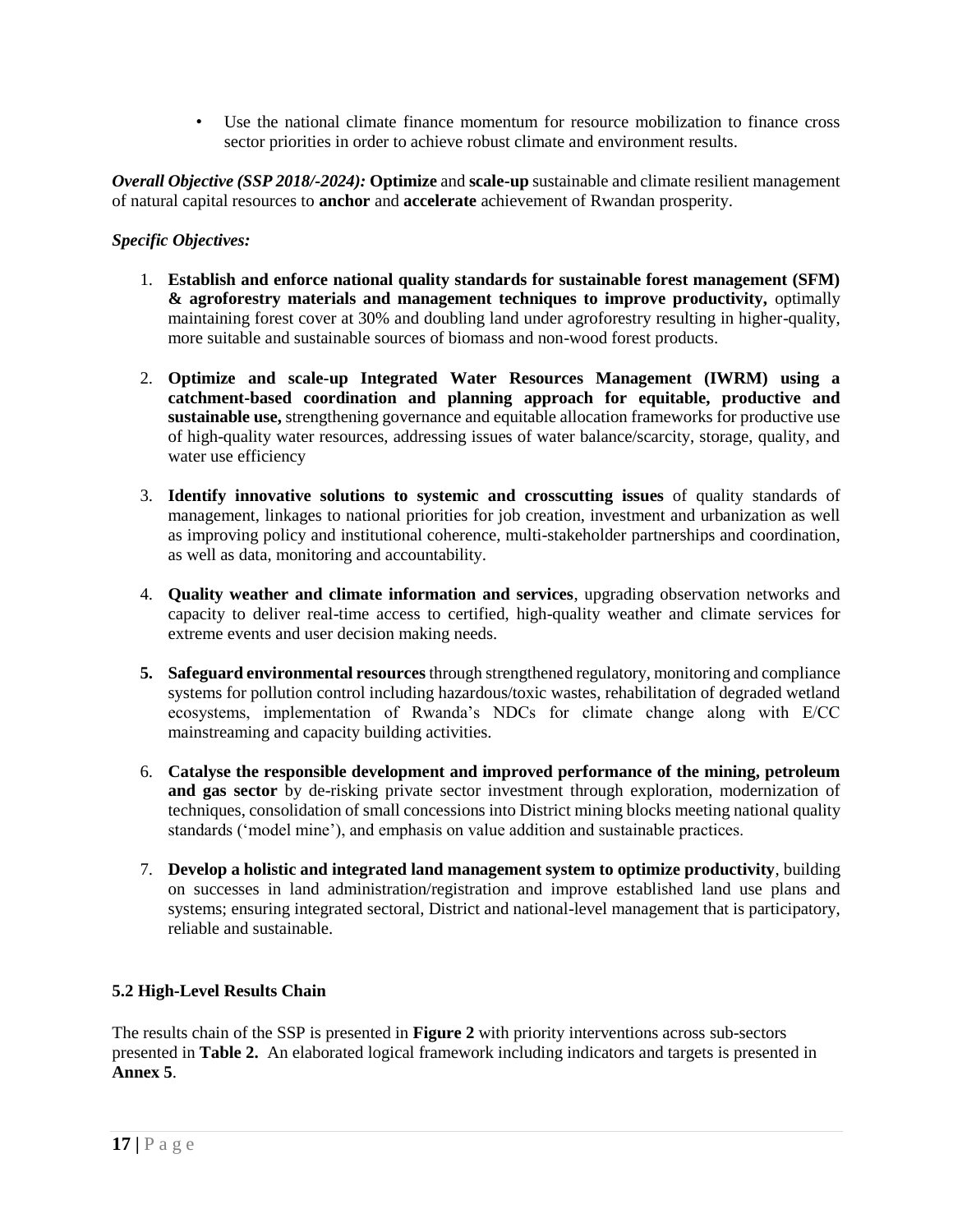• Use the national climate finance momentum for resource mobilization to finance cross sector priorities in order to achieve robust climate and environment results.

*Overall Objective (SSP 2018/-2024):* **Optimize** and **scale-up** sustainable and climate resilient management of natural capital resources to **anchor** and **accelerate** achievement of Rwandan prosperity.

#### *Specific Objectives:*

- 1. **Establish and enforce national quality standards for sustainable forest management (SFM) & agroforestry materials and management techniques to improve productivity,** optimally maintaining forest cover at 30% and doubling land under agroforestry resulting in higher-quality, more suitable and sustainable sources of biomass and non-wood forest products.
- 2. **Optimize and scale-up Integrated Water Resources Management (IWRM) using a catchment-based coordination and planning approach for equitable, productive and sustainable use,** strengthening governance and equitable allocation frameworks for productive use of high-quality water resources, addressing issues of water balance/scarcity, storage, quality, and water use efficiency
- 3. **Identify innovative solutions to systemic and crosscutting issues** of quality standards of management, linkages to national priorities for job creation, investment and urbanization as well as improving policy and institutional coherence, multi-stakeholder partnerships and coordination, as well as data, monitoring and accountability.
- 4. **Quality weather and climate information and services**, upgrading observation networks and capacity to deliver real-time access to certified, high-quality weather and climate services for extreme events and user decision making needs.
- **5. Safeguard environmental resources** through strengthened regulatory, monitoring and compliance systems for pollution control including hazardous/toxic wastes, rehabilitation of degraded wetland ecosystems, implementation of Rwanda's NDCs for climate change along with E/CC mainstreaming and capacity building activities.
- 6. **Catalyse the responsible development and improved performance of the mining, petroleum and gas sector** by de-risking private sector investment through exploration, modernization of techniques, consolidation of small concessions into District mining blocks meeting national quality standards ('model mine'), and emphasis on value addition and sustainable practices.
- 7. **Develop a holistic and integrated land management system to optimize productivity**, building on successes in land administration/registration and improve established land use plans and systems; ensuring integrated sectoral, District and national-level management that is participatory, reliable and sustainable.

#### <span id="page-16-0"></span>**5.2 High-Level Results Chain**

The results chain of the SSP is presented in **Figure 2** with priority interventions across sub-sectors presented in **Table 2.** An elaborated logical framework including indicators and targets is presented in **Annex 5**.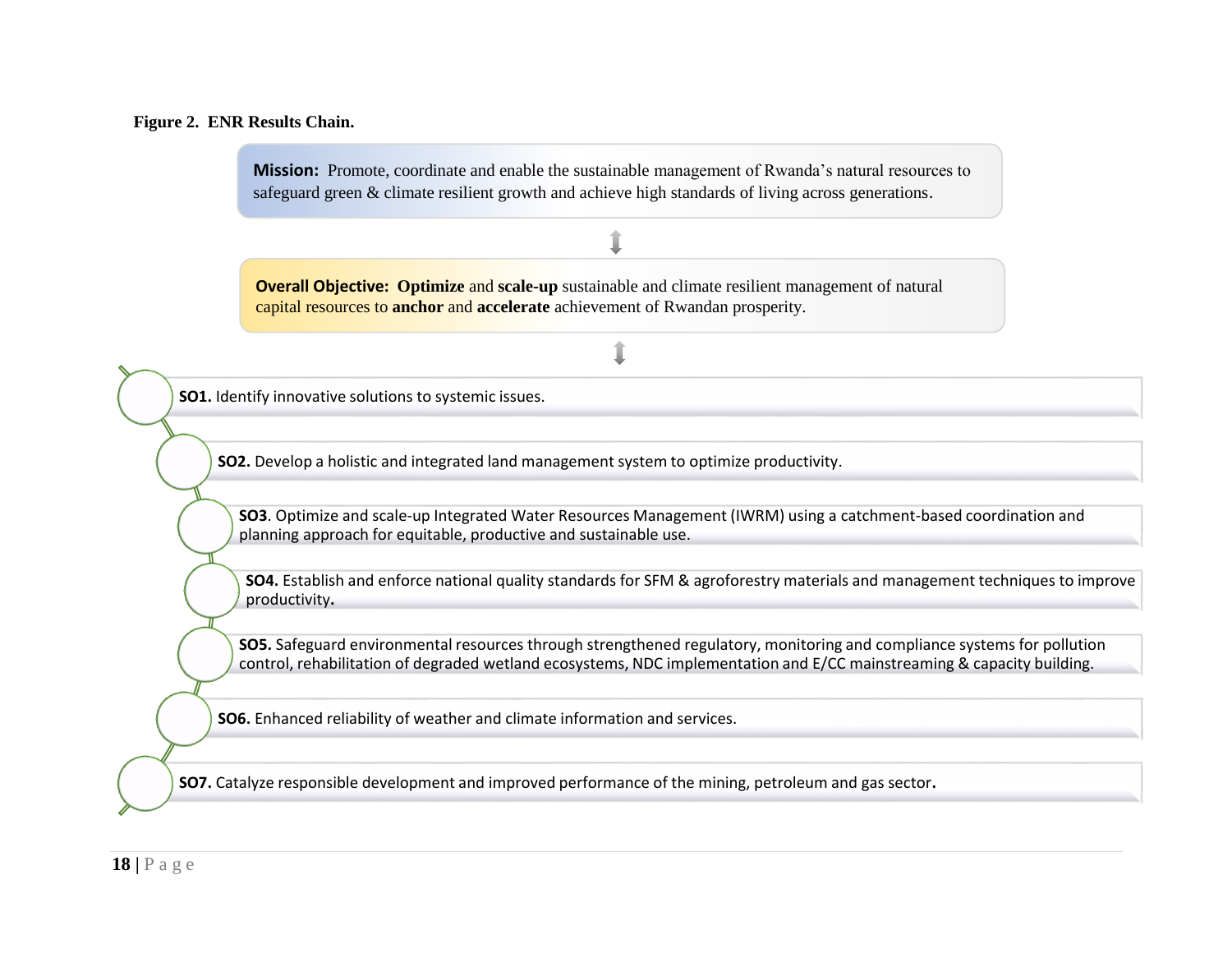#### **Figure 2. ENR Results Chain.**

**Mission:** Promote, coordinate and enable the sustainable management of Rwanda's natural resources to safeguard green & climate resilient growth and achieve high standards of living across generations.

**Overall Objective: Optimize** and **scale-up** sustainable and climate resilient management of natural capital resources to **anchor** and **accelerate** achievement of Rwandan prosperity.

**SO1.** Identify innovative solutions to systemic issues.

**SO2.** Develop a holistic and integrated land management system to optimize productivity.

**SO3**. Optimize and scale-up Integrated Water Resources Management (IWRM) using a catchment-based coordination and planning approach for equitable, productive and sustainable use.

**SO4.** Establish and enforce national quality standards for SFM & agroforestry materials and management techniques to improve productivity**.**

**SO5.** Safeguard environmental resources through strengthened regulatory, monitoring and compliance systems for pollution control, rehabilitation of degraded wetland ecosystems, NDC implementation and E/CC mainstreaming & capacity building.

**SO6.** Enhanced reliability of weather and climate information and services.

**SO7.** Catalyze responsible development and improved performance of the mining, petroleum and gas sector**.**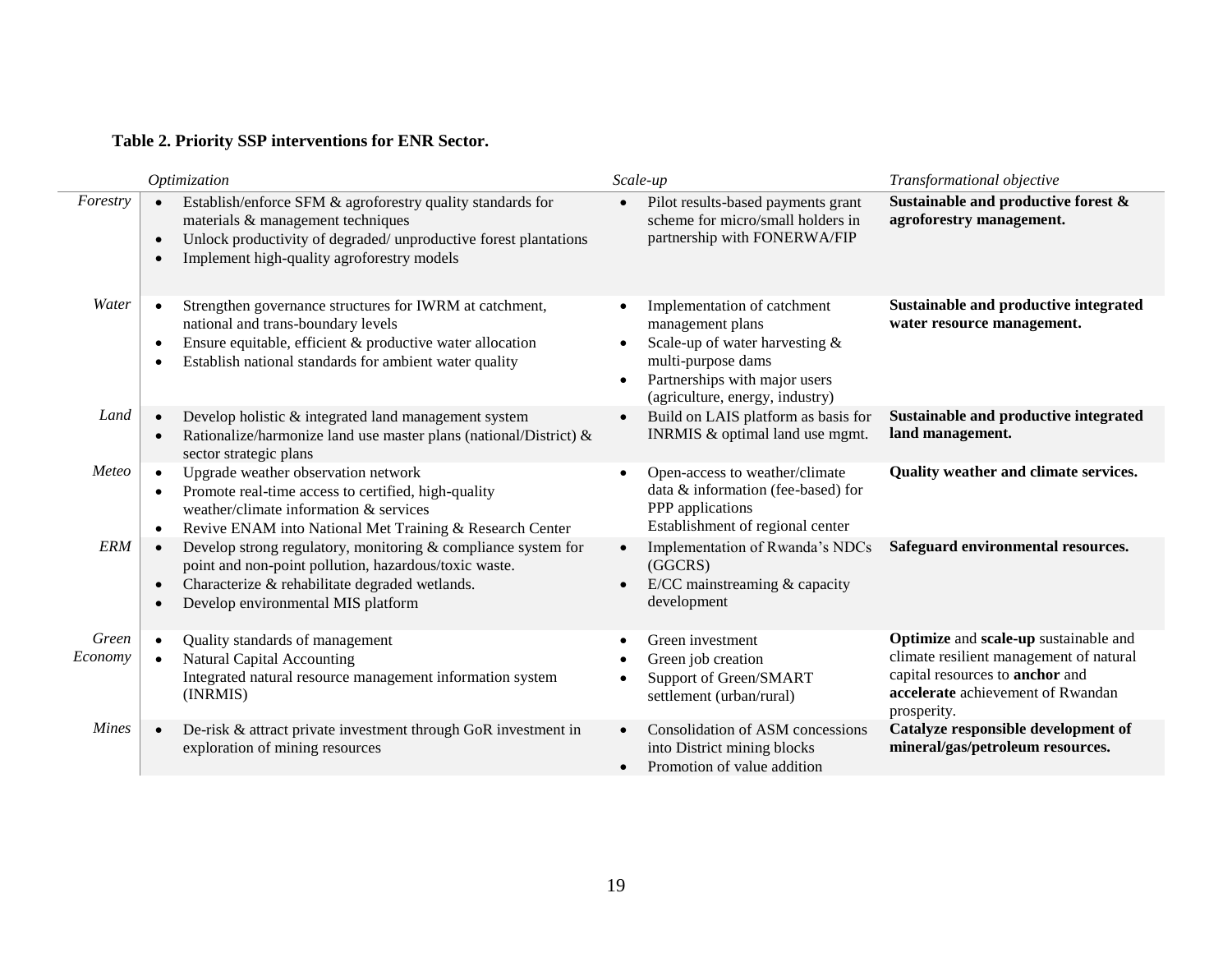#### **Table 2. Priority SSP interventions for ENR Sector.**

|                  | Optimization                                                                                                                                                                                                         | Scale-up                                                                                                                                                                                              | Transformational objective                                                                                                                                              |
|------------------|----------------------------------------------------------------------------------------------------------------------------------------------------------------------------------------------------------------------|-------------------------------------------------------------------------------------------------------------------------------------------------------------------------------------------------------|-------------------------------------------------------------------------------------------------------------------------------------------------------------------------|
| Forestry         | Establish/enforce SFM & agroforestry quality standards for<br>materials & management techniques<br>Unlock productivity of degraded/unproductive forest plantations<br>Implement high-quality agroforestry models     | Pilot results-based payments grant<br>scheme for micro/small holders in<br>partnership with FONERWA/FIP                                                                                               | Sustainable and productive forest &<br>agroforestry management.                                                                                                         |
| Water            | Strengthen governance structures for IWRM at catchment,<br>national and trans-boundary levels<br>Ensure equitable, efficient & productive water allocation<br>Establish national standards for ambient water quality | Implementation of catchment<br>$\bullet$<br>management plans<br>Scale-up of water harvesting &<br>multi-purpose dams<br>Partnerships with major users<br>$\bullet$<br>(agriculture, energy, industry) | Sustainable and productive integrated<br>water resource management.                                                                                                     |
| Land             | Develop holistic & integrated land management system<br>Rationalize/harmonize land use master plans (national/District) &<br>sector strategic plans                                                                  | Build on LAIS platform as basis for<br>$\bullet$<br>INRMIS & optimal land use mgmt.                                                                                                                   | Sustainable and productive integrated<br>land management.                                                                                                               |
| Meteo            | Upgrade weather observation network<br>Promote real-time access to certified, high-quality<br>weather/climate information & services<br>Revive ENAM into National Met Training & Research Center                     | Open-access to weather/climate<br>$\bullet$<br>data & information (fee-based) for<br>PPP applications<br>Establishment of regional center                                                             | Quality weather and climate services.                                                                                                                                   |
| <b>ERM</b>       | Develop strong regulatory, monitoring & compliance system for<br>point and non-point pollution, hazardous/toxic waste.<br>Characterize & rehabilitate degraded wetlands.<br>Develop environmental MIS platform       | Implementation of Rwanda's NDCs<br>$\bullet$<br>(GGCRS)<br>E/CC mainstreaming & capacity<br>$\bullet$<br>development                                                                                  | Safeguard environmental resources.                                                                                                                                      |
| Green<br>Economy | Quality standards of management<br><b>Natural Capital Accounting</b><br>Integrated natural resource management information system<br>(INRMIS)                                                                        | Green investment<br>$\bullet$<br>Green job creation<br>$\bullet$<br>Support of Green/SMART<br>settlement (urban/rural)                                                                                | Optimize and scale-up sustainable and<br>climate resilient management of natural<br>capital resources to anchor and<br>accelerate achievement of Rwandan<br>prosperity. |
| <b>Mines</b>     | De-risk & attract private investment through GoR investment in<br>exploration of mining resources                                                                                                                    | Consolidation of ASM concessions<br>$\bullet$<br>into District mining blocks<br>Promotion of value addition<br>$\bullet$                                                                              | Catalyze responsible development of<br>mineral/gas/petroleum resources.                                                                                                 |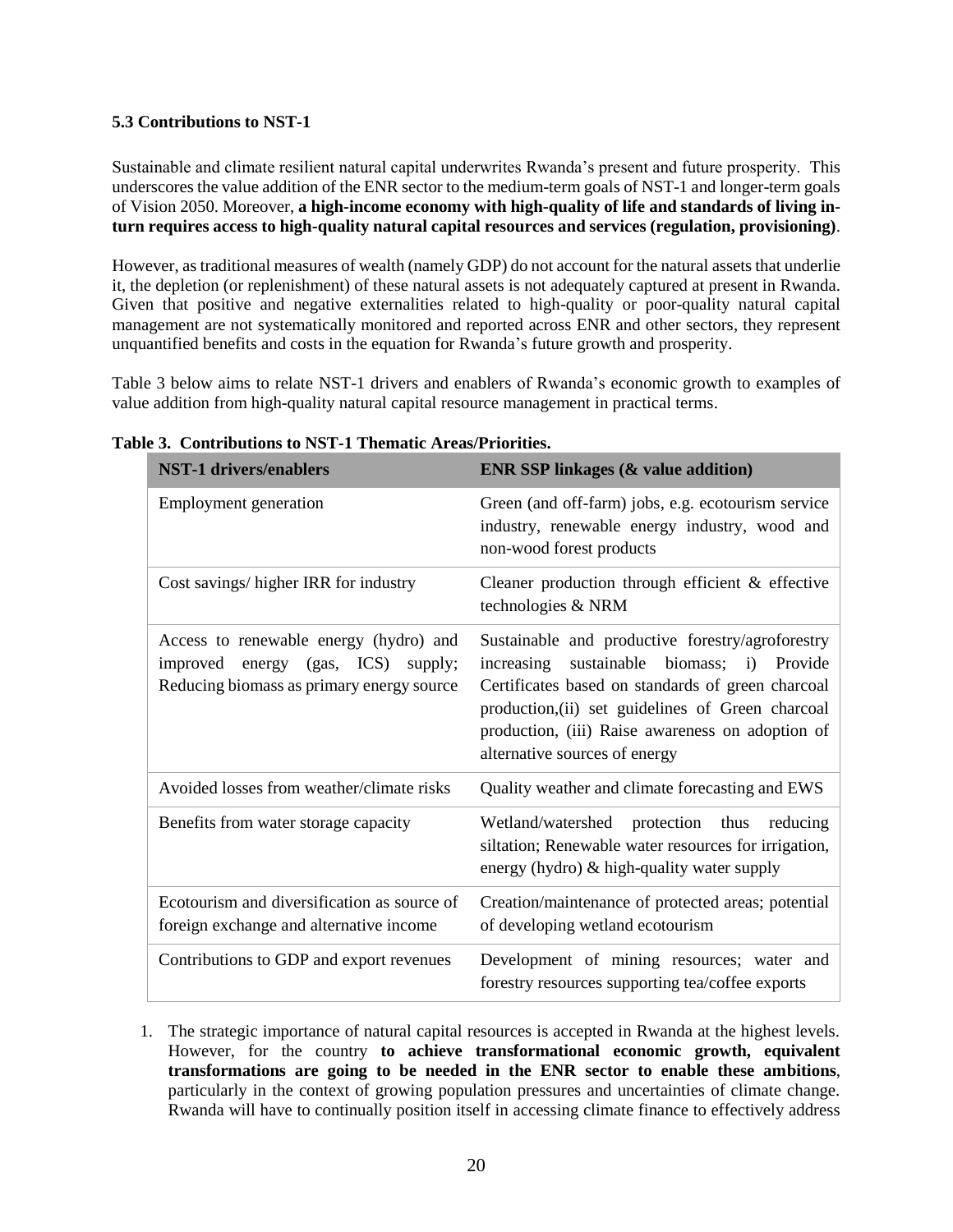#### <span id="page-19-0"></span>**5.3 Contributions to NST-1**

Sustainable and climate resilient natural capital underwrites Rwanda's present and future prosperity. This underscores the value addition of the ENR sector to the medium-term goals of NST-1 and longer-term goals of Vision 2050. Moreover, **a high-income economy with high-quality of life and standards of living inturn requires access to high-quality natural capital resources and services (regulation, provisioning)**.

However, as traditional measures of wealth (namely GDP) do not account for the natural assets that underlie it, the depletion (or replenishment) of these natural assets is not adequately captured at present in Rwanda. Given that positive and negative externalities related to high-quality or poor-quality natural capital management are not systematically monitored and reported across ENR and other sectors, they represent unquantified benefits and costs in the equation for Rwanda's future growth and prosperity.

Table 3 below aims to relate NST-1 drivers and enablers of Rwanda's economic growth to examples of value addition from high-quality natural capital resource management in practical terms.

| <b>NST-1 drivers/enablers</b>                                                                                                            | <b>ENR SSP linkages (&amp; value addition)</b>                                                                                                                                                                                                                                                                      |
|------------------------------------------------------------------------------------------------------------------------------------------|---------------------------------------------------------------------------------------------------------------------------------------------------------------------------------------------------------------------------------------------------------------------------------------------------------------------|
| Employment generation                                                                                                                    | Green (and off-farm) jobs, e.g. ecotourism service<br>industry, renewable energy industry, wood and<br>non-wood forest products                                                                                                                                                                                     |
| Cost savings/ higher IRR for industry                                                                                                    | Cleaner production through efficient & effective<br>technologies & NRM                                                                                                                                                                                                                                              |
| Access to renewable energy (hydro) and<br>energy $(gas, \text{ICS})$<br>improved<br>supply;<br>Reducing biomass as primary energy source | Sustainable and productive forestry/agroforestry<br>biomass;<br>sustainable<br>Provide<br>increasing<br>$\mathbf{i}$<br>Certificates based on standards of green charcoal<br>production, (ii) set guidelines of Green charcoal<br>production, (iii) Raise awareness on adoption of<br>alternative sources of energy |
| Avoided losses from weather/climate risks                                                                                                | Quality weather and climate forecasting and EWS                                                                                                                                                                                                                                                                     |
| Benefits from water storage capacity                                                                                                     | Wetland/watershed protection thus reducing<br>siltation; Renewable water resources for irrigation,<br>energy (hydro) & high-quality water supply                                                                                                                                                                    |
| Ecotourism and diversification as source of<br>foreign exchange and alternative income                                                   | Creation/maintenance of protected areas; potential<br>of developing wetland ecotourism                                                                                                                                                                                                                              |
| Contributions to GDP and export revenues                                                                                                 | Development of mining resources; water and<br>forestry resources supporting tea/coffee exports                                                                                                                                                                                                                      |

#### **Table 3. Contributions to NST-1 Thematic Areas/Priorities.**

<sup>1.</sup> The strategic importance of natural capital resources is accepted in Rwanda at the highest levels. However, for the country **to achieve transformational economic growth, equivalent transformations are going to be needed in the ENR sector to enable these ambitions**, particularly in the context of growing population pressures and uncertainties of climate change. Rwanda will have to continually position itself in accessing climate finance to effectively address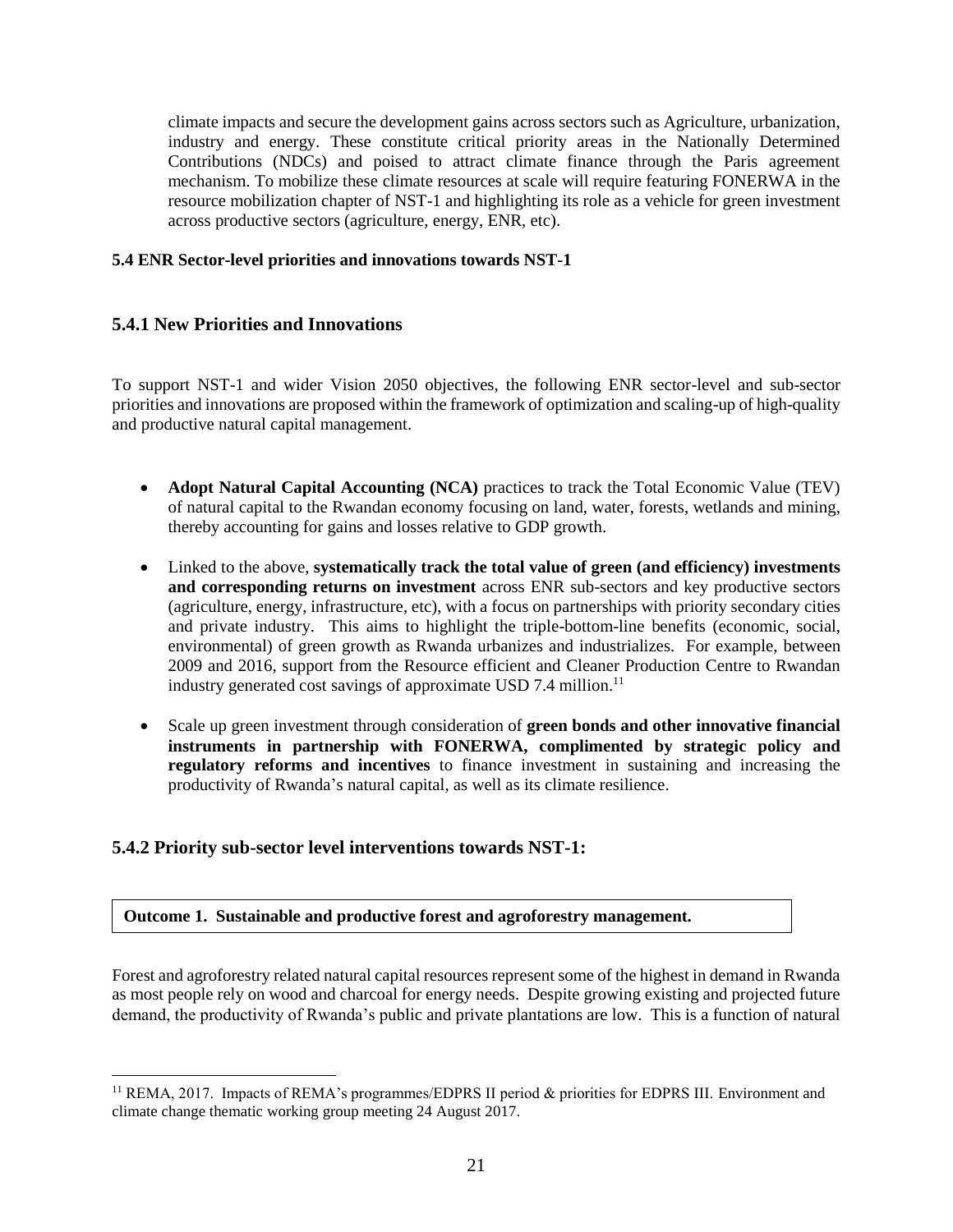climate impacts and secure the development gains across sectors such as Agriculture, urbanization, industry and energy. These constitute critical priority areas in the Nationally Determined Contributions (NDCs) and poised to attract climate finance through the Paris agreement mechanism. To mobilize these climate resources at scale will require featuring FONERWA in the resource mobilization chapter of NST-1 and highlighting its role as a vehicle for green investment across productive sectors (agriculture, energy, ENR, etc).

#### <span id="page-20-0"></span>**5.4 ENR Sector-level priorities and innovations towards NST-1**

#### <span id="page-20-1"></span>**5.4.1 New Priorities and Innovations**

To support NST-1 and wider Vision 2050 objectives, the following ENR sector-level and sub-sector priorities and innovations are proposed within the framework of optimization and scaling-up of high-quality and productive natural capital management.

- **Adopt Natural Capital Accounting (NCA)** practices to track the Total Economic Value (TEV) of natural capital to the Rwandan economy focusing on land, water, forests, wetlands and mining, thereby accounting for gains and losses relative to GDP growth.
- Linked to the above, **systematically track the total value of green (and efficiency) investments and corresponding returns on investment** across ENR sub-sectors and key productive sectors (agriculture, energy, infrastructure, etc), with a focus on partnerships with priority secondary cities and private industry. This aims to highlight the triple-bottom-line benefits (economic, social, environmental) of green growth as Rwanda urbanizes and industrializes. For example, between 2009 and 2016, support from the Resource efficient and Cleaner Production Centre to Rwandan industry generated cost savings of approximate USD 7.4 million.<sup>11</sup>
- Scale up green investment through consideration of **green bonds and other innovative financial instruments in partnership with FONERWA, complimented by strategic policy and regulatory reforms and incentives** to finance investment in sustaining and increasing the productivity of Rwanda's natural capital, as well as its climate resilience.

#### <span id="page-20-2"></span>**5.4.2 Priority sub-sector level interventions towards NST-1:**

 $\overline{a}$ 

#### **Outcome 1. Sustainable and productive forest and agroforestry management.**

Forest and agroforestry related natural capital resources represent some of the highest in demand in Rwanda as most people rely on wood and charcoal for energy needs. Despite growing existing and projected future demand, the productivity of Rwanda's public and private plantations are low. This is a function of natural

<sup>&</sup>lt;sup>11</sup> REMA, 2017. Impacts of REMA's programmes/EDPRS II period & priorities for EDPRS III. Environment and climate change thematic working group meeting 24 August 2017.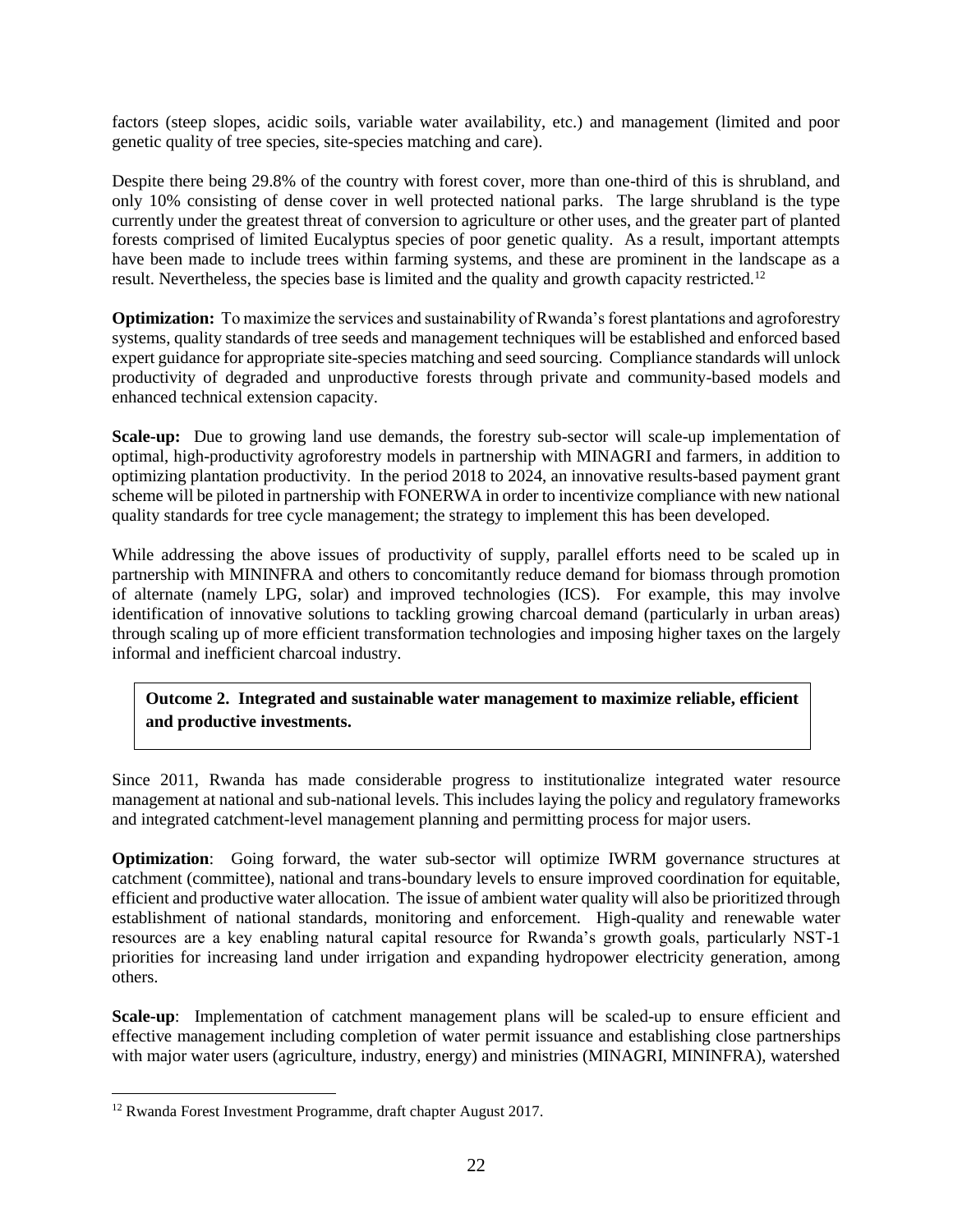factors (steep slopes, acidic soils, variable water availability, etc.) and management (limited and poor genetic quality of tree species, site-species matching and care).

Despite there being 29.8% of the country with forest cover, more than one-third of this is shrubland, and only 10% consisting of dense cover in well protected national parks. The large shrubland is the type currently under the greatest threat of conversion to agriculture or other uses, and the greater part of planted forests comprised of limited Eucalyptus species of poor genetic quality. As a result, important attempts have been made to include trees within farming systems, and these are prominent in the landscape as a result. Nevertheless, the species base is limited and the quality and growth capacity restricted.<sup>12</sup>

**Optimization:** To maximize the services and sustainability of Rwanda's forest plantations and agroforestry systems, quality standards of tree seeds and management techniques will be established and enforced based expert guidance for appropriate site-species matching and seed sourcing. Compliance standards will unlock productivity of degraded and unproductive forests through private and community-based models and enhanced technical extension capacity.

**Scale-up:** Due to growing land use demands, the forestry sub-sector will scale-up implementation of optimal, high-productivity agroforestry models in partnership with MINAGRI and farmers, in addition to optimizing plantation productivity. In the period 2018 to 2024, an innovative results-based payment grant scheme will be piloted in partnership with FONERWA in order to incentivize compliance with new national quality standards for tree cycle management; the strategy to implement this has been developed.

While addressing the above issues of productivity of supply, parallel efforts need to be scaled up in partnership with MININFRA and others to concomitantly reduce demand for biomass through promotion of alternate (namely LPG, solar) and improved technologies (ICS). For example, this may involve identification of innovative solutions to tackling growing charcoal demand (particularly in urban areas) through scaling up of more efficient transformation technologies and imposing higher taxes on the largely informal and inefficient charcoal industry.

**Outcome 2. Integrated and sustainable water management to maximize reliable, efficient and productive investments.** 

Since 2011, Rwanda has made considerable progress to institutionalize integrated water resource management at national and sub-national levels. This includes laying the policy and regulatory frameworks and integrated catchment-level management planning and permitting process for major users.

**Optimization**: Going forward, the water sub-sector will optimize IWRM governance structures at catchment (committee), national and trans-boundary levels to ensure improved coordination for equitable, efficient and productive water allocation. The issue of ambient water quality will also be prioritized through establishment of national standards, monitoring and enforcement. High-quality and renewable water resources are a key enabling natural capital resource for Rwanda's growth goals, particularly NST-1 priorities for increasing land under irrigation and expanding hydropower electricity generation, among others.

**Scale-up**: Implementation of catchment management plans will be scaled-up to ensure efficient and effective management including completion of water permit issuance and establishing close partnerships with major water users (agriculture, industry, energy) and ministries (MINAGRI, MININFRA), watershed

<sup>12</sup> Rwanda Forest Investment Programme, draft chapter August 2017.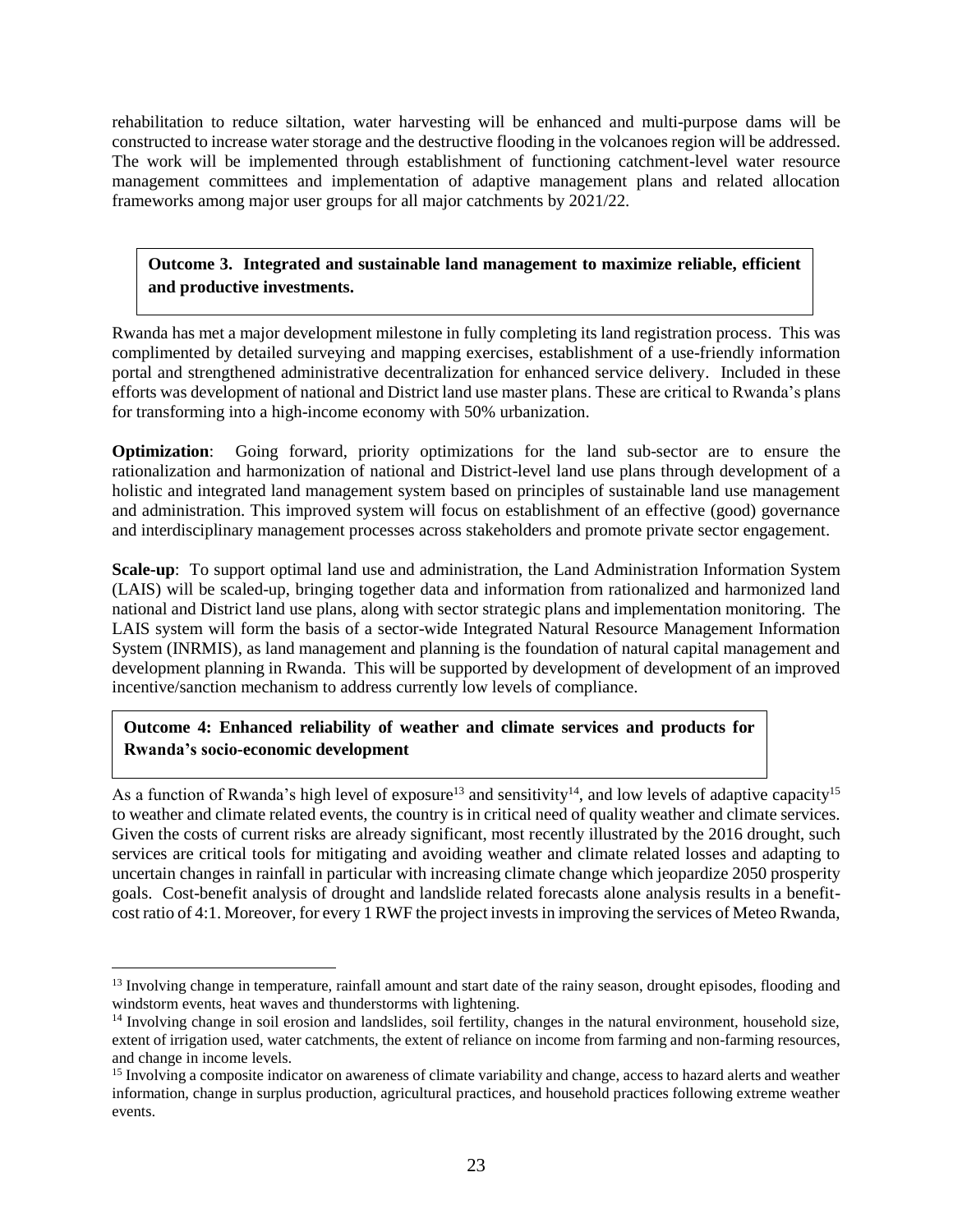rehabilitation to reduce siltation, water harvesting will be enhanced and multi-purpose dams will be constructed to increase water storage and the destructive flooding in the volcanoes region will be addressed. The work will be implemented through establishment of functioning catchment-level water resource management committees and implementation of adaptive management plans and related allocation frameworks among major user groups for all major catchments by 2021/22.

**Outcome 3. Integrated and sustainable land management to maximize reliable, efficient and productive investments.** 

Rwanda has met a major development milestone in fully completing its land registration process. This was complimented by detailed surveying and mapping exercises, establishment of a use-friendly information portal and strengthened administrative decentralization for enhanced service delivery. Included in these efforts was development of national and District land use master plans. These are critical to Rwanda's plans for transforming into a high-income economy with 50% urbanization.

**Optimization**: Going forward, priority optimizations for the land sub-sector are to ensure the rationalization and harmonization of national and District-level land use plans through development of a holistic and integrated land management system based on principles of sustainable land use management and administration. This improved system will focus on establishment of an effective (good) governance and interdisciplinary management processes across stakeholders and promote private sector engagement.

**Scale-up**: To support optimal land use and administration, the Land Administration Information System (LAIS) will be scaled-up, bringing together data and information from rationalized and harmonized land national and District land use plans, along with sector strategic plans and implementation monitoring. The LAIS system will form the basis of a sector-wide Integrated Natural Resource Management Information System (INRMIS), as land management and planning is the foundation of natural capital management and development planning in Rwanda. This will be supported by development of development of an improved incentive/sanction mechanism to address currently low levels of compliance.

#### **Outcome 4: Enhanced reliability of weather and climate services and products for Rwanda's socio-economic development**

As a function of Rwanda's high level of exposure<sup>13</sup> and sensitivity<sup>14</sup>, and low levels of adaptive capacity<sup>15</sup> to weather and climate related events, the country is in critical need of quality weather and climate services. Given the costs of current risks are already significant, most recently illustrated by the 2016 drought, such services are critical tools for mitigating and avoiding weather and climate related losses and adapting to uncertain changes in rainfall in particular with increasing climate change which jeopardize 2050 prosperity goals. Cost-benefit analysis of drought and landslide related forecasts alone analysis results in a benefitcost ratio of 4:1. Moreover, for every 1 RWF the project invests in improving the services of Meteo Rwanda,

<sup>&</sup>lt;sup>13</sup> Involving change in temperature, rainfall amount and start date of the rainy season, drought episodes, flooding and windstorm events, heat waves and thunderstorms with lightening.

 $14$  Involving change in soil erosion and landslides, soil fertility, changes in the natural environment, household size, extent of irrigation used, water catchments, the extent of reliance on income from farming and non-farming resources, and change in income levels.

<sup>&</sup>lt;sup>15</sup> Involving a composite indicator on awareness of climate variability and change, access to hazard alerts and weather information, change in surplus production, agricultural practices, and household practices following extreme weather events.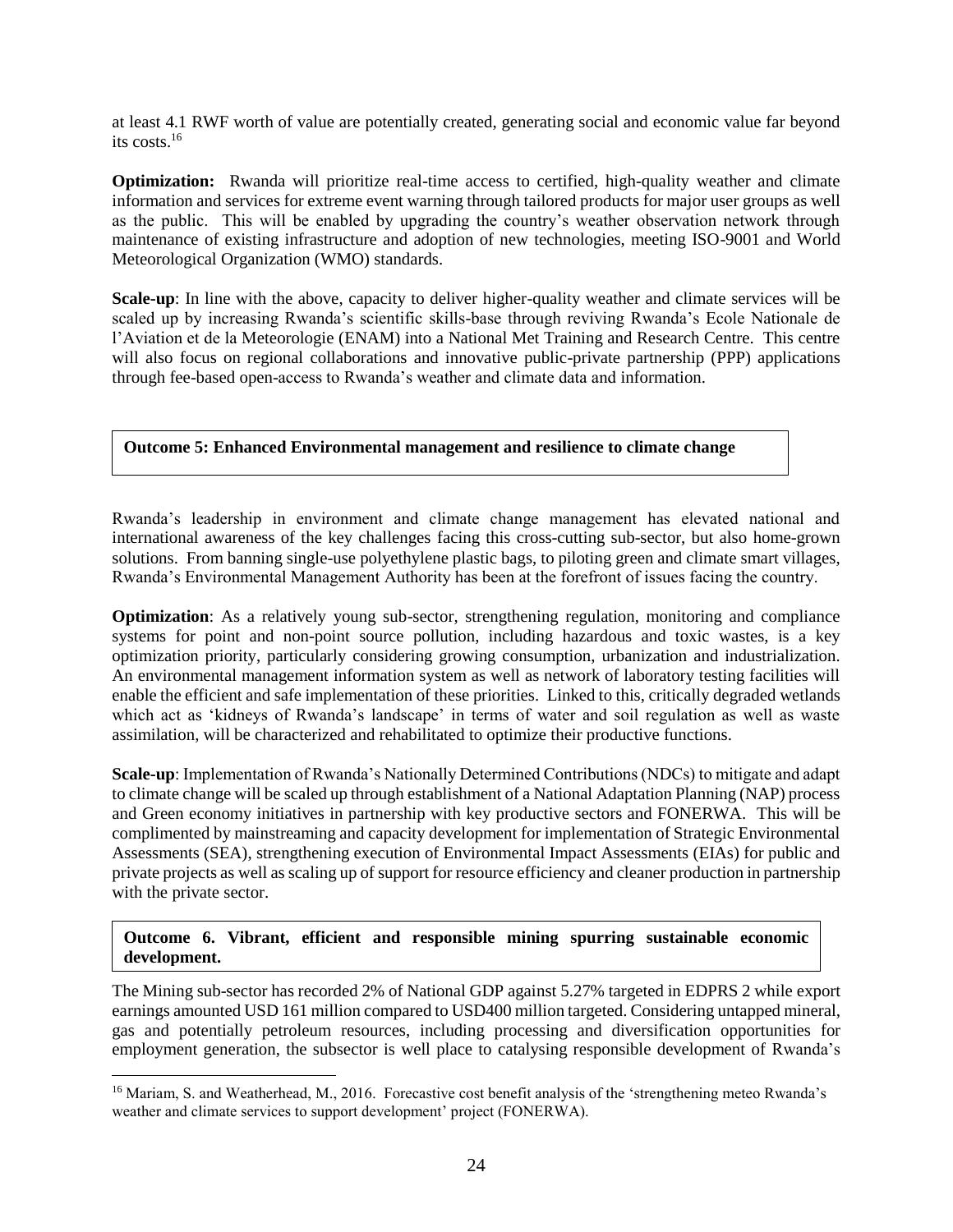at least 4.1 RWF worth of value are potentially created, generating social and economic value far beyond its costs.<sup>16</sup>

**Optimization:** Rwanda will prioritize real-time access to certified, high-quality weather and climate information and services for extreme event warning through tailored products for major user groups as well as the public. This will be enabled by upgrading the country's weather observation network through maintenance of existing infrastructure and adoption of new technologies, meeting ISO-9001 and World Meteorological Organization (WMO) standards.

**Scale-up**: In line with the above, capacity to deliver higher-quality weather and climate services will be scaled up by increasing Rwanda's scientific skills-base through reviving Rwanda's Ecole Nationale de l'Aviation et de la Meteorologie (ENAM) into a National Met Training and Research Centre. This centre will also focus on regional collaborations and innovative public-private partnership (PPP) applications through fee-based open-access to Rwanda's weather and climate data and information.

#### **Outcome 5: Enhanced Environmental management and resilience to climate change**

Rwanda's leadership in environment and climate change management has elevated national and international awareness of the key challenges facing this cross-cutting sub-sector, but also home-grown solutions. From banning single-use polyethylene plastic bags, to piloting green and climate smart villages, Rwanda's Environmental Management Authority has been at the forefront of issues facing the country.

**Optimization**: As a relatively young sub-sector, strengthening regulation, monitoring and compliance systems for point and non-point source pollution, including hazardous and toxic wastes, is a key optimization priority, particularly considering growing consumption, urbanization and industrialization. An environmental management information system as well as network of laboratory testing facilities will enable the efficient and safe implementation of these priorities. Linked to this, critically degraded wetlands which act as 'kidneys of Rwanda's landscape' in terms of water and soil regulation as well as waste assimilation, will be characterized and rehabilitated to optimize their productive functions.

**Scale-up**: Implementation of Rwanda's Nationally Determined Contributions (NDCs) to mitigate and adapt to climate change will be scaled up through establishment of a National Adaptation Planning (NAP) process and Green economy initiatives in partnership with key productive sectors and FONERWA. This will be complimented by mainstreaming and capacity development for implementation of Strategic Environmental Assessments (SEA), strengthening execution of Environmental Impact Assessments (EIAs) for public and private projects as well as scaling up of support for resource efficiency and cleaner production in partnership with the private sector.

#### **Outcome 6. Vibrant, efficient and responsible mining spurring sustainable economic development.**

The Mining sub-sector has recorded 2% of National GDP against 5.27% targeted in EDPRS 2 while export earnings amounted USD 161 million compared to USD400 million targeted. Considering untapped mineral, gas and potentially petroleum resources, including processing and diversification opportunities for employment generation, the subsector is well place to catalysing responsible development of Rwanda's

<sup>&</sup>lt;sup>16</sup> Mariam, S. and Weatherhead, M., 2016. Forecastive cost benefit analysis of the 'strengthening meteo Rwanda's weather and climate services to support development' project (FONERWA).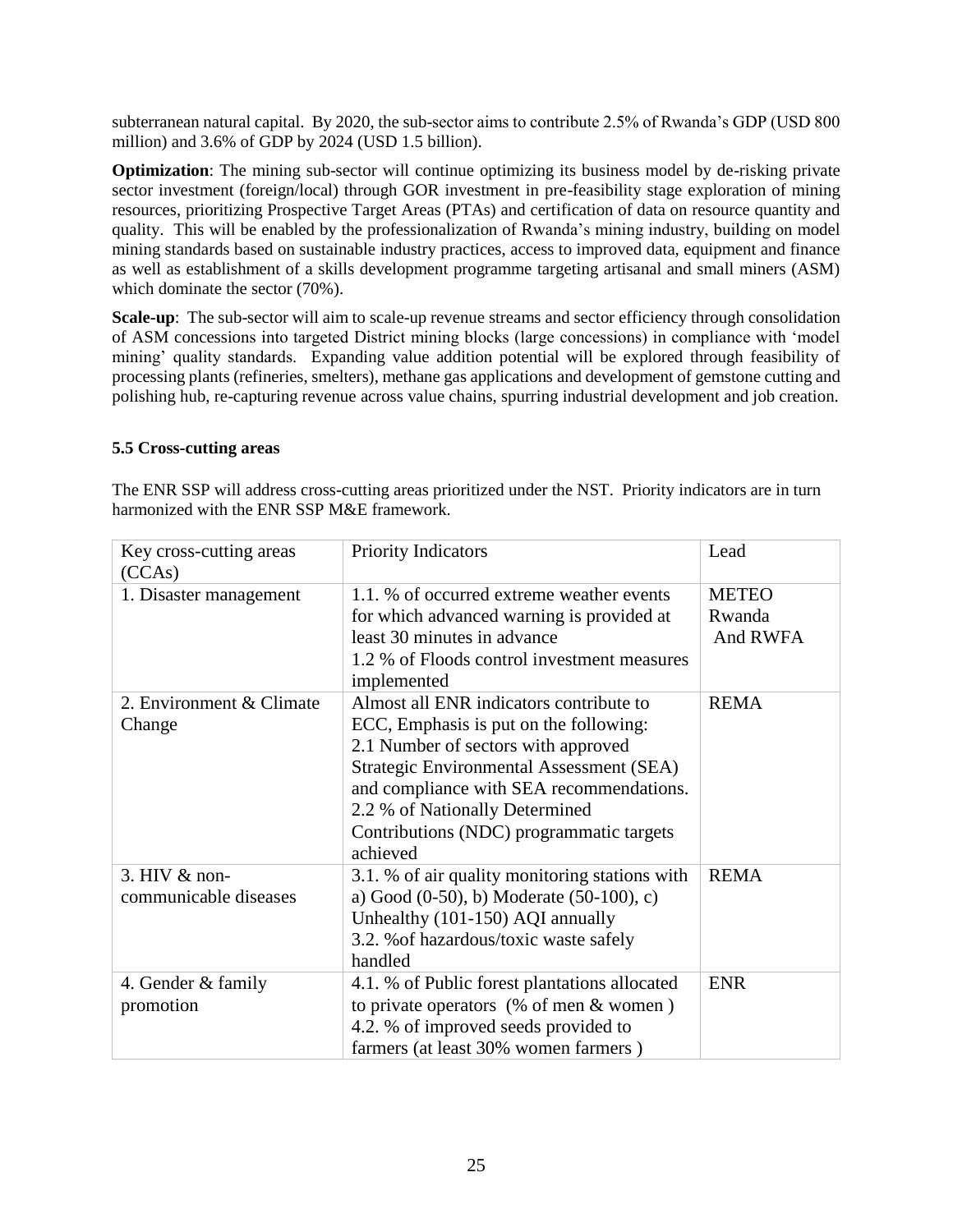subterranean natural capital. By 2020, the sub-sector aims to contribute 2.5% of Rwanda's GDP (USD 800 million) and 3.6% of GDP by 2024 (USD 1.5 billion).

**Optimization**: The mining sub-sector will continue optimizing its business model by de-risking private sector investment (foreign/local) through GOR investment in pre-feasibility stage exploration of mining resources, prioritizing Prospective Target Areas (PTAs) and certification of data on resource quantity and quality. This will be enabled by the professionalization of Rwanda's mining industry, building on model mining standards based on sustainable industry practices, access to improved data, equipment and finance as well as establishment of a skills development programme targeting artisanal and small miners (ASM) which dominate the sector (70%).

**Scale-up**: The sub-sector will aim to scale-up revenue streams and sector efficiency through consolidation of ASM concessions into targeted District mining blocks (large concessions) in compliance with 'model mining' quality standards. Expanding value addition potential will be explored through feasibility of processing plants (refineries, smelters), methane gas applications and development of gemstone cutting and polishing hub, re-capturing revenue across value chains, spurring industrial development and job creation.

#### <span id="page-24-0"></span>**5.5 Cross-cutting areas**

The ENR SSP will address cross-cutting areas prioritized under the NST. Priority indicators are in turn harmonized with the ENR SSP M&E framework.

| Key cross-cutting areas<br>(CCAs)      | <b>Priority Indicators</b>                                                                                                                                                                                                                                                                                 | Lead                               |
|----------------------------------------|------------------------------------------------------------------------------------------------------------------------------------------------------------------------------------------------------------------------------------------------------------------------------------------------------------|------------------------------------|
| 1. Disaster management                 | 1.1. % of occurred extreme weather events<br>for which advanced warning is provided at<br>least 30 minutes in advance<br>1.2 % of Floods control investment measures<br>implemented                                                                                                                        | <b>METEO</b><br>Rwanda<br>And RWFA |
| 2. Environment & Climate<br>Change     | Almost all ENR indicators contribute to<br>ECC, Emphasis is put on the following:<br>2.1 Number of sectors with approved<br>Strategic Environmental Assessment (SEA)<br>and compliance with SEA recommendations.<br>2.2 % of Nationally Determined<br>Contributions (NDC) programmatic targets<br>achieved | <b>REMA</b>                        |
| 3. HIV & non-<br>communicable diseases | 3.1. % of air quality monitoring stations with<br>a) Good $(0-50)$ , b) Moderate $(50-100)$ , c)<br>Unhealthy (101-150) AQI annually<br>3.2. % of hazardous/toxic waste safely<br>handled                                                                                                                  | <b>REMA</b>                        |
| 4. Gender & family<br>promotion        | 4.1. % of Public forest plantations allocated<br>to private operators $(% \mathcal{L}_{0})$ of men & women)<br>4.2. % of improved seeds provided to<br>farmers (at least 30% women farmers)                                                                                                                | <b>ENR</b>                         |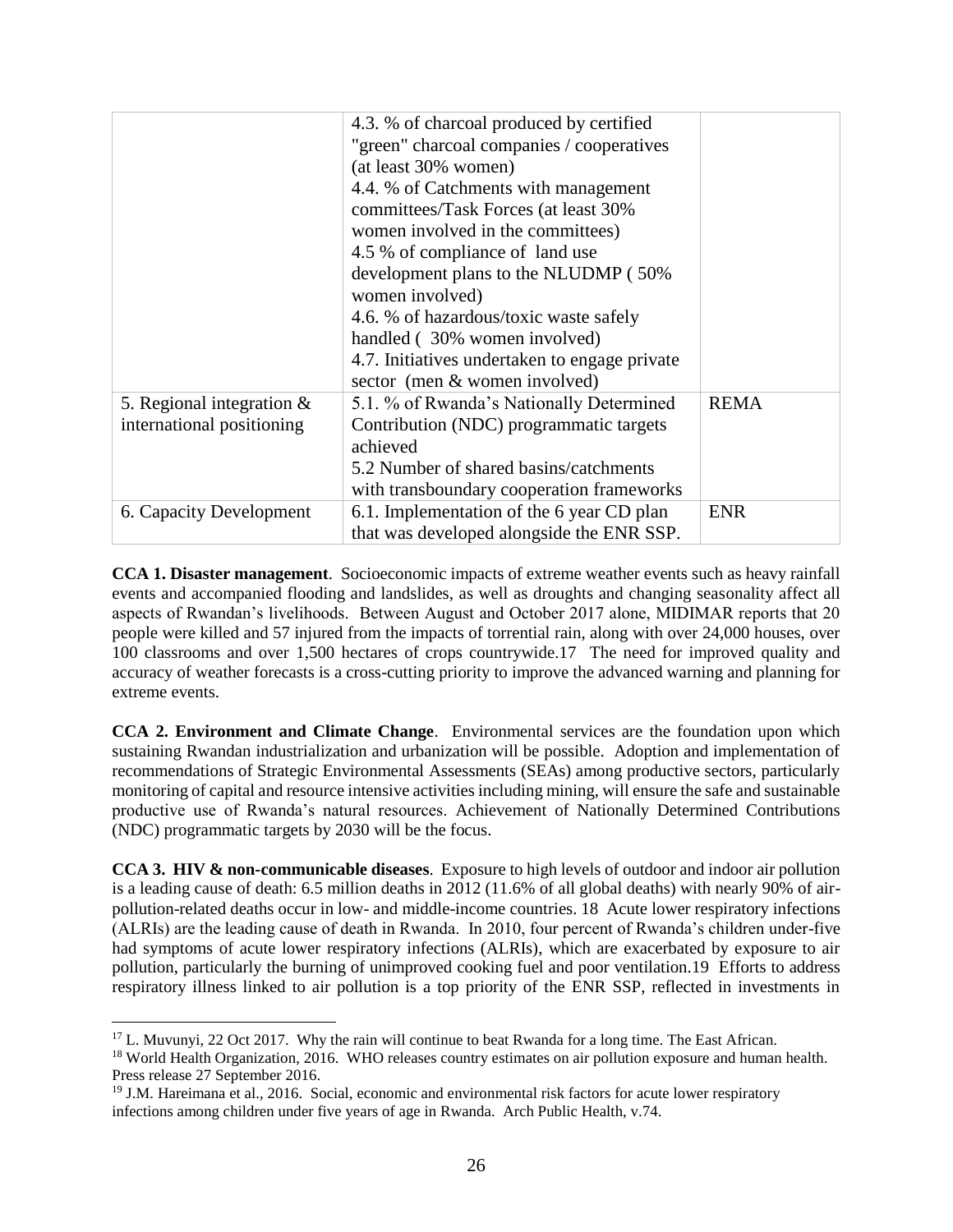|                              | 4.3. % of charcoal produced by certified      |             |
|------------------------------|-----------------------------------------------|-------------|
|                              | "green" charcoal companies / cooperatives     |             |
|                              | (at least 30% women)                          |             |
|                              | 4.4. % of Catchments with management          |             |
|                              | committees/Task Forces (at least 30%          |             |
|                              | women involved in the committees)             |             |
|                              | 4.5 % of compliance of land use               |             |
|                              | development plans to the NLUDMP (50%          |             |
|                              | women involved)                               |             |
|                              | 4.6. % of hazardous/toxic waste safely        |             |
|                              | handled (30% women involved)                  |             |
|                              | 4.7. Initiatives undertaken to engage private |             |
|                              | sector (men & women involved)                 |             |
| 5. Regional integration $\&$ | 5.1. % of Rwanda's Nationally Determined      | <b>REMA</b> |
| international positioning    | Contribution (NDC) programmatic targets       |             |
|                              | achieved                                      |             |
|                              | 5.2 Number of shared basins/catchments        |             |
|                              | with transboundary cooperation frameworks     |             |
| 6. Capacity Development      | 6.1. Implementation of the 6 year CD plan     | <b>ENR</b>  |
|                              | that was developed alongside the ENR SSP.     |             |

**CCA 1. Disaster management**. Socioeconomic impacts of extreme weather events such as heavy rainfall events and accompanied flooding and landslides, as well as droughts and changing seasonality affect all aspects of Rwandan's livelihoods. Between August and October 2017 alone, MIDIMAR reports that 20 people were killed and 57 injured from the impacts of torrential rain, along with over 24,000 houses, over 100 classrooms and over 1,500 hectares of crops countrywide.17 The need for improved quality and accuracy of weather forecasts is a cross-cutting priority to improve the advanced warning and planning for extreme events.

**CCA 2. Environment and Climate Change**. Environmental services are the foundation upon which sustaining Rwandan industrialization and urbanization will be possible. Adoption and implementation of recommendations of Strategic Environmental Assessments (SEAs) among productive sectors, particularly monitoring of capital and resource intensive activities including mining, will ensure the safe and sustainable productive use of Rwanda's natural resources. Achievement of Nationally Determined Contributions (NDC) programmatic targets by 2030 will be the focus.

**CCA 3. HIV & non-communicable diseases**. Exposure to high levels of outdoor and indoor air pollution is a leading cause of death: 6.5 million deaths in 2012 (11.6% of all global deaths) with nearly 90% of airpollution-related deaths occur in low- and middle-income countries. 18 Acute lower respiratory infections (ALRIs) are the leading cause of death in Rwanda. In 2010, four percent of Rwanda's children under-five had symptoms of acute lower respiratory infections (ALRIs), which are exacerbated by exposure to air pollution, particularly the burning of unimproved cooking fuel and poor ventilation.19 Efforts to address respiratory illness linked to air pollution is a top priority of the ENR SSP, reflected in investments in

 $\overline{a}$ <sup>17</sup> L. Muvunyi, 22 Oct 2017. Why the rain will continue to beat Rwanda for a long time. The East African. <sup>18</sup> World Health Organization, 2016. WHO releases country estimates on air pollution exposure and human health. Press release 27 September 2016.

<sup>&</sup>lt;sup>19</sup> J.M. Hareimana et al., 2016. Social, economic and environmental risk factors for acute lower respiratory infections among children under five years of age in Rwanda. Arch Public Health, v.74.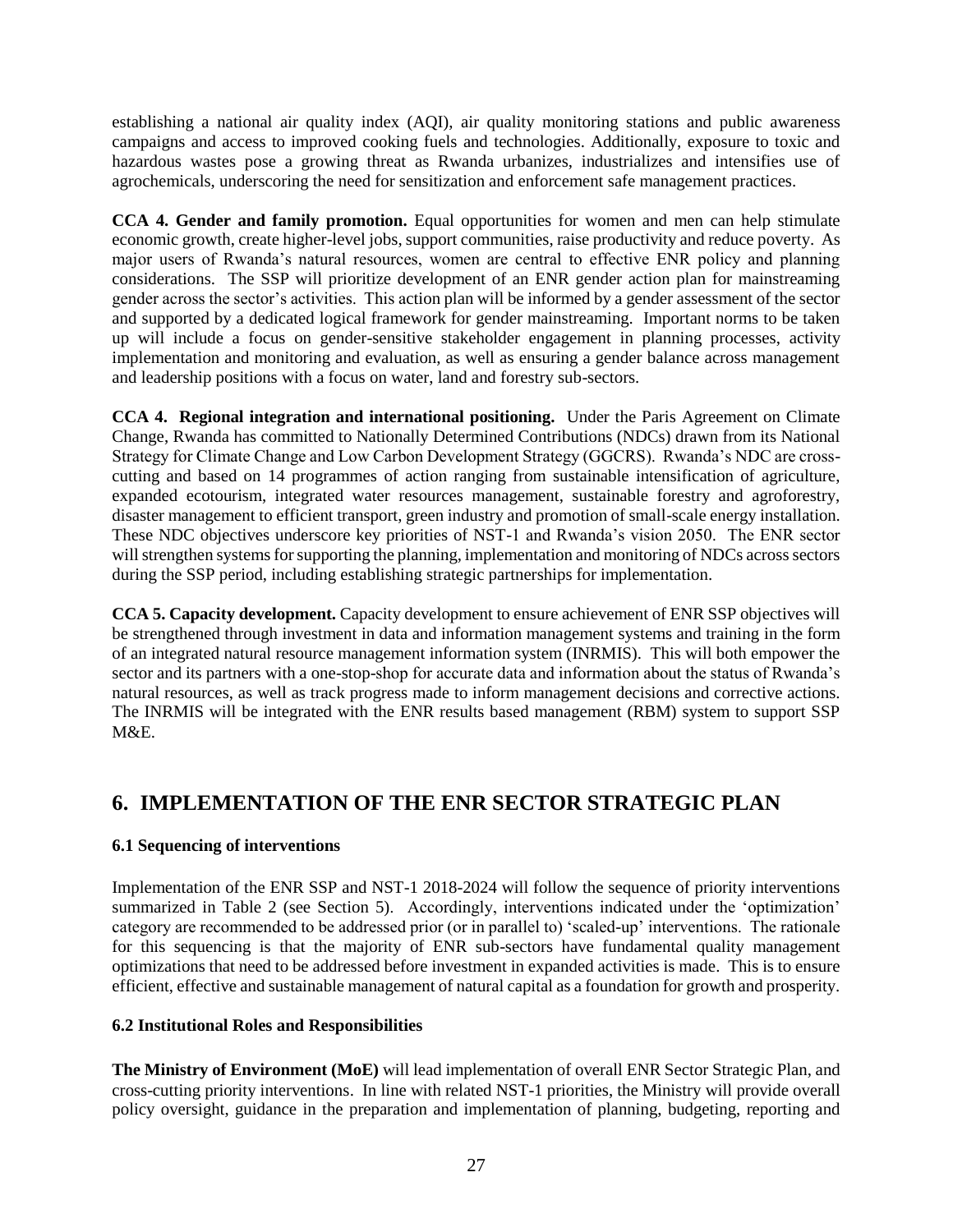establishing a national air quality index (AQI), air quality monitoring stations and public awareness campaigns and access to improved cooking fuels and technologies. Additionally, exposure to toxic and hazardous wastes pose a growing threat as Rwanda urbanizes, industrializes and intensifies use of agrochemicals, underscoring the need for sensitization and enforcement safe management practices.

**CCA 4. Gender and family promotion.** Equal opportunities for women and men can help stimulate economic growth, create higher-level jobs, support communities, raise productivity and reduce poverty. As major users of Rwanda's natural resources, women are central to effective ENR policy and planning considerations. The SSP will prioritize development of an ENR gender action plan for mainstreaming gender across the sector's activities. This action plan will be informed by a gender assessment of the sector and supported by a dedicated logical framework for gender mainstreaming. Important norms to be taken up will include a focus on gender-sensitive stakeholder engagement in planning processes, activity implementation and monitoring and evaluation, as well as ensuring a gender balance across management and leadership positions with a focus on water, land and forestry sub-sectors.

**CCA 4. Regional integration and international positioning.** Under the Paris Agreement on Climate Change, Rwanda has committed to Nationally Determined Contributions (NDCs) drawn from its National Strategy for Climate Change and Low Carbon Development Strategy (GGCRS). Rwanda's NDC are crosscutting and based on 14 programmes of action ranging from sustainable intensification of agriculture, expanded ecotourism, integrated water resources management, sustainable forestry and agroforestry, disaster management to efficient transport, green industry and promotion of small-scale energy installation. These NDC objectives underscore key priorities of NST-1 and Rwanda's vision 2050. The ENR sector will strengthen systems for supporting the planning, implementation and monitoring of NDCs across sectors during the SSP period, including establishing strategic partnerships for implementation.

**CCA 5. Capacity development.** Capacity development to ensure achievement of ENR SSP objectives will be strengthened through investment in data and information management systems and training in the form of an integrated natural resource management information system (INRMIS). This will both empower the sector and its partners with a one-stop-shop for accurate data and information about the status of Rwanda's natural resources, as well as track progress made to inform management decisions and corrective actions. The INRMIS will be integrated with the ENR results based management (RBM) system to support SSP  $M\&E$ .

### <span id="page-26-0"></span>**6. IMPLEMENTATION OF THE ENR SECTOR STRATEGIC PLAN**

#### <span id="page-26-1"></span>**6.1 Sequencing of interventions**

Implementation of the ENR SSP and NST-1 2018-2024 will follow the sequence of priority interventions summarized in Table 2 (see Section 5). Accordingly, interventions indicated under the 'optimization' category are recommended to be addressed prior (or in parallel to) 'scaled-up' interventions. The rationale for this sequencing is that the majority of ENR sub-sectors have fundamental quality management optimizations that need to be addressed before investment in expanded activities is made. This is to ensure efficient, effective and sustainable management of natural capital as a foundation for growth and prosperity.

#### <span id="page-26-2"></span>**6.2 Institutional Roles and Responsibilities**

**The Ministry of Environment (MoE)** will lead implementation of overall ENR Sector Strategic Plan, and cross-cutting priority interventions. In line with related NST-1 priorities, the Ministry will provide overall policy oversight, guidance in the preparation and implementation of planning, budgeting, reporting and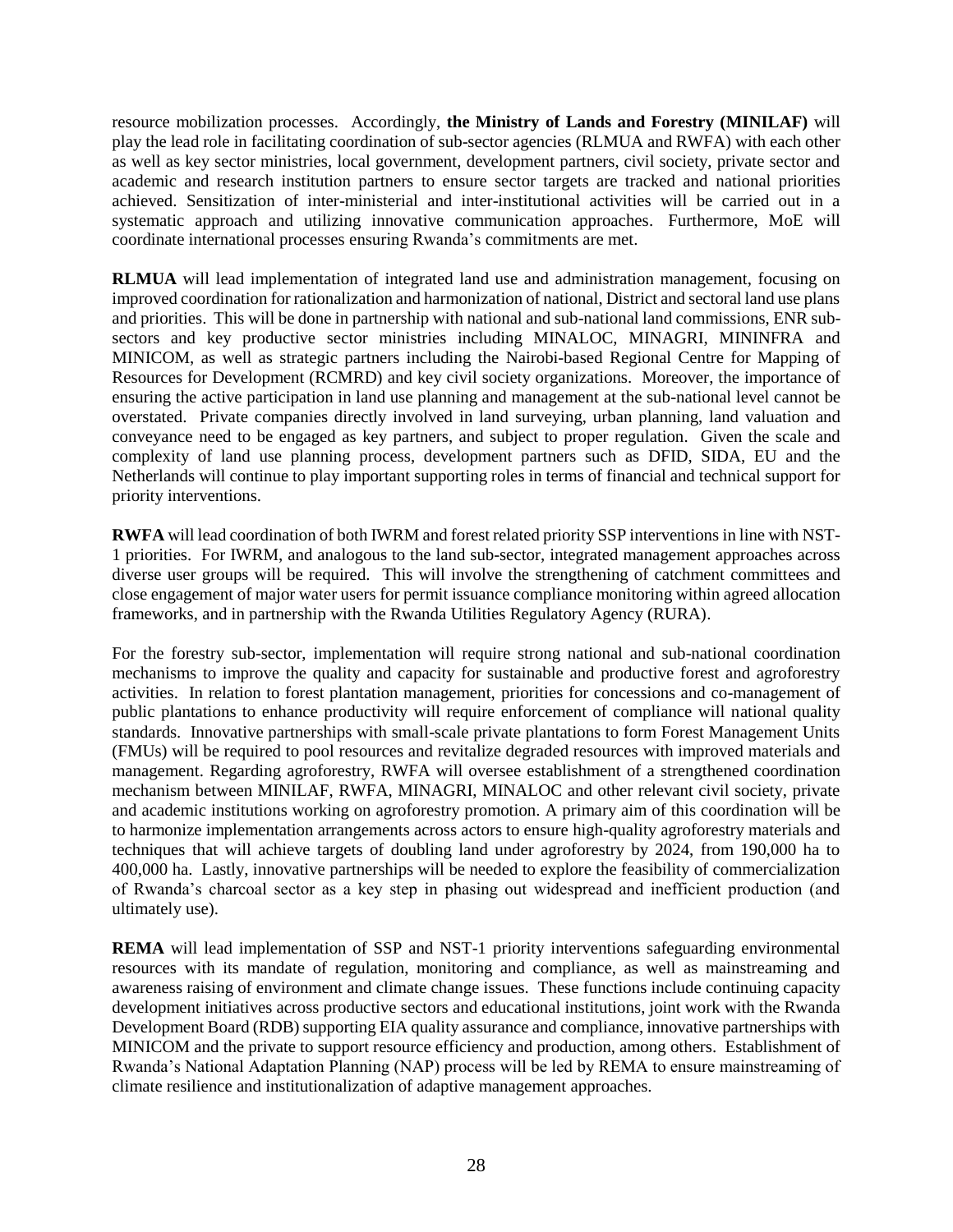resource mobilization processes. Accordingly, **the Ministry of Lands and Forestry (MINILAF)** will play the lead role in facilitating coordination of sub-sector agencies (RLMUA and RWFA) with each other as well as key sector ministries, local government, development partners, civil society, private sector and academic and research institution partners to ensure sector targets are tracked and national priorities achieved. Sensitization of inter-ministerial and inter-institutional activities will be carried out in a systematic approach and utilizing innovative communication approaches. Furthermore, MoE will coordinate international processes ensuring Rwanda's commitments are met.

**RLMUA** will lead implementation of integrated land use and administration management, focusing on improved coordination for rationalization and harmonization of national, District and sectoral land use plans and priorities. This will be done in partnership with national and sub-national land commissions, ENR subsectors and key productive sector ministries including MINALOC, MINAGRI, MININFRA and MINICOM, as well as strategic partners including the Nairobi-based Regional Centre for Mapping of Resources for Development (RCMRD) and key civil society organizations. Moreover, the importance of ensuring the active participation in land use planning and management at the sub-national level cannot be overstated. Private companies directly involved in land surveying, urban planning, land valuation and conveyance need to be engaged as key partners, and subject to proper regulation. Given the scale and complexity of land use planning process, development partners such as DFID, SIDA, EU and the Netherlands will continue to play important supporting roles in terms of financial and technical support for priority interventions.

**RWFA** will lead coordination of both IWRM and forest related priority SSP interventions in line with NST-1 priorities. For IWRM, and analogous to the land sub-sector, integrated management approaches across diverse user groups will be required. This will involve the strengthening of catchment committees and close engagement of major water users for permit issuance compliance monitoring within agreed allocation frameworks, and in partnership with the Rwanda Utilities Regulatory Agency (RURA).

For the forestry sub-sector, implementation will require strong national and sub-national coordination mechanisms to improve the quality and capacity for sustainable and productive forest and agroforestry activities. In relation to forest plantation management, priorities for concessions and co-management of public plantations to enhance productivity will require enforcement of compliance will national quality standards. Innovative partnerships with small-scale private plantations to form Forest Management Units (FMUs) will be required to pool resources and revitalize degraded resources with improved materials and management. Regarding agroforestry, RWFA will oversee establishment of a strengthened coordination mechanism between MINILAF, RWFA, MINAGRI, MINALOC and other relevant civil society, private and academic institutions working on agroforestry promotion. A primary aim of this coordination will be to harmonize implementation arrangements across actors to ensure high-quality agroforestry materials and techniques that will achieve targets of doubling land under agroforestry by 2024, from 190,000 ha to 400,000 ha. Lastly, innovative partnerships will be needed to explore the feasibility of commercialization of Rwanda's charcoal sector as a key step in phasing out widespread and inefficient production (and ultimately use).

**REMA** will lead implementation of SSP and NST-1 priority interventions safeguarding environmental resources with its mandate of regulation, monitoring and compliance, as well as mainstreaming and awareness raising of environment and climate change issues. These functions include continuing capacity development initiatives across productive sectors and educational institutions, joint work with the Rwanda Development Board (RDB) supporting EIA quality assurance and compliance, innovative partnerships with MINICOM and the private to support resource efficiency and production, among others. Establishment of Rwanda's National Adaptation Planning (NAP) process will be led by REMA to ensure mainstreaming of climate resilience and institutionalization of adaptive management approaches.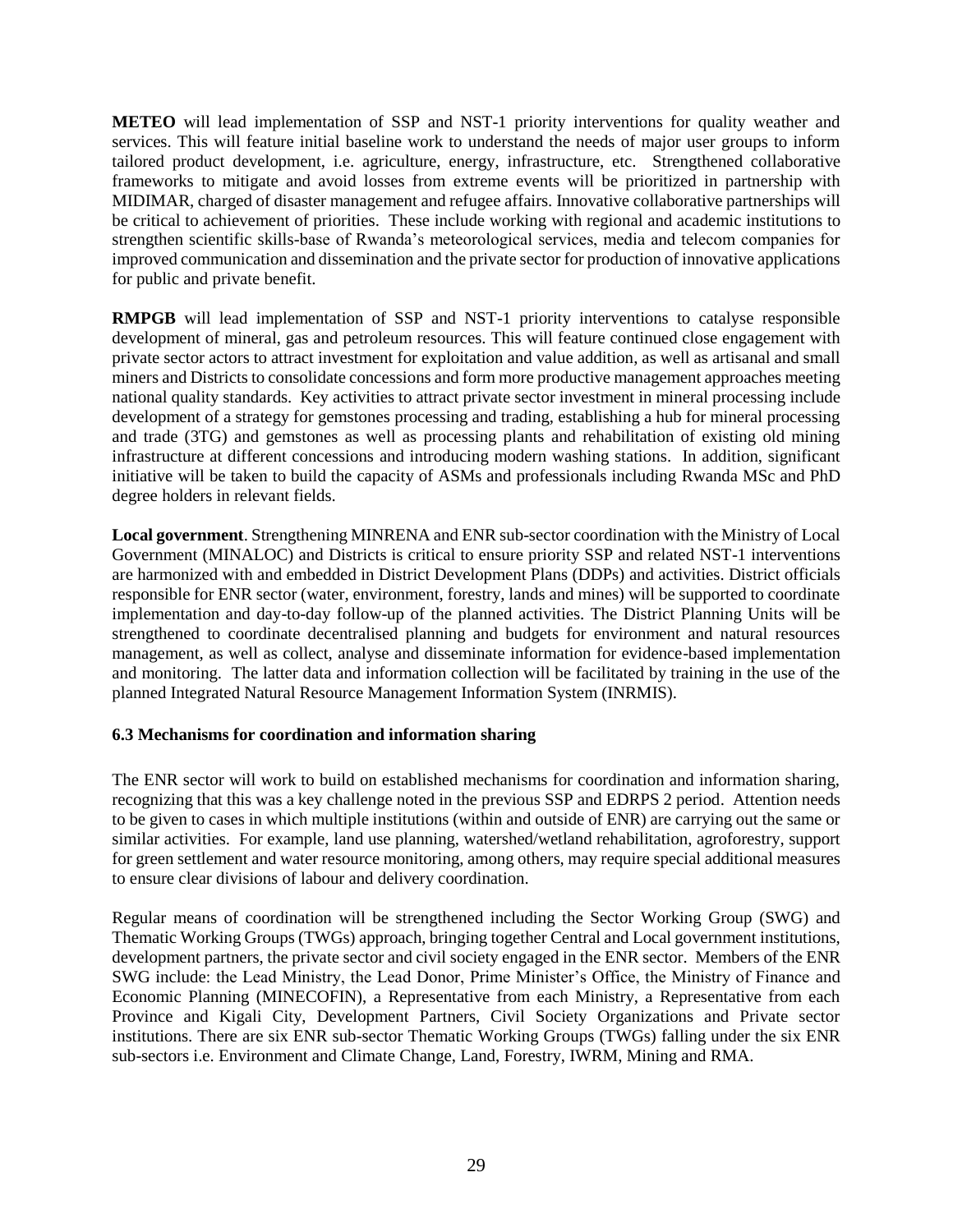**METEO** will lead implementation of SSP and NST-1 priority interventions for quality weather and services. This will feature initial baseline work to understand the needs of major user groups to inform tailored product development, i.e. agriculture, energy, infrastructure, etc. Strengthened collaborative frameworks to mitigate and avoid losses from extreme events will be prioritized in partnership with MIDIMAR, charged of disaster management and refugee affairs. Innovative collaborative partnerships will be critical to achievement of priorities. These include working with regional and academic institutions to strengthen scientific skills-base of Rwanda's meteorological services, media and telecom companies for improved communication and dissemination and the private sector for production of innovative applications for public and private benefit.

**RMPGB** will lead implementation of SSP and NST-1 priority interventions to catalyse responsible development of mineral, gas and petroleum resources. This will feature continued close engagement with private sector actors to attract investment for exploitation and value addition, as well as artisanal and small miners and Districts to consolidate concessions and form more productive management approaches meeting national quality standards. Key activities to attract private sector investment in mineral processing include development of a strategy for gemstones processing and trading, establishing a hub for mineral processing and trade (3TG) and gemstones as well as processing plants and rehabilitation of existing old mining infrastructure at different concessions and introducing modern washing stations. In addition, significant initiative will be taken to build the capacity of ASMs and professionals including Rwanda MSc and PhD degree holders in relevant fields.

**Local government**. Strengthening MINRENA and ENR sub-sector coordination with the Ministry of Local Government (MINALOC) and Districts is critical to ensure priority SSP and related NST-1 interventions are harmonized with and embedded in District Development Plans (DDPs) and activities. District officials responsible for ENR sector (water, environment, forestry, lands and mines) will be supported to coordinate implementation and day-to-day follow-up of the planned activities. The District Planning Units will be strengthened to coordinate decentralised planning and budgets for environment and natural resources management, as well as collect, analyse and disseminate information for evidence-based implementation and monitoring. The latter data and information collection will be facilitated by training in the use of the planned Integrated Natural Resource Management Information System (INRMIS).

#### <span id="page-28-0"></span>**6.3 Mechanisms for coordination and information sharing**

The ENR sector will work to build on established mechanisms for coordination and information sharing, recognizing that this was a key challenge noted in the previous SSP and EDRPS 2 period. Attention needs to be given to cases in which multiple institutions (within and outside of ENR) are carrying out the same or similar activities. For example, land use planning, watershed/wetland rehabilitation, agroforestry, support for green settlement and water resource monitoring, among others, may require special additional measures to ensure clear divisions of labour and delivery coordination.

Regular means of coordination will be strengthened including the Sector Working Group (SWG) and Thematic Working Groups (TWGs) approach, bringing together Central and Local government institutions, development partners, the private sector and civil society engaged in the ENR sector. Members of the ENR SWG include: the Lead Ministry, the Lead Donor, Prime Minister's Office, the Ministry of Finance and Economic Planning (MINECOFIN), a Representative from each Ministry, a Representative from each Province and Kigali City, Development Partners, Civil Society Organizations and Private sector institutions. There are six ENR sub-sector Thematic Working Groups (TWGs) falling under the six ENR sub-sectors i.e. Environment and Climate Change, Land, Forestry, IWRM, Mining and RMA.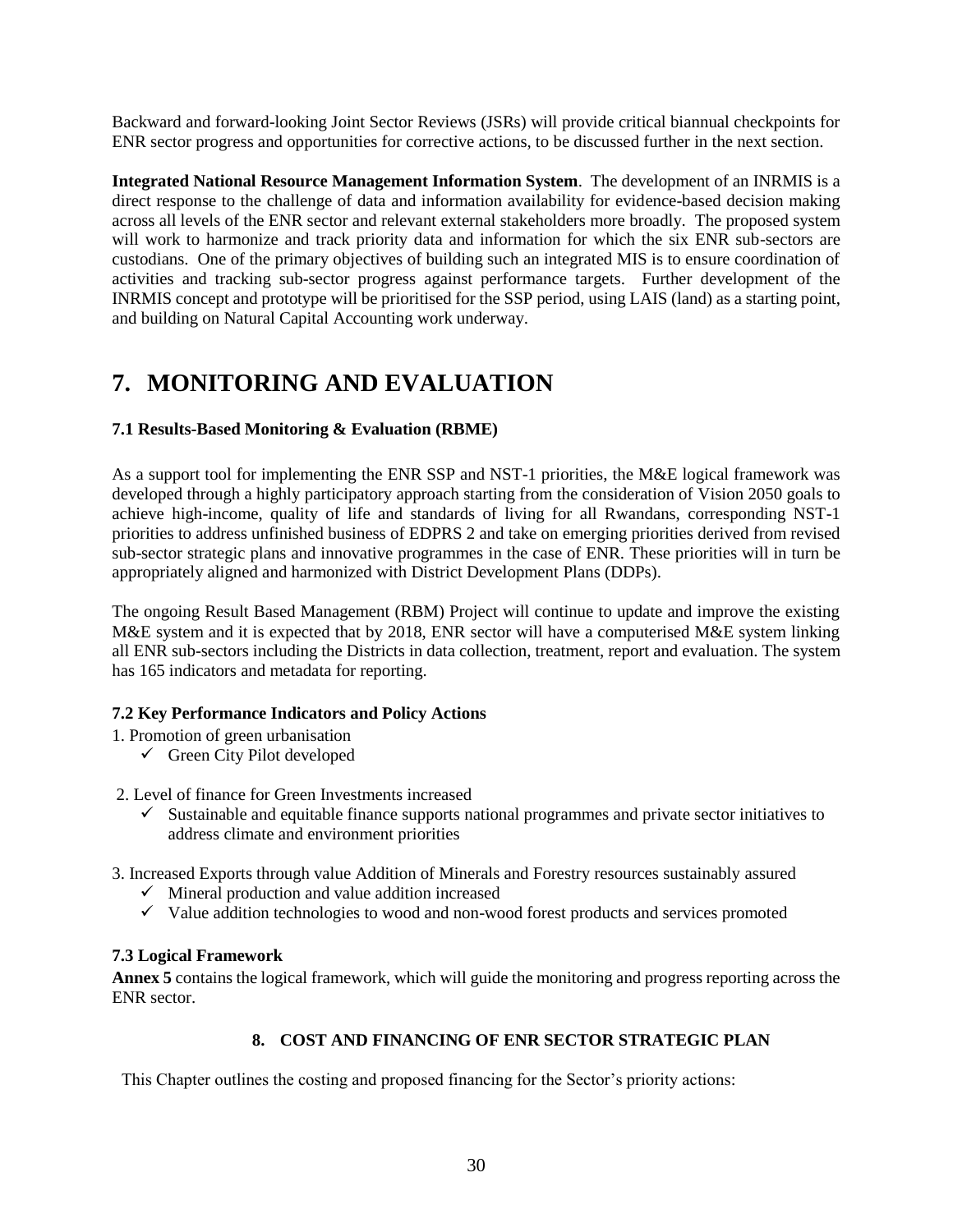Backward and forward-looking Joint Sector Reviews (JSRs) will provide critical biannual checkpoints for ENR sector progress and opportunities for corrective actions, to be discussed further in the next section.

**Integrated National Resource Management Information System**. The development of an INRMIS is a direct response to the challenge of data and information availability for evidence-based decision making across all levels of the ENR sector and relevant external stakeholders more broadly. The proposed system will work to harmonize and track priority data and information for which the six ENR sub-sectors are custodians. One of the primary objectives of building such an integrated MIS is to ensure coordination of activities and tracking sub-sector progress against performance targets. Further development of the INRMIS concept and prototype will be prioritised for the SSP period, using LAIS (land) as a starting point, and building on Natural Capital Accounting work underway.

## <span id="page-29-0"></span>**7. MONITORING AND EVALUATION**

#### <span id="page-29-1"></span>**7.1 Results-Based Monitoring & Evaluation (RBME)**

As a support tool for implementing the ENR SSP and NST-1 priorities, the M&E logical framework was developed through a highly participatory approach starting from the consideration of Vision 2050 goals to achieve high-income, quality of life and standards of living for all Rwandans, corresponding NST-1 priorities to address unfinished business of EDPRS 2 and take on emerging priorities derived from revised sub-sector strategic plans and innovative programmes in the case of ENR. These priorities will in turn be appropriately aligned and harmonized with District Development Plans (DDPs).

The ongoing Result Based Management (RBM) Project will continue to update and improve the existing M&E system and it is expected that by 2018, ENR sector will have a computerised M&E system linking all ENR sub-sectors including the Districts in data collection, treatment, report and evaluation. The system has 165 indicators and metadata for reporting.

#### <span id="page-29-2"></span>**7.2 Key Performance Indicators and Policy Actions**

- 1. Promotion of green urbanisation
	- $\checkmark$  Green City Pilot developed
- 2. Level of finance for Green Investments increased
	- $\checkmark$  Sustainable and equitable finance supports national programmes and private sector initiatives to address climate and environment priorities
- 3. Increased Exports through value Addition of Minerals and Forestry resources sustainably assured
	- $\checkmark$  Mineral production and value addition increased
	- $\checkmark$  Value addition technologies to wood and non-wood forest products and services promoted

#### <span id="page-29-3"></span>**7.3 Logical Framework**

**Annex 5** contains the logical framework, which will guide the monitoring and progress reporting across the ENR sector.

#### **8. COST AND FINANCING OF ENR SECTOR STRATEGIC PLAN**

<span id="page-29-4"></span>This Chapter outlines the costing and proposed financing for the Sector's priority actions: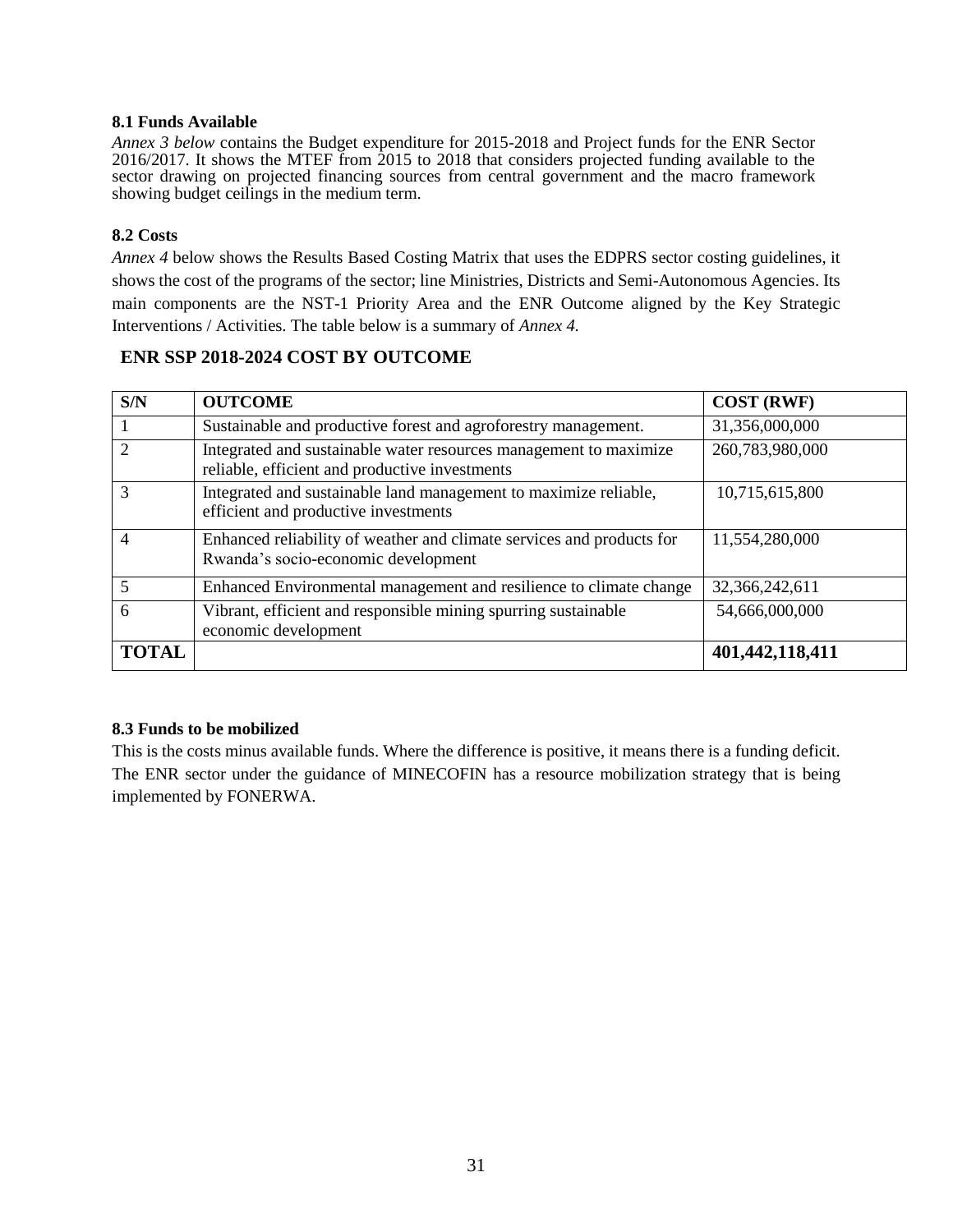#### <span id="page-30-0"></span>**8.1 Funds Available**

*Annex 3 below* contains the Budget expenditure for 2015-2018 and Project funds for the ENR Sector 2016/2017. It shows the MTEF from 2015 to 2018 that considers projected funding available to the sector drawing on projected financing sources from central government and the macro framework showing budget ceilings in the medium term.

#### <span id="page-30-1"></span>**8.2 Costs**

*Annex 4* below shows the Results Based Costing Matrix that uses the EDPRS sector costing guidelines, it shows the cost of the programs of the sector; line Ministries, Districts and Semi-Autonomous Agencies. Its main components are the NST-1 Priority Area and the ENR Outcome aligned by the Key Strategic Interventions / Activities. The table below is a summary of *Annex 4.* 

#### **ENR SSP 2018-2024 COST BY OUTCOME**

| S/N          | <b>OUTCOME</b>                                                                                                      | <b>COST (RWF)</b> |
|--------------|---------------------------------------------------------------------------------------------------------------------|-------------------|
|              | Sustainable and productive forest and agroforestry management.                                                      | 31,356,000,000    |
|              | Integrated and sustainable water resources management to maximize<br>reliable, efficient and productive investments | 260,783,980,000   |
|              | Integrated and sustainable land management to maximize reliable,<br>efficient and productive investments            | 10,715,615,800    |
| 4            | Enhanced reliability of weather and climate services and products for<br>Rwanda's socio-economic development        | 11,554,280,000    |
|              | Enhanced Environmental management and resilience to climate change                                                  | 32,366,242,611    |
| 6            | Vibrant, efficient and responsible mining spurring sustainable<br>economic development                              | 54,666,000,000    |
| <b>TOTAL</b> |                                                                                                                     | 401,442,118,411   |

#### <span id="page-30-2"></span>**8.3 Funds to be mobilized**

This is the costs minus available funds. Where the difference is positive, it means there is a funding deficit. The ENR sector under the guidance of MINECOFIN has a resource mobilization strategy that is being implemented by FONERWA.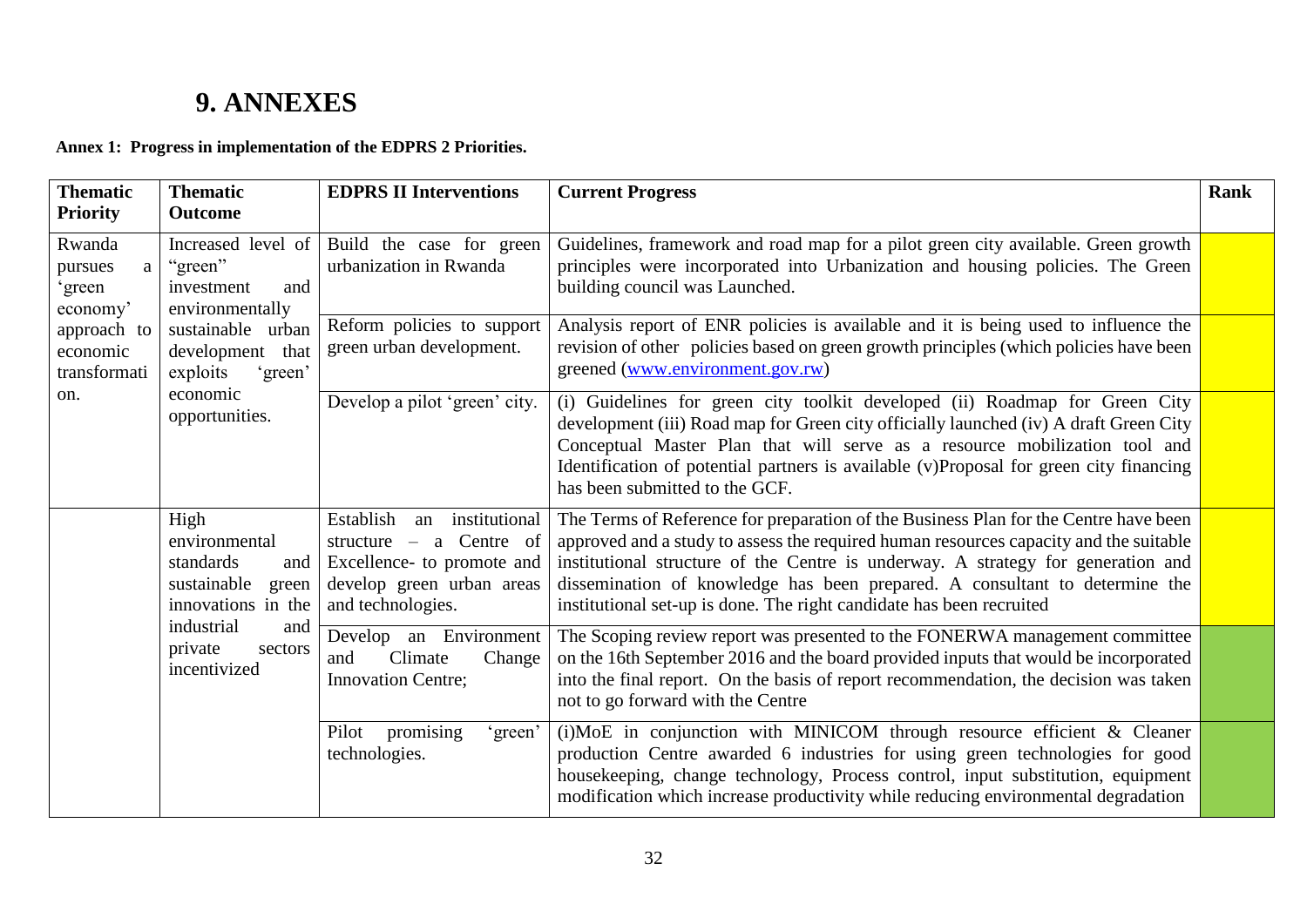# **9. ANNEXES**

**Annex 1: Progress in implementation of the EDPRS 2 Priorities.**

<span id="page-31-1"></span><span id="page-31-0"></span>

| <b>Thematic</b><br><b>Priority</b>                                                                                                             | <b>Thematic</b><br><b>Outcome</b>                                                                                                                  | <b>EDPRS II Interventions</b>                                                                                                                 | <b>Current Progress</b>                                                                                                                                                                                                                                                                                                                                                                                                  | <b>Rank</b> |
|------------------------------------------------------------------------------------------------------------------------------------------------|----------------------------------------------------------------------------------------------------------------------------------------------------|-----------------------------------------------------------------------------------------------------------------------------------------------|--------------------------------------------------------------------------------------------------------------------------------------------------------------------------------------------------------------------------------------------------------------------------------------------------------------------------------------------------------------------------------------------------------------------------|-------------|
| Rwanda<br>"green"<br>pursues<br>a<br>investment<br>green<br>economy'<br>approach to<br>economic<br>transformati<br>exploits<br>economic<br>on. | Increased level of<br>and<br>environmentally<br>sustainable urban<br>development<br>that<br>'green'                                                | Build the case for green<br>urbanization in Rwanda                                                                                            | Guidelines, framework and road map for a pilot green city available. Green growth<br>principles were incorporated into Urbanization and housing policies. The Green<br>building council was Launched.                                                                                                                                                                                                                    |             |
|                                                                                                                                                |                                                                                                                                                    | Reform policies to support<br>green urban development.                                                                                        | Analysis report of ENR policies is available and it is being used to influence the<br>revision of other policies based on green growth principles (which policies have been<br>greened (www.environment.gov.rw)                                                                                                                                                                                                          |             |
|                                                                                                                                                | opportunities.                                                                                                                                     | Develop a pilot 'green' city.                                                                                                                 | (i) Guidelines for green city toolkit developed (ii) Roadmap for Green City<br>development (iii) Road map for Green city officially launched (iv) A draft Green City<br>Conceptual Master Plan that will serve as a resource mobilization tool and<br>Identification of potential partners is available (v)Proposal for green city financing<br>has been submitted to the GCF.                                           |             |
|                                                                                                                                                | High<br>environmental<br>standards<br>and<br>sustainable<br>green<br>innovations in the<br>industrial<br>and<br>private<br>sectors<br>incentivized | Establish<br>institutional<br>an<br>structure $-$ a Centre of<br>Excellence- to promote and<br>develop green urban areas<br>and technologies. | The Terms of Reference for preparation of the Business Plan for the Centre have been<br>approved and a study to assess the required human resources capacity and the suitable<br>institutional structure of the Centre is underway. A strategy for generation and<br>dissemination of knowledge has been prepared. A consultant to determine the<br>institutional set-up is done. The right candidate has been recruited |             |
|                                                                                                                                                |                                                                                                                                                    | Develop an Environment<br>Climate<br>Change<br>and<br><b>Innovation Centre;</b>                                                               | The Scoping review report was presented to the FONERWA management committee<br>on the 16th September 2016 and the board provided inputs that would be incorporated<br>into the final report. On the basis of report recommendation, the decision was taken<br>not to go forward with the Centre                                                                                                                          |             |
|                                                                                                                                                |                                                                                                                                                    | promising<br>Pilot<br>'green'<br>technologies.                                                                                                | (i)MoE in conjunction with MINICOM through resource efficient & Cleaner<br>production Centre awarded 6 industries for using green technologies for good<br>housekeeping, change technology, Process control, input substitution, equipment<br>modification which increase productivity while reducing environmental degradation                                                                                          |             |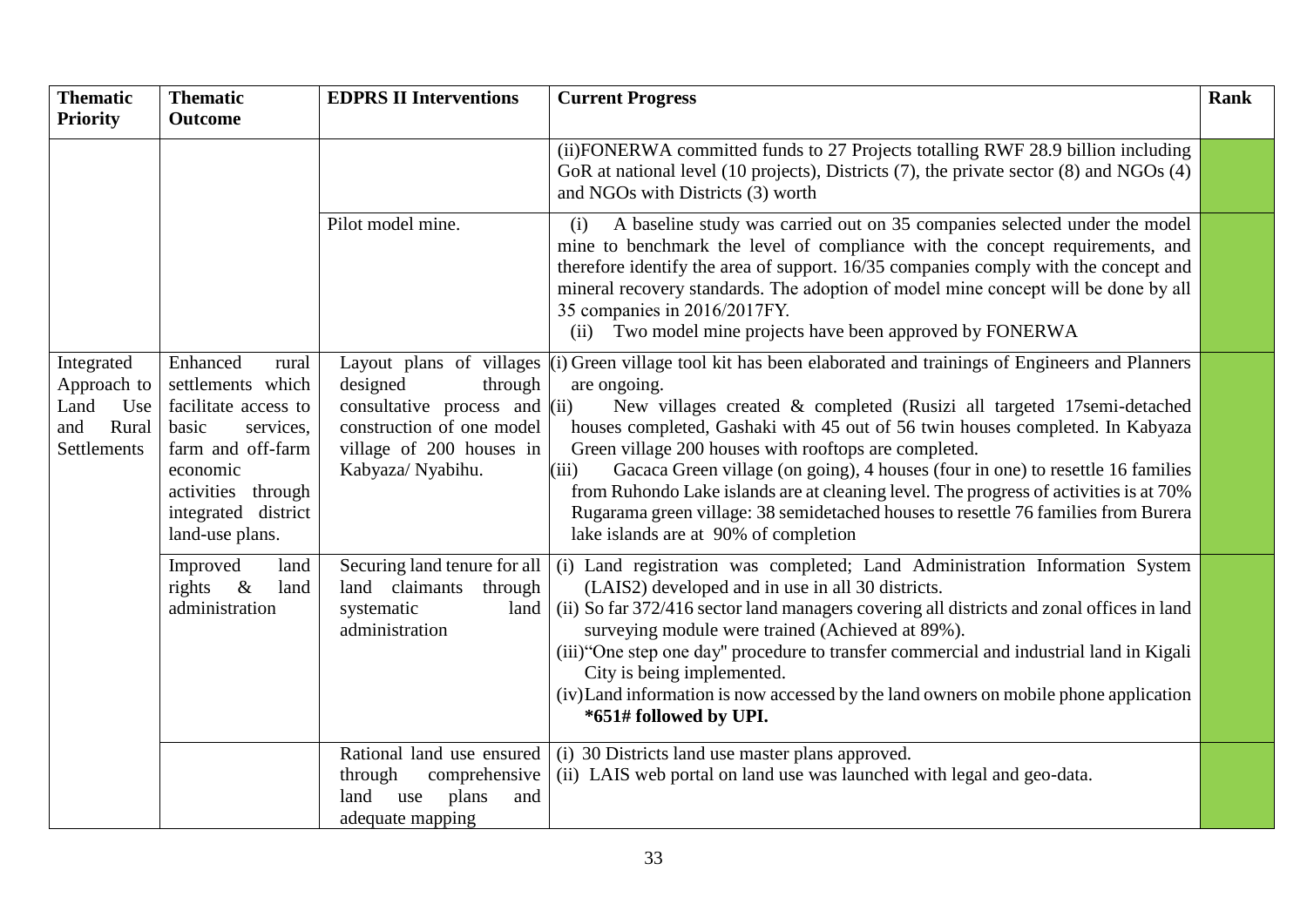| <b>Thematic</b>                                                         | <b>Thematic</b>                                                                                                                                                                          | <b>EDPRS II Interventions</b>                                                                                                         | <b>Current Progress</b>                                                                                                                                                                                                                                                                                                                                                                                                                                                                                                                                                                                                                                                | Rank |
|-------------------------------------------------------------------------|------------------------------------------------------------------------------------------------------------------------------------------------------------------------------------------|---------------------------------------------------------------------------------------------------------------------------------------|------------------------------------------------------------------------------------------------------------------------------------------------------------------------------------------------------------------------------------------------------------------------------------------------------------------------------------------------------------------------------------------------------------------------------------------------------------------------------------------------------------------------------------------------------------------------------------------------------------------------------------------------------------------------|------|
| <b>Priority</b>                                                         | <b>Outcome</b>                                                                                                                                                                           |                                                                                                                                       |                                                                                                                                                                                                                                                                                                                                                                                                                                                                                                                                                                                                                                                                        |      |
|                                                                         |                                                                                                                                                                                          |                                                                                                                                       | (ii) FONERWA committed funds to 27 Projects totalling RWF 28.9 billion including<br>GoR at national level (10 projects), Districts (7), the private sector (8) and NGOs (4)<br>and NGOs with Districts (3) worth                                                                                                                                                                                                                                                                                                                                                                                                                                                       |      |
|                                                                         |                                                                                                                                                                                          | Pilot model mine.                                                                                                                     | A baseline study was carried out on 35 companies selected under the model<br>(i)<br>mine to benchmark the level of compliance with the concept requirements, and<br>therefore identify the area of support. 16/35 companies comply with the concept and<br>mineral recovery standards. The adoption of model mine concept will be done by all<br>35 companies in 2016/2017FY.<br>Two model mine projects have been approved by FONERWA<br>(ii)                                                                                                                                                                                                                         |      |
| Integrated<br>Approach to<br>Land<br>Use<br>and<br>Rural<br>Settlements | Enhanced<br>rural<br>settlements which<br>facilitate access to<br>services,<br>basic<br>farm and off-farm<br>economic<br>activities<br>through<br>integrated district<br>land-use plans. | designed<br>through<br>consultative process and $(iii)$<br>construction of one model<br>village of 200 houses in<br>Kabyaza/ Nyabihu. | Layout plans of villages (i) Green village tool kit has been elaborated and trainings of Engineers and Planners<br>are ongoing.<br>New villages created & completed (Rusizi all targeted 17semi-detached<br>houses completed, Gashaki with 45 out of 56 twin houses completed. In Kabyaza<br>Green village 200 houses with rooftops are completed.<br>(iii)<br>Gacaca Green village (on going), 4 houses (four in one) to resettle 16 families<br>from Ruhondo Lake islands are at cleaning level. The progress of activities is at 70%<br>Rugarama green village: 38 semidetached houses to resettle 76 families from Burera<br>lake islands are at 90% of completion |      |
|                                                                         | Improved<br>land<br>rights<br>$\&$<br>land<br>administration                                                                                                                             | Securing land tenure for all<br>claimants<br>through<br>land<br>systematic<br>land<br>administration                                  | (i) Land registration was completed; Land Administration Information System<br>(LAIS2) developed and in use in all 30 districts.<br>(ii) So far 372/416 sector land managers covering all districts and zonal offices in land<br>surveying module were trained (Achieved at 89%).<br>(iii) "One step one day" procedure to transfer commercial and industrial land in Kigali<br>City is being implemented.<br>(iv) Land information is now accessed by the land owners on mobile phone application<br>*651# followed by UPI.                                                                                                                                           |      |
|                                                                         |                                                                                                                                                                                          | Rational land use ensured<br>through<br>comprehensive<br>land<br>plans<br>use<br>and<br>adequate mapping                              | (i) 30 Districts land use master plans approved.<br>(ii) LAIS web portal on land use was launched with legal and geo-data.                                                                                                                                                                                                                                                                                                                                                                                                                                                                                                                                             |      |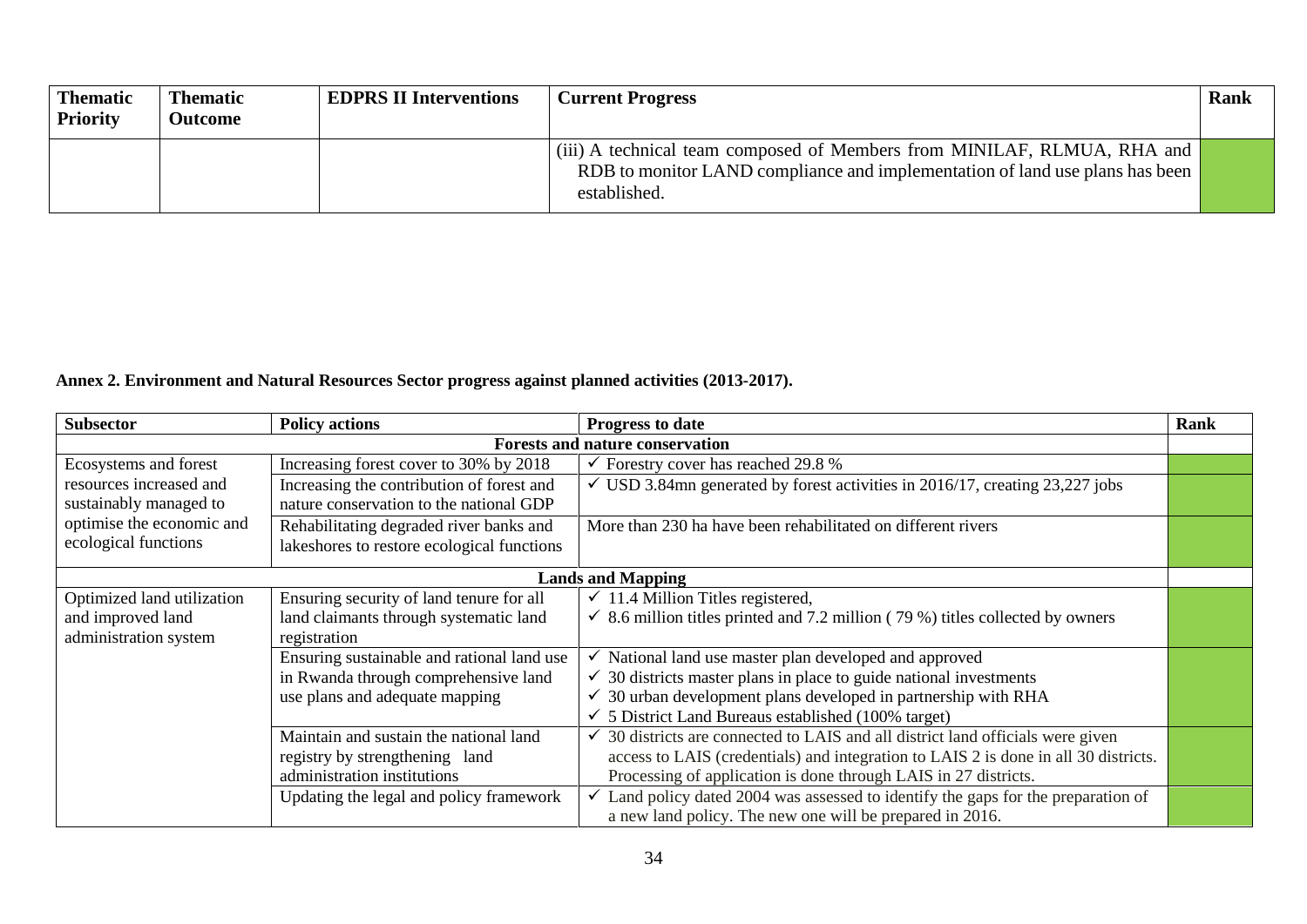| <b>Thematic</b><br><b>Priority</b> | <b>Thematic</b><br><b>Outcome</b> | <b>EDPRS II Interventions</b> | <b>Current Progress</b>                                                                                                                                                 | Rank |
|------------------------------------|-----------------------------------|-------------------------------|-------------------------------------------------------------------------------------------------------------------------------------------------------------------------|------|
|                                    |                                   |                               | (iii) A technical team composed of Members from MINILAF, RLMUA, RHA and<br>RDB to monitor LAND compliance and implementation of land use plans has been<br>established. |      |

### **Annex 2. Environment and Natural Resources Sector progress against planned activities (2013-2017).**

<span id="page-33-0"></span>

| <b>Subsector</b>           | <b>Policy actions</b>                                                                    | <b>Progress to date</b>                                                                   | Rank |  |  |  |  |  |  |  |
|----------------------------|------------------------------------------------------------------------------------------|-------------------------------------------------------------------------------------------|------|--|--|--|--|--|--|--|
|                            |                                                                                          | <b>Forests and nature conservation</b>                                                    |      |  |  |  |  |  |  |  |
| Ecosystems and forest      | Increasing forest cover to 30% by 2018<br>$\checkmark$ Forestry cover has reached 29.8 % |                                                                                           |      |  |  |  |  |  |  |  |
| resources increased and    | Increasing the contribution of forest and                                                | $\checkmark$ USD 3.84mn generated by forest activities in 2016/17, creating 23,227 jobs   |      |  |  |  |  |  |  |  |
| sustainably managed to     | nature conservation to the national GDP                                                  |                                                                                           |      |  |  |  |  |  |  |  |
| optimise the economic and  | Rehabilitating degraded river banks and                                                  | More than 230 ha have been rehabilitated on different rivers                              |      |  |  |  |  |  |  |  |
| ecological functions       | lakeshores to restore ecological functions                                               |                                                                                           |      |  |  |  |  |  |  |  |
|                            |                                                                                          | <b>Lands and Mapping</b>                                                                  |      |  |  |  |  |  |  |  |
| Optimized land utilization | Ensuring security of land tenure for all                                                 | $\checkmark$ 11.4 Million Titles registered,                                              |      |  |  |  |  |  |  |  |
| and improved land          | land claimants through systematic land                                                   | $\checkmark$ 8.6 million titles printed and 7.2 million (79 %) titles collected by owners |      |  |  |  |  |  |  |  |
| administration system      | registration                                                                             |                                                                                           |      |  |  |  |  |  |  |  |
|                            | Ensuring sustainable and rational land use                                               | National land use master plan developed and approved                                      |      |  |  |  |  |  |  |  |
|                            | in Rwanda through comprehensive land                                                     | 30 districts master plans in place to guide national investments                          |      |  |  |  |  |  |  |  |
|                            | use plans and adequate mapping                                                           | 30 urban development plans developed in partnership with RHA<br>✓                         |      |  |  |  |  |  |  |  |
|                            |                                                                                          | 5 District Land Bureaus established (100% target)                                         |      |  |  |  |  |  |  |  |
|                            | Maintain and sustain the national land                                                   | 30 districts are connected to LAIS and all district land officials were given             |      |  |  |  |  |  |  |  |
|                            | registry by strengthening land                                                           | access to LAIS (credentials) and integration to LAIS 2 is done in all 30 districts.       |      |  |  |  |  |  |  |  |
|                            | administration institutions                                                              | Processing of application is done through LAIS in 27 districts.                           |      |  |  |  |  |  |  |  |
|                            | Updating the legal and policy framework                                                  | Land policy dated 2004 was assessed to identify the gaps for the preparation of           |      |  |  |  |  |  |  |  |
|                            |                                                                                          | a new land policy. The new one will be prepared in 2016.                                  |      |  |  |  |  |  |  |  |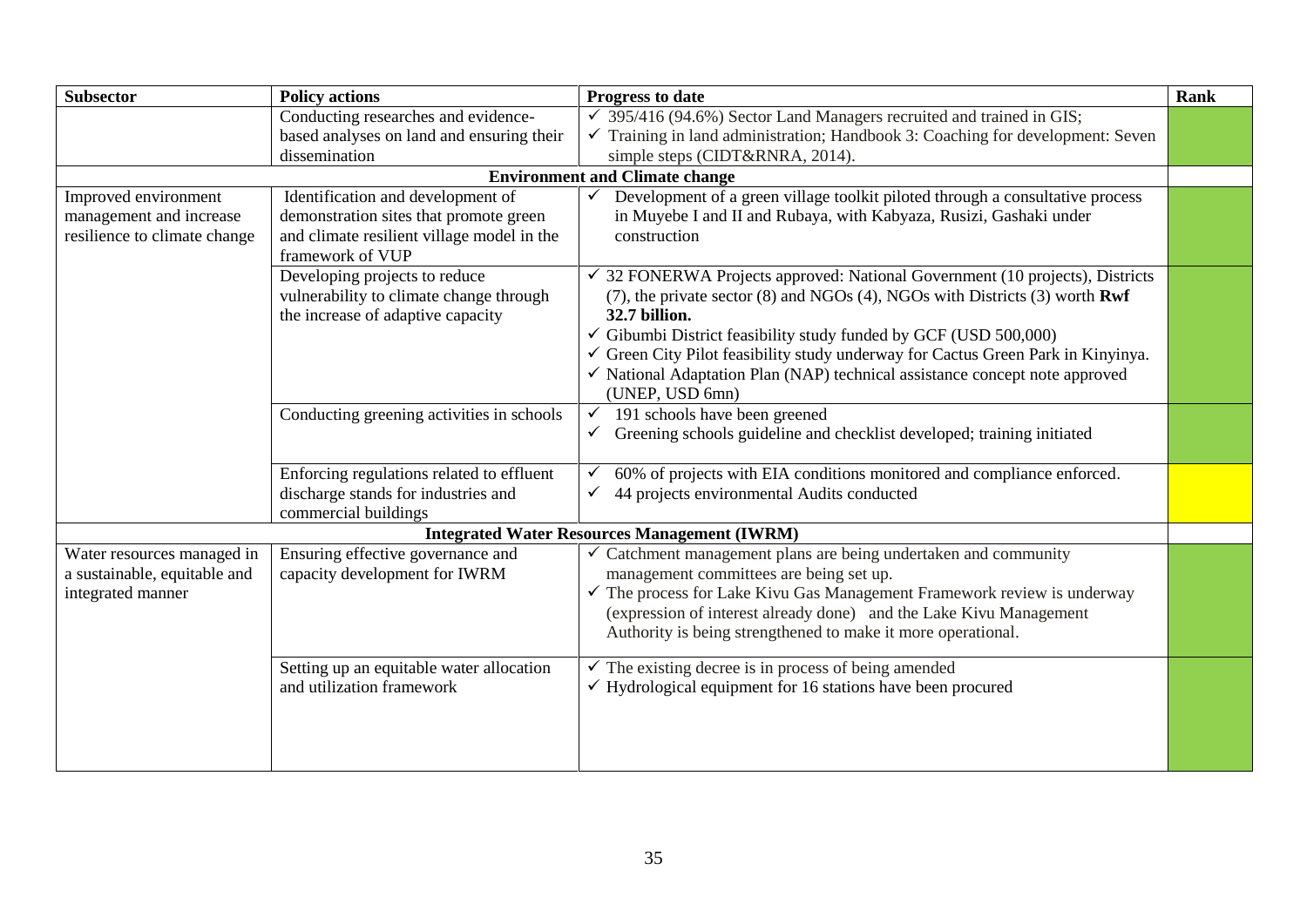| <b>Subsector</b>             | <b>Policy actions</b>                                                        | Progress to date                                                                                              | <b>Rank</b> |
|------------------------------|------------------------------------------------------------------------------|---------------------------------------------------------------------------------------------------------------|-------------|
|                              | Conducting researches and evidence-                                          | 395/416 (94.6%) Sector Land Managers recruited and trained in GIS;                                            |             |
|                              | based analyses on land and ensuring their                                    | Training in land administration; Handbook 3: Coaching for development: Seven                                  |             |
|                              | dissemination                                                                | simple steps (CIDT&RNRA, 2014).                                                                               |             |
|                              |                                                                              | <b>Environment and Climate change</b>                                                                         |             |
| Improved environment         | Identification and development of                                            | Development of a green village toolkit piloted through a consultative process                                 |             |
| management and increase      | demonstration sites that promote green                                       | in Muyebe I and II and Rubaya, with Kabyaza, Rusizi, Gashaki under                                            |             |
| resilience to climate change | and climate resilient village model in the<br>framework of VUP               | construction                                                                                                  |             |
|                              | Developing projects to reduce                                                | 32 FONERWA Projects approved: National Government (10 projects), Districts                                    |             |
|                              | vulnerability to climate change through<br>the increase of adaptive capacity | $(7)$ , the private sector $(8)$ and NGOs $(4)$ , NGOs with Districts $(3)$ worth <b>Rwf</b><br>32.7 billion. |             |
|                              |                                                                              | $\checkmark$ Gibumbi District feasibility study funded by GCF (USD 500,000)                                   |             |
|                              |                                                                              | Green City Pilot feasibility study underway for Cactus Green Park in Kinyinya.                                |             |
|                              |                                                                              | $\checkmark$ National Adaptation Plan (NAP) technical assistance concept note approved                        |             |
|                              |                                                                              | (UNEP, USD 6mn)                                                                                               |             |
|                              | Conducting greening activities in schools                                    | 191 schools have been greened<br>$\checkmark$                                                                 |             |
|                              |                                                                              | Greening schools guideline and checklist developed; training initiated<br>$\checkmark$                        |             |
|                              | Enforcing regulations related to effluent                                    | 60% of projects with EIA conditions monitored and compliance enforced.<br>$\checkmark$                        |             |
|                              | discharge stands for industries and                                          | 44 projects environmental Audits conducted                                                                    |             |
|                              | commercial buildings                                                         |                                                                                                               |             |
|                              |                                                                              | <b>Integrated Water Resources Management (IWRM)</b>                                                           |             |
| Water resources managed in   | Ensuring effective governance and                                            | Catchment management plans are being undertaken and community<br>✓                                            |             |
| a sustainable, equitable and | capacity development for IWRM                                                | management committees are being set up.                                                                       |             |
| integrated manner            |                                                                              | $\checkmark$ The process for Lake Kivu Gas Management Framework review is underway                            |             |
|                              |                                                                              | (expression of interest already done) and the Lake Kivu Management                                            |             |
|                              |                                                                              | Authority is being strengthened to make it more operational.                                                  |             |
|                              | Setting up an equitable water allocation                                     | The existing decree is in process of being amended                                                            |             |
|                              | and utilization framework                                                    | $\checkmark$ Hydrological equipment for 16 stations have been procured                                        |             |
|                              |                                                                              |                                                                                                               |             |
|                              |                                                                              |                                                                                                               |             |
|                              |                                                                              |                                                                                                               |             |
|                              |                                                                              |                                                                                                               |             |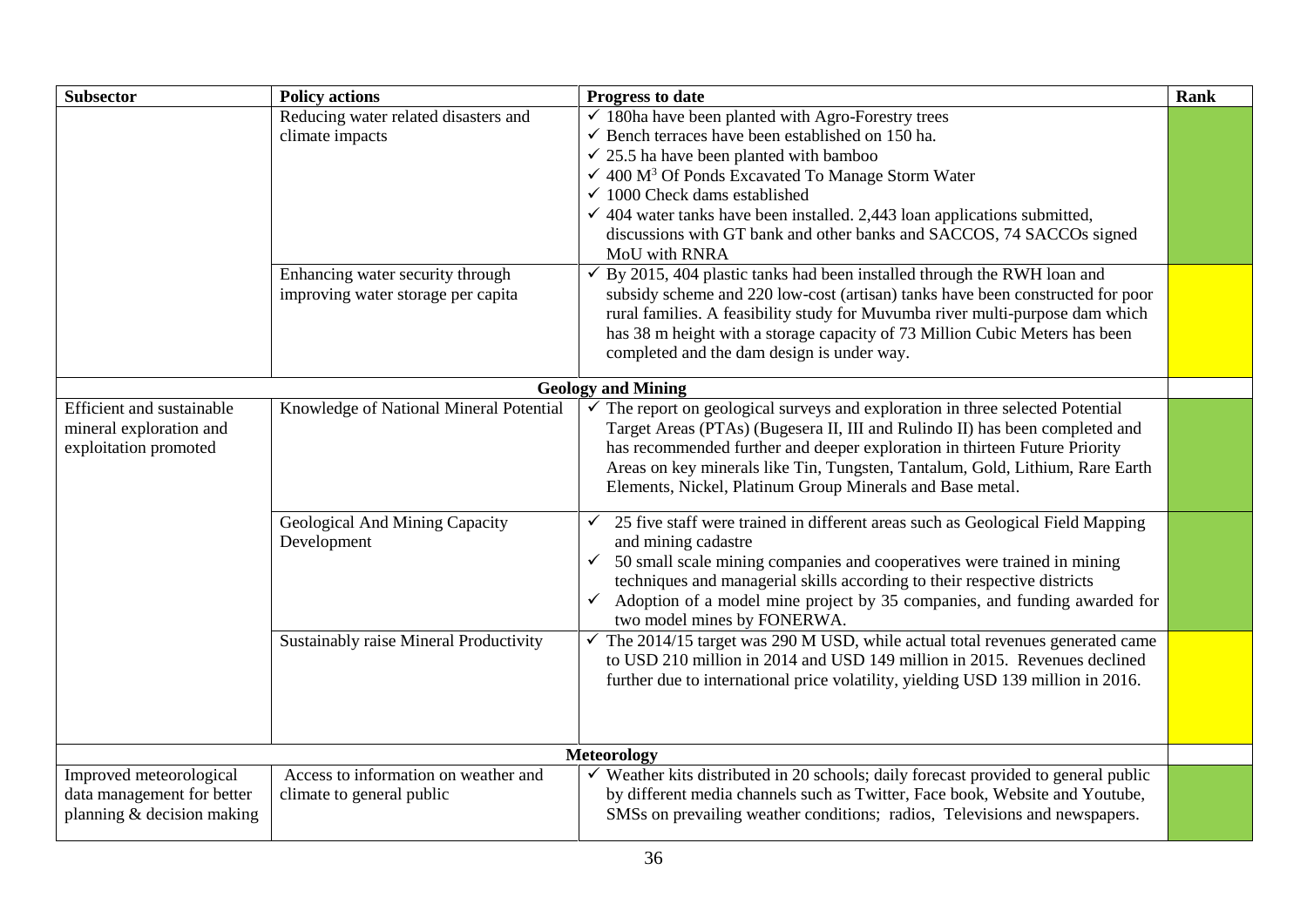| <b>Subsector</b>                                                                    | <b>Policy actions</b>                                                  | Progress to date                                                                                                                                                                                                                                                                                                                                                                                                                                                                              | Rank |
|-------------------------------------------------------------------------------------|------------------------------------------------------------------------|-----------------------------------------------------------------------------------------------------------------------------------------------------------------------------------------------------------------------------------------------------------------------------------------------------------------------------------------------------------------------------------------------------------------------------------------------------------------------------------------------|------|
|                                                                                     | Reducing water related disasters and<br>climate impacts                | $\checkmark$ 180ha have been planted with Agro-Forestry trees<br>$\checkmark$ Bench terraces have been established on 150 ha.<br>$\checkmark$ 25.5 ha have been planted with bamboo<br>$\checkmark$ 400 M <sup>3</sup> Of Ponds Excavated To Manage Storm Water<br>$\checkmark$ 1000 Check dams established<br>$\checkmark$ 404 water tanks have been installed. 2,443 loan applications submitted,<br>discussions with GT bank and other banks and SACCOS, 74 SACCOs signed<br>MoU with RNRA |      |
|                                                                                     | Enhancing water security through<br>improving water storage per capita | By 2015, 404 plastic tanks had been installed through the RWH loan and<br>✓<br>subsidy scheme and 220 low-cost (artisan) tanks have been constructed for poor<br>rural families. A feasibility study for Muvumba river multi-purpose dam which<br>has 38 m height with a storage capacity of 73 Million Cubic Meters has been<br>completed and the dam design is under way.                                                                                                                   |      |
|                                                                                     |                                                                        | <b>Geology and Mining</b>                                                                                                                                                                                                                                                                                                                                                                                                                                                                     |      |
| Efficient and sustainable<br>mineral exploration and<br>exploitation promoted       | Knowledge of National Mineral Potential                                | $\checkmark$ The report on geological surveys and exploration in three selected Potential<br>Target Areas (PTAs) (Bugesera II, III and Rulindo II) has been completed and<br>has recommended further and deeper exploration in thirteen Future Priority<br>Areas on key minerals like Tin, Tungsten, Tantalum, Gold, Lithium, Rare Earth<br>Elements, Nickel, Platinum Group Minerals and Base metal.                                                                                         |      |
|                                                                                     | Geological And Mining Capacity<br>Development                          | 25 five staff were trained in different areas such as Geological Field Mapping<br>and mining cadastre<br>50 small scale mining companies and cooperatives were trained in mining<br>$\checkmark$<br>techniques and managerial skills according to their respective districts<br>Adoption of a model mine project by 35 companies, and funding awarded for<br>$\checkmark$<br>two model mines by FONERWA.                                                                                      |      |
|                                                                                     | Sustainably raise Mineral Productivity                                 | The 2014/15 target was 290 M USD, while actual total revenues generated came<br>to USD 210 million in 2014 and USD 149 million in 2015. Revenues declined<br>further due to international price volatility, yielding USD 139 million in 2016.                                                                                                                                                                                                                                                 |      |
|                                                                                     |                                                                        | <b>Meteorology</b>                                                                                                                                                                                                                                                                                                                                                                                                                                                                            |      |
| Improved meteorological<br>data management for better<br>planning & decision making | Access to information on weather and<br>climate to general public      | $\checkmark$ Weather kits distributed in 20 schools; daily forecast provided to general public<br>by different media channels such as Twitter, Face book, Website and Youtube,<br>SMSs on prevailing weather conditions; radios, Televisions and newspapers.                                                                                                                                                                                                                                  |      |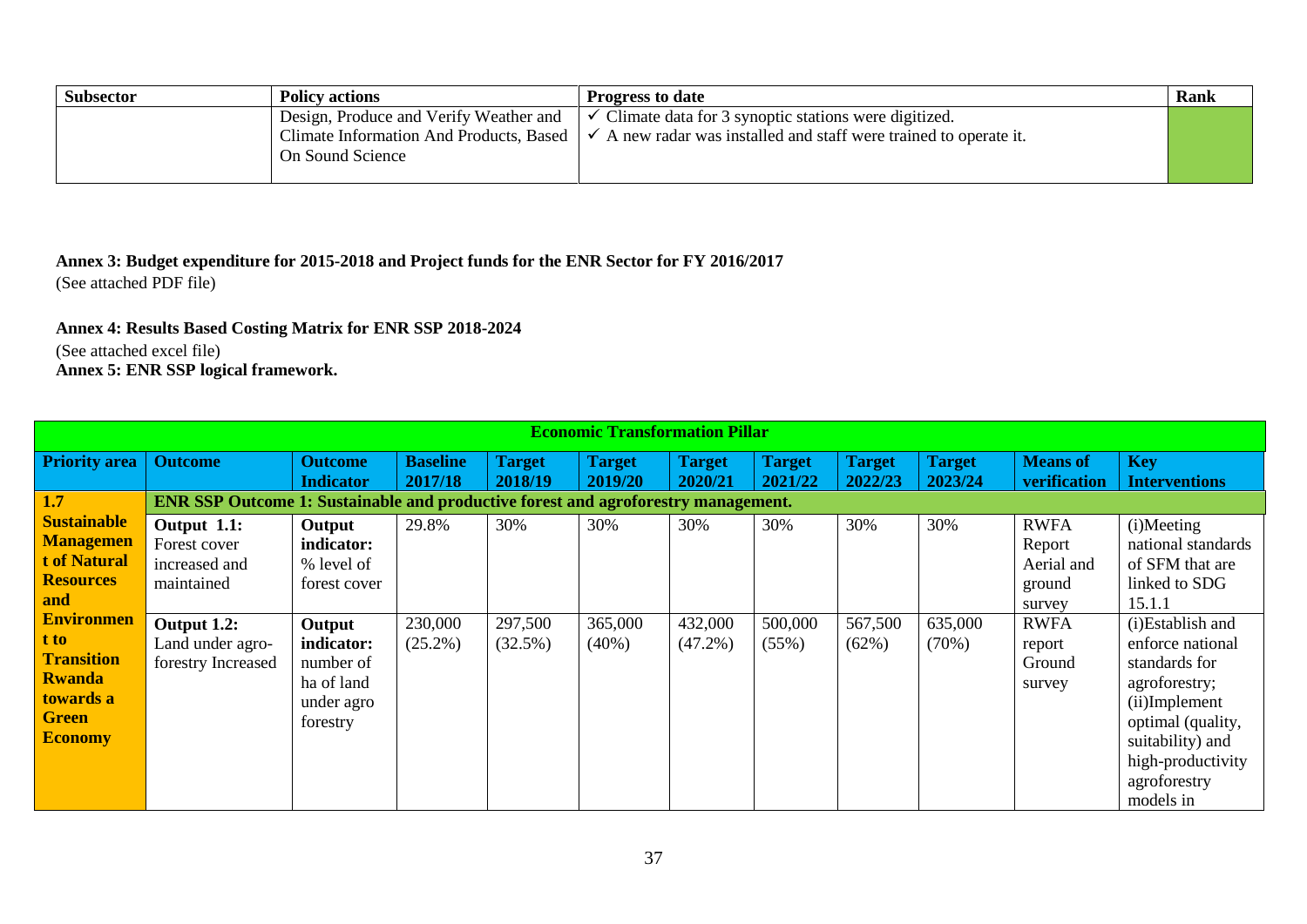| <b>Subsector</b> | <b>Policy actions</b>                   | <b>Progress to date</b>                                                         | Rank |
|------------------|-----------------------------------------|---------------------------------------------------------------------------------|------|
|                  | Design, Produce and Verify Weather and  | Climate data for 3 synoptic stations were digitized.<br>$\checkmark$            |      |
|                  | Climate Information And Products, Based | A new radar was installed and staff were trained to operate it.<br>$\checkmark$ |      |
|                  | On Sound Science                        |                                                                                 |      |
|                  |                                         |                                                                                 |      |

**Annex 3: Budget expenditure for 2015-2018 and Project funds for the ENR Sector for FY 2016/2017** (See attached PDF file)

**Annex 4: Results Based Costing Matrix for ENR SSP 2018-2024** (See attached excel file)

**Annex 5: ENR SSP logical framework.**

<span id="page-36-2"></span><span id="page-36-1"></span><span id="page-36-0"></span>

|                            | <b>Economic Transformation Pillar</b>                                                    |                                    |                            |                          |                          |                          |                          |                          |                          |                                 |                                    |  |
|----------------------------|------------------------------------------------------------------------------------------|------------------------------------|----------------------------|--------------------------|--------------------------|--------------------------|--------------------------|--------------------------|--------------------------|---------------------------------|------------------------------------|--|
| <b>Priority area</b>       | <b>Outcome</b>                                                                           | <b>Outcome</b><br><b>Indicator</b> | <b>Baseline</b><br>2017/18 | <b>Target</b><br>2018/19 | <b>Target</b><br>2019/20 | <b>Target</b><br>2020/21 | <b>Target</b><br>2021/22 | <b>Target</b><br>2022/23 | <b>Target</b><br>2023/24 | <b>Means of</b><br>verification | <b>Key</b><br><b>Interventions</b> |  |
| 1.7                        | <b>ENR SSP Outcome 1: Sustainable and productive forest and agroforestry management.</b> |                                    |                            |                          |                          |                          |                          |                          |                          |                                 |                                    |  |
| <b>Sustainable</b>         | Output 1.1:                                                                              | Output                             | 29.8%                      | 30%                      | 30%                      | 30%                      | 30%                      | 30%                      | 30%                      | <b>RWFA</b>                     | (i)Meeting                         |  |
| <b>Managemen</b>           | Forest cover                                                                             | indicator:                         |                            |                          |                          |                          |                          |                          |                          | Report                          | national standards                 |  |
| t of Natural               | increased and                                                                            | % level of                         |                            |                          |                          |                          |                          |                          |                          | Aerial and                      | of SFM that are                    |  |
| <b>Resources</b>           | maintained                                                                               | forest cover                       |                            |                          |                          |                          |                          |                          |                          | ground                          | linked to SDG                      |  |
| and                        |                                                                                          |                                    |                            |                          |                          |                          |                          |                          |                          | survey                          | 15.1.1                             |  |
| <b>Environmen</b>          | Output 1.2:                                                                              | Output                             | 230,000                    | 297,500                  | 365,000                  | 432,000                  | 500,000                  | 567,500                  | 635,000                  | <b>RWFA</b>                     | (i)Establish and                   |  |
| t to                       | Land under agro-                                                                         | indicator:                         | $(25.2\%)$                 | $(32.5\%)$               | $(40\%)$                 | $(47.2\%)$               | (55%)                    | (62%)                    | (70%)                    | report                          | enforce national                   |  |
| <b>Transition</b>          | forestry Increased                                                                       | number of                          |                            |                          |                          |                          |                          |                          |                          | Ground                          | standards for                      |  |
| <b>Rwanda</b><br>towards a |                                                                                          | ha of land                         |                            |                          |                          |                          |                          |                          |                          | survey                          | agroforestry;                      |  |
| <b>Green</b>               |                                                                                          | under agro                         |                            |                          |                          |                          |                          |                          |                          |                                 | (ii)Implement                      |  |
| <b>Economy</b>             |                                                                                          | forestry                           |                            |                          |                          |                          |                          |                          |                          |                                 | optimal (quality,                  |  |
|                            |                                                                                          |                                    |                            |                          |                          |                          |                          |                          |                          |                                 | suitability) and                   |  |
|                            |                                                                                          |                                    |                            |                          |                          |                          |                          |                          |                          |                                 | high-productivity                  |  |
|                            |                                                                                          |                                    |                            |                          |                          |                          |                          |                          |                          |                                 | agroforestry                       |  |
|                            |                                                                                          |                                    |                            |                          |                          |                          |                          |                          |                          |                                 | models in                          |  |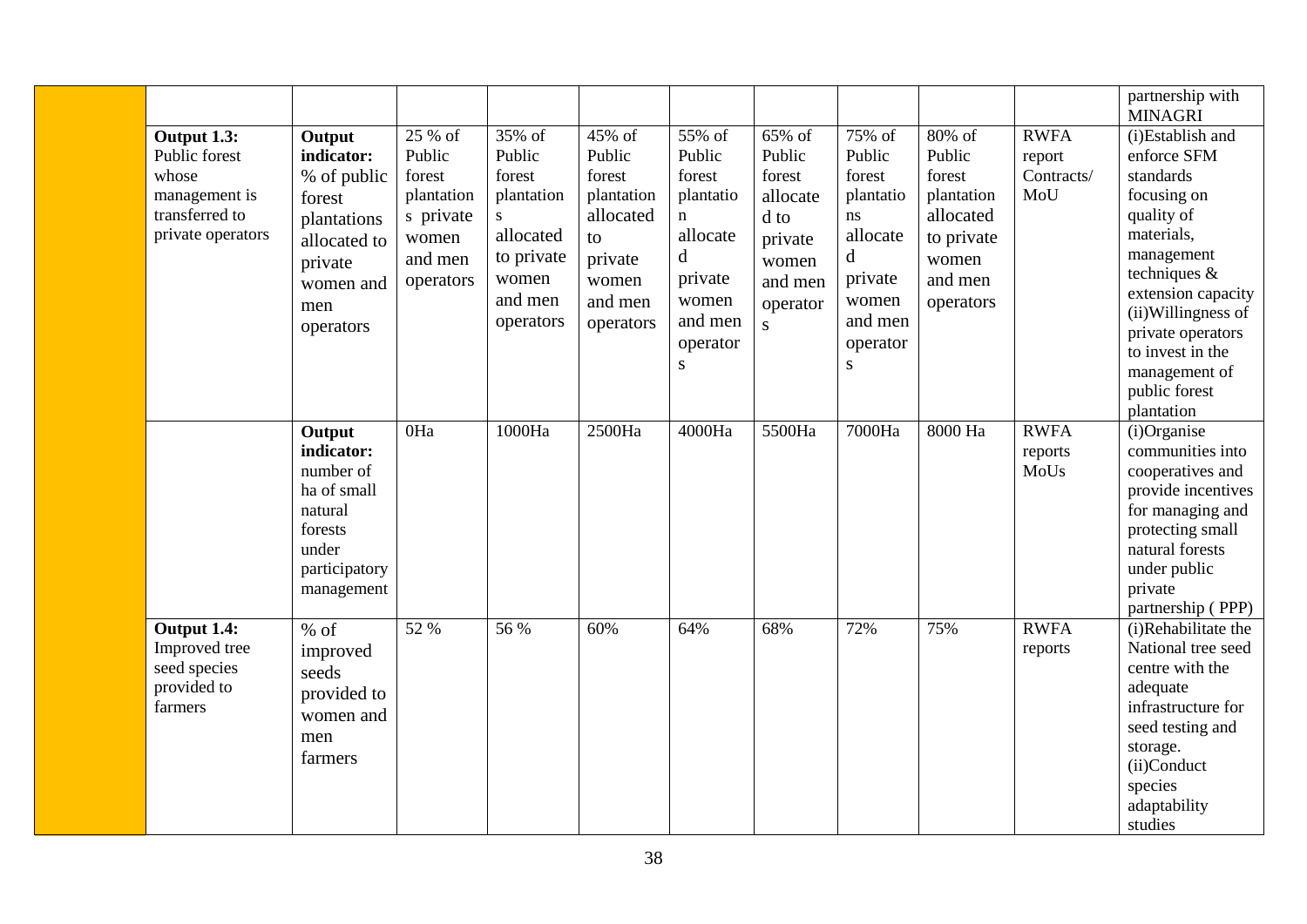|                                                                                               |                                                                                                                          |                                                                                         |                                                                                                           |                                                                                                         |                                                                                                                                 |                                                                                                          |                                                                                                                        |                                                                                                      |                                            | partnership with<br><b>MINAGRI</b>                                                                                                                                                                                                                          |
|-----------------------------------------------------------------------------------------------|--------------------------------------------------------------------------------------------------------------------------|-----------------------------------------------------------------------------------------|-----------------------------------------------------------------------------------------------------------|---------------------------------------------------------------------------------------------------------|---------------------------------------------------------------------------------------------------------------------------------|----------------------------------------------------------------------------------------------------------|------------------------------------------------------------------------------------------------------------------------|------------------------------------------------------------------------------------------------------|--------------------------------------------|-------------------------------------------------------------------------------------------------------------------------------------------------------------------------------------------------------------------------------------------------------------|
| Output 1.3:<br>Public forest<br>whose<br>management is<br>transferred to<br>private operators | Output<br>indicator:<br>% of public<br>forest<br>plantations<br>allocated to<br>private<br>women and<br>men<br>operators | 25 % of<br>Public<br>forest<br>plantation<br>s private<br>women<br>and men<br>operators | 35% of<br>Public<br>forest<br>plantation<br>S<br>allocated<br>to private<br>women<br>and men<br>operators | 45% of<br>Public<br>forest<br>plantation<br>allocated<br>to<br>private<br>women<br>and men<br>operators | 55% of<br>Public<br>forest<br>plantatio<br>$\mathbf n$<br>allocate<br>d<br>private<br>women<br>and men<br>operator<br>${\bf S}$ | 65% of<br>Public<br>forest<br>allocate<br>d to<br>private<br>women<br>and men<br>operator<br>$\mathbf S$ | 75% of<br>Public<br>forest<br>plantatio<br>ns<br>allocate<br>d<br>private<br>women<br>and men<br>operator<br>${\bf S}$ | 80% of<br>Public<br>forest<br>plantation<br>allocated<br>to private<br>women<br>and men<br>operators | <b>RWFA</b><br>report<br>Contracts/<br>MoU | (i)Establish and<br>enforce SFM<br>standards<br>focusing on<br>quality of<br>materials,<br>management<br>techniques &<br>extension capacity<br>(ii) Willingness of<br>private operators<br>to invest in the<br>management of<br>public forest<br>plantation |
|                                                                                               | Output<br>indicator:<br>number of<br>ha of small<br>natural<br>forests<br>under<br>participatory<br>management           | $0$ Ha                                                                                  | 1000Ha                                                                                                    | 2500Ha                                                                                                  | 4000Ha                                                                                                                          | 5500Ha                                                                                                   | 7000Ha                                                                                                                 | 8000 Ha                                                                                              | <b>RWFA</b><br>reports<br>MoUs             | $(i)$ Organise<br>communities into<br>cooperatives and<br>provide incentives<br>for managing and<br>protecting small<br>natural forests<br>under public<br>private<br>partnership (PPP)                                                                     |
| Output 1.4:<br>Improved tree<br>seed species<br>provided to<br>farmers                        | $%$ of<br>improved<br>seeds<br>provided to<br>women and<br>men<br>farmers                                                | 52 %                                                                                    | 56 %                                                                                                      | 60%                                                                                                     | 64%                                                                                                                             | 68%                                                                                                      | 72%                                                                                                                    | 75%                                                                                                  | <b>RWFA</b><br>reports                     | (i)Rehabilitate the<br>National tree seed<br>centre with the<br>adequate<br>infrastructure for<br>seed testing and<br>storage.<br>(ii)Conduct<br>species<br>adaptability<br>studies                                                                         |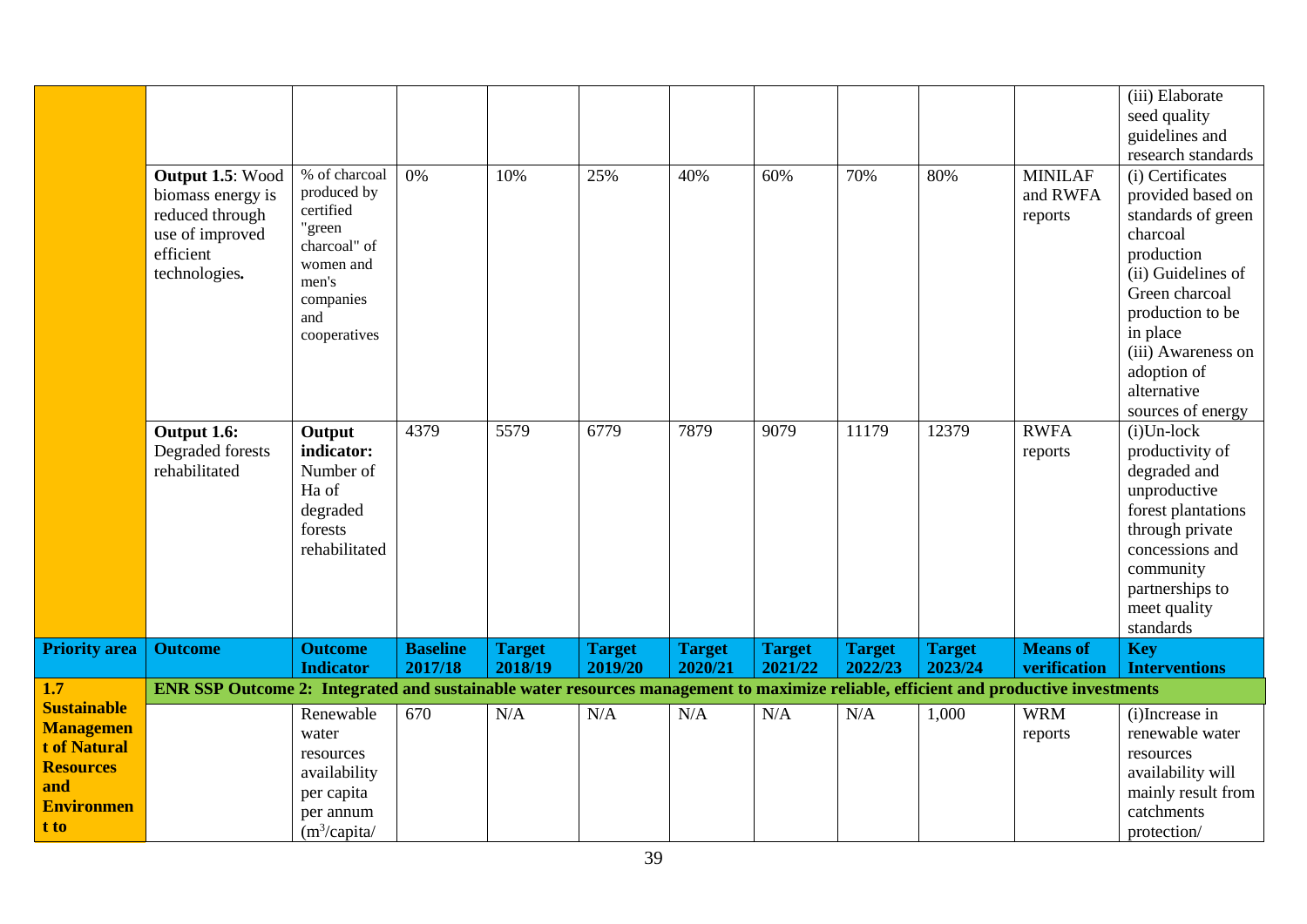|                                                                                                                | Output 1.5: Wood<br>biomass energy is<br>reduced through<br>use of improved<br>efficient<br>technologies.                           | % of charcoal<br>produced by<br>certified<br>"green<br>charcoal" of<br>women and<br>men's<br>companies<br>and<br>cooperatives | 0%                         | 10%                      | 25%                      | 40%                      | 60%                      | 70%                      | 80%                      | <b>MINILAF</b><br>and RWFA<br>reports | (iii) Elaborate<br>seed quality<br>guidelines and<br>research standards<br>(i) Certificates<br>provided based on<br>standards of green<br>charcoal<br>production<br>(ii) Guidelines of<br>Green charcoal<br>production to be<br>in place<br>(iii) Awareness on<br>adoption of |
|----------------------------------------------------------------------------------------------------------------|-------------------------------------------------------------------------------------------------------------------------------------|-------------------------------------------------------------------------------------------------------------------------------|----------------------------|--------------------------|--------------------------|--------------------------|--------------------------|--------------------------|--------------------------|---------------------------------------|-------------------------------------------------------------------------------------------------------------------------------------------------------------------------------------------------------------------------------------------------------------------------------|
|                                                                                                                | Output 1.6:<br>Degraded forests<br>rehabilitated                                                                                    | Output<br>indicator:<br>Number of<br>Ha of<br>degraded<br>forests<br>rehabilitated                                            | 4379                       | 5579                     | 6779                     | 7879                     | 9079                     | 11179                    | 12379                    | <b>RWFA</b><br>reports                | alternative<br>sources of energy<br>$(i)$ Un-lock<br>productivity of<br>degraded and<br>unproductive<br>forest plantations<br>through private<br>concessions and<br>community<br>partnerships to<br>meet quality<br>standards                                                 |
| <b>Priority area</b>                                                                                           | <b>Outcome</b>                                                                                                                      | <b>Outcome</b><br><b>Indicator</b>                                                                                            | <b>Baseline</b><br>2017/18 | <b>Target</b><br>2018/19 | <b>Target</b><br>2019/20 | <b>Target</b><br>2020/21 | <b>Target</b><br>2021/22 | <b>Target</b><br>2022/23 | <b>Target</b><br>2023/24 | <b>Means of</b><br>verification       | <b>Key</b><br><b>Interventions</b>                                                                                                                                                                                                                                            |
| $\overline{1.7}$                                                                                               | ENR SSP Outcome 2: Integrated and sustainable water resources management to maximize reliable, efficient and productive investments |                                                                                                                               |                            |                          |                          |                          |                          |                          |                          |                                       |                                                                                                                                                                                                                                                                               |
| <b>Sustainable</b><br><b>Managemen</b><br>t of Natural<br><b>Resources</b><br>and<br><b>Environmen</b><br>t to |                                                                                                                                     | Renewable<br>water<br>resources<br>availability<br>per capita<br>per annum<br>(m <sup>3</sup> /capita/                        | 670                        | N/A                      | N/A                      | N/A                      | N/A                      | N/A                      | 1,000                    | <b>WRM</b><br>reports                 | (i)Increase in<br>renewable water<br>resources<br>availability will<br>mainly result from<br>catchments<br>protection/                                                                                                                                                        |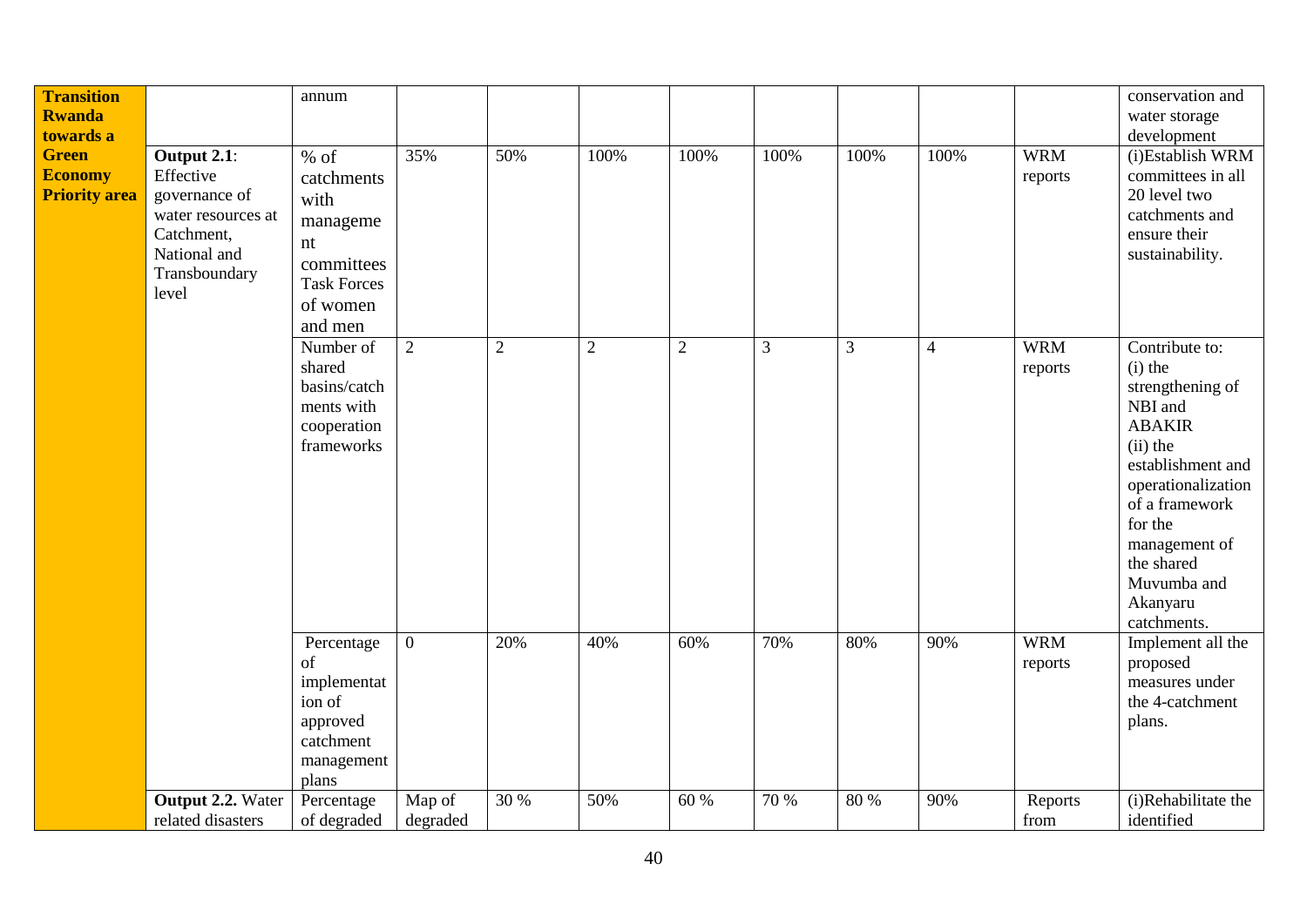| <b>Transition</b><br><b>Rwanda</b><br>towards a<br><b>Green</b><br><b>Economy</b><br><b>Priority area</b> | Output 2.1:<br>Effective<br>governance of<br>water resources at<br>Catchment,<br>National and<br>Transboundary<br>level | annum<br>$%$ of<br>catchments<br>with<br>manageme<br>$\mathop{\hbox{\rm nt}}$<br>committees<br><b>Task Forces</b><br>of women<br>and men | 35%                | 50%              | 100%         | 100%           | 100% | 100% | 100%           | <b>WRM</b><br>reports | conservation and<br>water storage<br>development<br>(i)Establish WRM<br>committees in all<br>20 level two<br>catchments and<br>ensure their<br>sustainability.                                                                             |
|-----------------------------------------------------------------------------------------------------------|-------------------------------------------------------------------------------------------------------------------------|------------------------------------------------------------------------------------------------------------------------------------------|--------------------|------------------|--------------|----------------|------|------|----------------|-----------------------|--------------------------------------------------------------------------------------------------------------------------------------------------------------------------------------------------------------------------------------------|
|                                                                                                           |                                                                                                                         | Number of<br>shared<br>basins/catch<br>ments with<br>cooperation<br>frameworks                                                           | 2                  | $\boldsymbol{2}$ | $\mathbf{2}$ | $\overline{2}$ | 3    | 3    | $\overline{4}$ | <b>WRM</b><br>reports | Contribute to:<br>$(i)$ the<br>strengthening of<br>NBI and<br><b>ABAKIR</b><br>$(ii)$ the<br>establishment and<br>operationalization<br>of a framework<br>for the<br>management of<br>the shared<br>Muvumba and<br>Akanyaru<br>catchments. |
|                                                                                                           |                                                                                                                         | Percentage<br>of<br>implementat<br>ion of<br>approved<br>catchment<br>management<br>plans                                                | $\mathbf{0}$       | 20%              | 40%          | 60%            | 70%  | 80%  | 90%            | <b>WRM</b><br>reports | Implement all the<br>proposed<br>measures under<br>the 4-catchment<br>plans.                                                                                                                                                               |
|                                                                                                           | Output 2.2. Water<br>related disasters                                                                                  | Percentage<br>of degraded                                                                                                                | Map of<br>degraded | 30 %             | 50%          | 60 %           | 70 % | 80 % | 90%            | Reports<br>from       | (i)Rehabilitate the<br>identified                                                                                                                                                                                                          |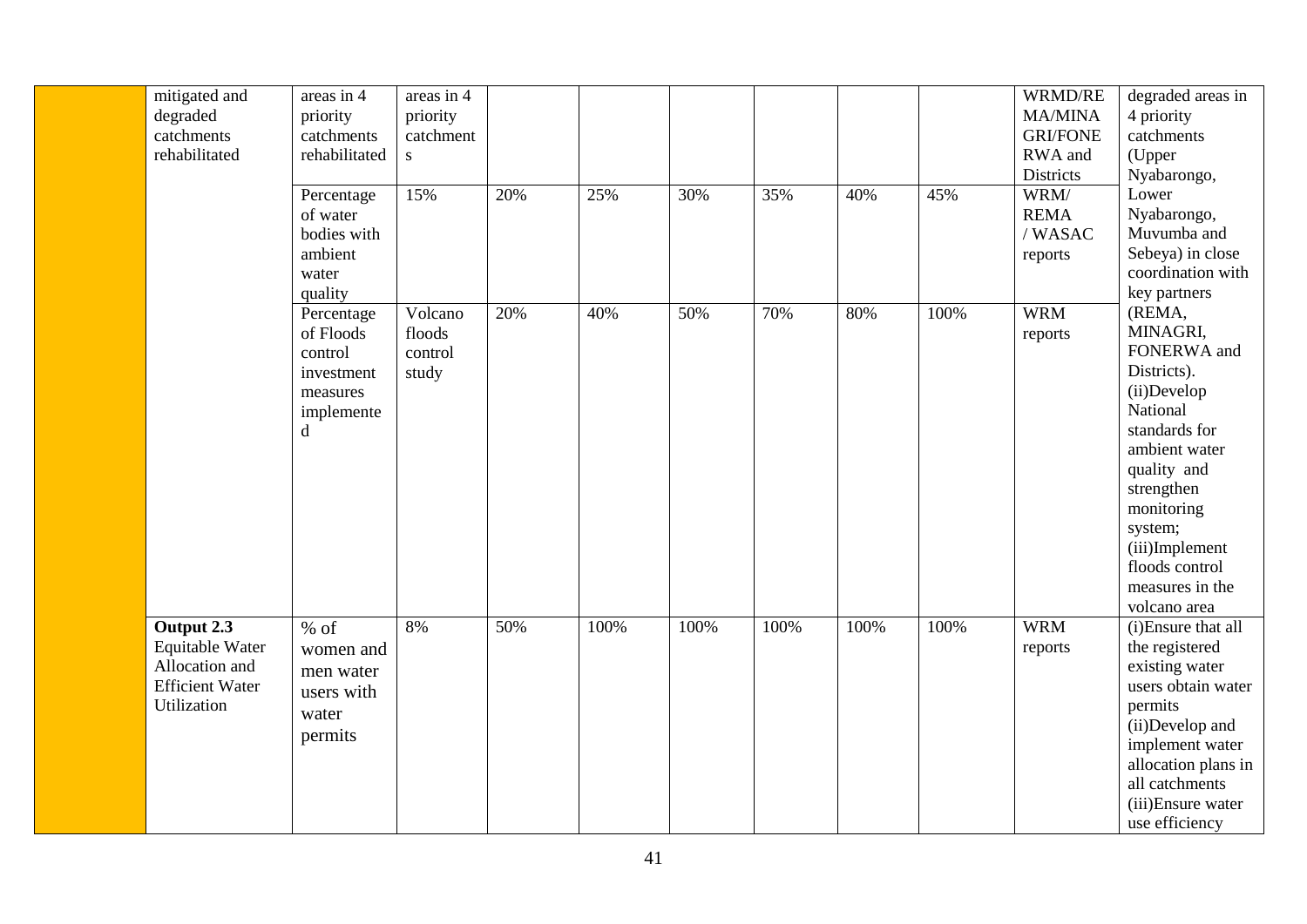| mitigated and          | areas in 4    | areas in 4 |     |      |      |      |      |      | WRMD/RE         | degraded areas in                      |
|------------------------|---------------|------------|-----|------|------|------|------|------|-----------------|----------------------------------------|
| degraded               | priority      | priority   |     |      |      |      |      |      | <b>MA/MINA</b>  | 4 priority                             |
| catchments             | catchments    | catchment  |     |      |      |      |      |      | <b>GRI/FONE</b> | catchments                             |
| rehabilitated          | rehabilitated | S.         |     |      |      |      |      |      | RWA and         | (Upper                                 |
|                        |               |            |     |      |      |      |      |      | Districts       | Nyabarongo,                            |
|                        | Percentage    | 15%        | 20% | 25%  | 30%  | 35%  | 40%  | 45%  | WRM/            | Lower                                  |
|                        | of water      |            |     |      |      |      |      |      | <b>REMA</b>     | Nyabarongo,                            |
|                        | bodies with   |            |     |      |      |      |      |      | /WASAC          | Muvumba and                            |
|                        | ambient       |            |     |      |      |      |      |      | reports         | Sebeya) in close                       |
|                        | water         |            |     |      |      |      |      |      |                 | coordination with                      |
|                        | quality       |            |     |      |      |      |      |      |                 | key partners                           |
|                        | Percentage    | Volcano    | 20% | 40%  | 50%  | 70%  | 80%  | 100% | <b>WRM</b>      | (REMA,                                 |
|                        | of Floods     | floods     |     |      |      |      |      |      | reports         | MINAGRI,                               |
|                        | control       | control    |     |      |      |      |      |      |                 | FONERWA and                            |
|                        | investment    | study      |     |      |      |      |      |      |                 | Districts).                            |
|                        | measures      |            |     |      |      |      |      |      |                 | (ii)Develop                            |
|                        | implemente    |            |     |      |      |      |      |      |                 | National                               |
|                        | d             |            |     |      |      |      |      |      |                 | standards for                          |
|                        |               |            |     |      |      |      |      |      |                 | ambient water                          |
|                        |               |            |     |      |      |      |      |      |                 | quality and                            |
|                        |               |            |     |      |      |      |      |      |                 | strengthen                             |
|                        |               |            |     |      |      |      |      |      |                 | monitoring                             |
|                        |               |            |     |      |      |      |      |      |                 | system;                                |
|                        |               |            |     |      |      |      |      |      |                 | (iii)Implement                         |
|                        |               |            |     |      |      |      |      |      |                 | floods control                         |
|                        |               |            |     |      |      |      |      |      |                 | measures in the                        |
|                        |               |            |     |      |      |      |      |      |                 | volcano area                           |
| Output 2.3             | $%$ of        | 8%         | 50% | 100% | 100% | 100% | 100% | 100% | <b>WRM</b>      | (i) Ensure that all                    |
| Equitable Water        | women and     |            |     |      |      |      |      |      | reports         | the registered                         |
| Allocation and         | men water     |            |     |      |      |      |      |      |                 | existing water                         |
| <b>Efficient Water</b> | users with    |            |     |      |      |      |      |      |                 | users obtain water                     |
| Utilization            | water         |            |     |      |      |      |      |      |                 | permits<br>(ii)Develop and             |
|                        | permits       |            |     |      |      |      |      |      |                 |                                        |
|                        |               |            |     |      |      |      |      |      |                 | implement water<br>allocation plans in |
|                        |               |            |     |      |      |      |      |      |                 | all catchments                         |
|                        |               |            |     |      |      |      |      |      |                 | (iii)Ensure water                      |
|                        |               |            |     |      |      |      |      |      |                 | use efficiency                         |
|                        |               |            |     |      |      |      |      |      |                 |                                        |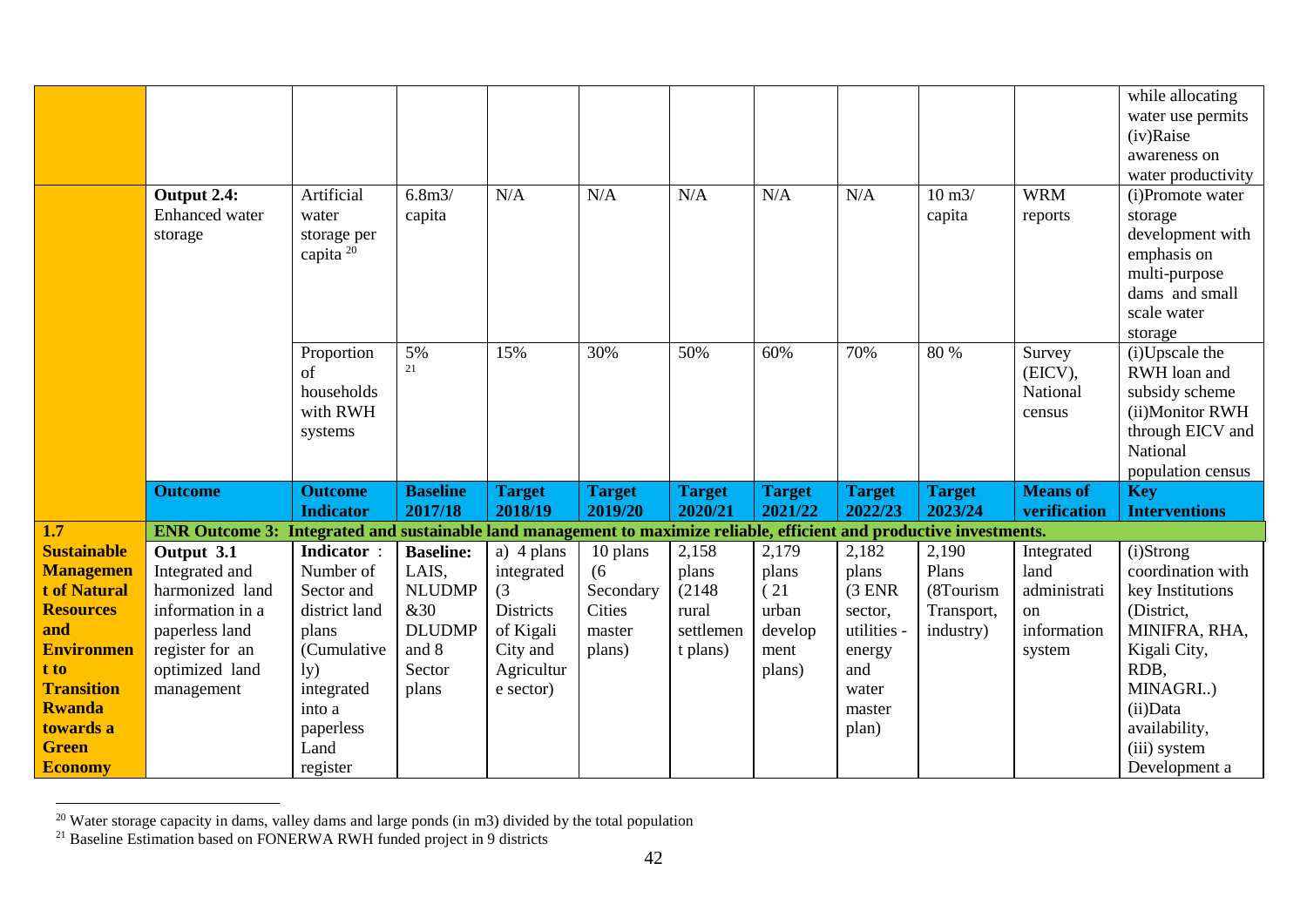|                    |                                                                                                                       |                      |                   |                  |               |               |               |               |                     |                 | while allocating     |
|--------------------|-----------------------------------------------------------------------------------------------------------------------|----------------------|-------------------|------------------|---------------|---------------|---------------|---------------|---------------------|-----------------|----------------------|
|                    |                                                                                                                       |                      |                   |                  |               |               |               |               |                     |                 | water use permits    |
|                    |                                                                                                                       |                      |                   |                  |               |               |               |               |                     |                 | (iv)Raise            |
|                    |                                                                                                                       |                      |                   |                  |               |               |               |               |                     |                 | awareness on         |
|                    |                                                                                                                       |                      |                   |                  |               |               |               |               |                     |                 | water productivity   |
|                    | Output 2.4:                                                                                                           | Artificial           | 6.8 <sub>m3</sub> | N/A              | N/A           | N/A           | N/A           | N/A           | $10 \text{ m}$ $3/$ | <b>WRM</b>      | (i)Promote water     |
|                    | Enhanced water                                                                                                        | water                | capita            |                  |               |               |               |               | capita              | reports         | storage              |
|                    | storage                                                                                                               | storage per          |                   |                  |               |               |               |               |                     |                 | development with     |
|                    |                                                                                                                       | capita <sup>20</sup> |                   |                  |               |               |               |               |                     |                 | emphasis on          |
|                    |                                                                                                                       |                      |                   |                  |               |               |               |               |                     |                 | multi-purpose        |
|                    |                                                                                                                       |                      |                   |                  |               |               |               |               |                     |                 | dams and small       |
|                    |                                                                                                                       |                      |                   |                  |               |               |               |               |                     |                 | scale water          |
|                    |                                                                                                                       |                      |                   |                  |               |               |               |               |                     |                 | storage              |
|                    |                                                                                                                       | Proportion           | 5%                | 15%              | 30%           | 50%           | 60%           | 70%           | 80 %                | Survey          | (i)Upscale the       |
|                    |                                                                                                                       | of                   | 21                |                  |               |               |               |               |                     | (EICV),         | RWH loan and         |
|                    |                                                                                                                       | households           |                   |                  |               |               |               |               |                     | National        | subsidy scheme       |
|                    |                                                                                                                       | with RWH             |                   |                  |               |               |               |               |                     | census          | (ii)Monitor RWH      |
|                    |                                                                                                                       | systems              |                   |                  |               |               |               |               |                     |                 | through EICV and     |
|                    |                                                                                                                       |                      |                   |                  |               |               |               |               |                     |                 | National             |
|                    |                                                                                                                       |                      |                   |                  |               |               |               |               |                     |                 | population census    |
|                    | <b>Outcome</b>                                                                                                        | <b>Outcome</b>       | <b>Baseline</b>   | <b>Target</b>    | <b>Target</b> | <b>Target</b> | <b>Target</b> | <b>Target</b> | <b>Target</b>       | <b>Means of</b> | <b>Key</b>           |
|                    |                                                                                                                       | <b>Indicator</b>     | 2017/18           | 2018/19          | 2019/20       | 2020/21       | 2021/22       | 2022/23       | 2023/24             | verification    | <b>Interventions</b> |
| 1.7                | ENR Outcome 3: Integrated and sustainable land management to maximize reliable, efficient and productive investments. |                      |                   |                  |               |               |               |               |                     |                 |                      |
| <b>Sustainable</b> | Output 3.1                                                                                                            | Indicator:           | <b>Baseline:</b>  | a) $4$ plans     | 10 plans      | 2,158         | 2,179         | 2,182         | 2,190               | Integrated      | (i)Strong            |
| <b>Managemen</b>   | Integrated and                                                                                                        | Number of            | LAIS,             | integrated       | (6)           | plans         | plans         | plans         | Plans               | land            | coordination with    |
| t of Natural       | harmonized land                                                                                                       | Sector and           | <b>NLUDMP</b>     | (3)              | Secondary     | (2148)        | (21)          | $(3$ ENR      | (8Tourism           | administrati    | key Institutions     |
| <b>Resources</b>   | information in a                                                                                                      | district land        | <b>&amp;30</b>    | <b>Districts</b> | Cities        | rural         | urban         | sector,       | Transport,          | on              | (District,           |
| and                | paperless land                                                                                                        | plans                | <b>DLUDMP</b>     | of Kigali        | master        | settlemen     | develop       | utilities -   | industry)           | information     | MINIFRA, RHA,        |
| <b>Environmen</b>  | register for an                                                                                                       | (Cumulative          | and 8             | City and         | plans)        | t plans)      | ment          | energy        |                     | system          | Kigali City,         |
| t to               | optimized land                                                                                                        | 1y)                  | Sector            | Agricultur       |               |               | plans)        | and           |                     |                 | RDB,                 |
| <b>Transition</b>  | management                                                                                                            | integrated           | plans             | e sector)        |               |               |               | water         |                     |                 | MINAGRI)             |
| <b>Rwanda</b>      |                                                                                                                       | into a               |                   |                  |               |               |               | master        |                     |                 | (ii)Data             |
| towards a          |                                                                                                                       | paperless            |                   |                  |               |               |               | plan)         |                     |                 | availability,        |
| <b>Green</b>       |                                                                                                                       | Land                 |                   |                  |               |               |               |               |                     |                 | (iii) system         |
| <b>Economy</b>     |                                                                                                                       | register             |                   |                  |               |               |               |               |                     |                 | Development a        |

 $20$  Water storage capacity in dams, valley dams and large ponds (in m3) divided by the total population

<sup>&</sup>lt;sup>21</sup> Baseline Estimation based on FONERWA RWH funded project in 9 districts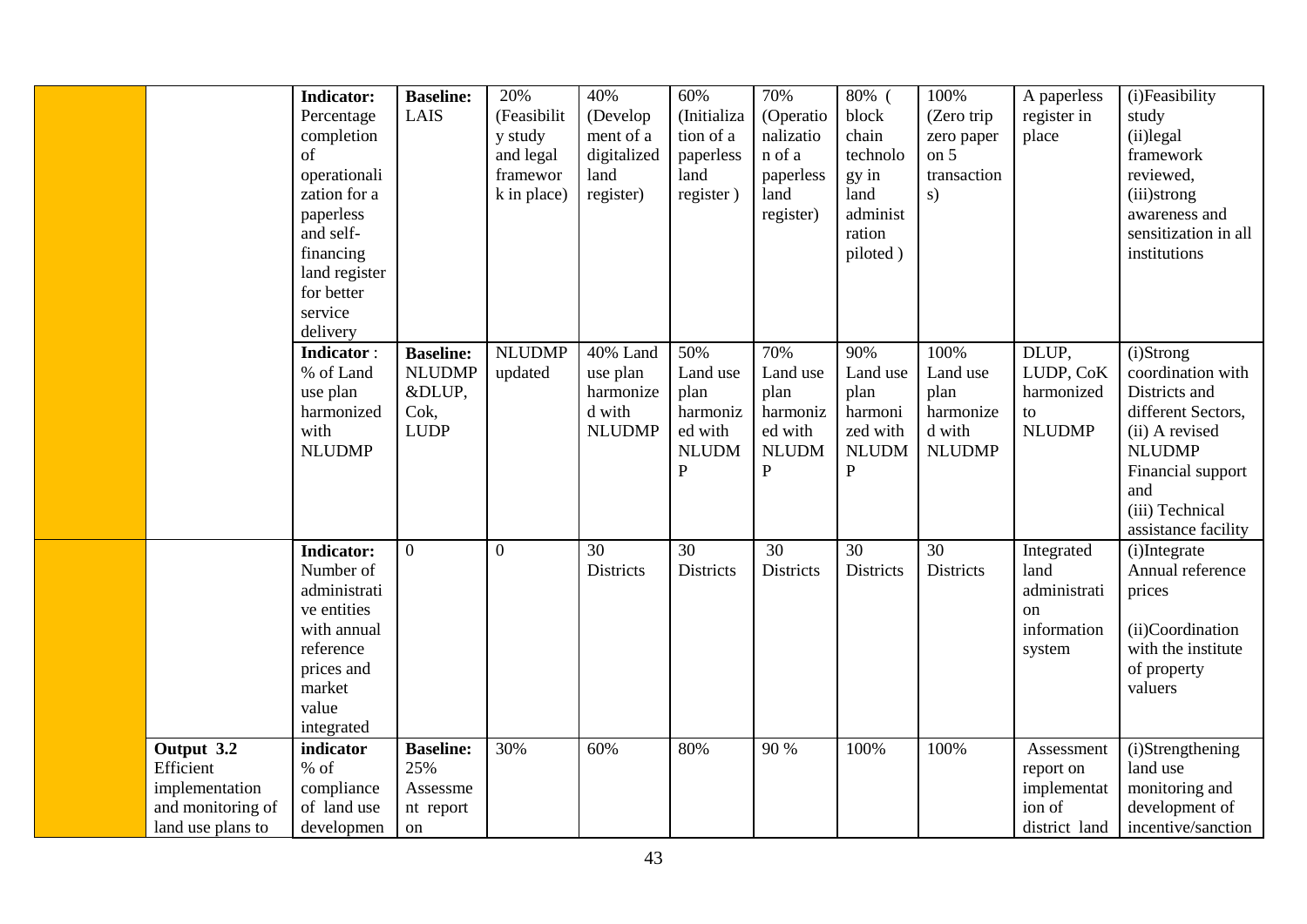|                                                                                     | <b>Indicator:</b><br>Percentage<br>completion<br><sub>of</sub><br>operationali<br>zation for a<br>paperless<br>and self-<br>financing<br>land register<br>for better<br>service<br>delivery | <b>Baseline:</b><br>LAIS                                           | 20%<br>(Feasibilit<br>y study<br>and legal<br>framewor<br>k in place) | 40%<br>(Develop<br>ment of a<br>digitalized<br>land<br>register)           | 60%<br>(Initializa<br>tion of a<br>paperless<br>land<br>register)                | 70%<br>(Operatio<br>nalizatio<br>n of a<br>paperless<br>land<br>register)      | 80% (<br>block<br>chain<br>technolo<br>gy in<br>land<br>administ<br>ration<br>piloted) | 100%<br>(Zero trip<br>zero paper<br>on $5$<br>transaction<br>s)  | A paperless<br>register in<br>place                               | (i)Feasibility<br>study<br>(ii)legal<br>framework<br>reviewed,<br>(iii)strong<br>awareness and<br>sensitization in all<br>institutions                                         |
|-------------------------------------------------------------------------------------|---------------------------------------------------------------------------------------------------------------------------------------------------------------------------------------------|--------------------------------------------------------------------|-----------------------------------------------------------------------|----------------------------------------------------------------------------|----------------------------------------------------------------------------------|--------------------------------------------------------------------------------|----------------------------------------------------------------------------------------|------------------------------------------------------------------|-------------------------------------------------------------------|--------------------------------------------------------------------------------------------------------------------------------------------------------------------------------|
|                                                                                     | <b>Indicator:</b><br>% of Land<br>use plan<br>harmonized<br>with<br><b>NLUDMP</b>                                                                                                           | <b>Baseline:</b><br><b>NLUDMP</b><br>&DLUP,<br>Cok,<br><b>LUDP</b> | <b>NLUDMP</b><br>updated                                              | $\overline{40\%}$ Land<br>use plan<br>harmonize<br>d with<br><b>NLUDMP</b> | 50%<br>Land use<br>plan<br>harmoniz<br>ed with<br><b>NLUDM</b><br>$\overline{P}$ | 70%<br>Land use<br>plan<br>harmoniz<br>ed with<br><b>NLUDM</b><br>$\mathbf{P}$ | 90%<br>Land use<br>plan<br>harmoni<br>zed with<br><b>NLUDM</b><br>$\mathbf{P}$         | 100%<br>Land use<br>plan<br>harmonize<br>d with<br><b>NLUDMP</b> | DLUP,<br>LUDP, CoK<br>harmonized<br>to<br><b>NLUDMP</b>           | (i)Strong<br>coordination with<br>Districts and<br>different Sectors,<br>(ii) A revised<br><b>NLUDMP</b><br>Financial support<br>and<br>(iii) Technical<br>assistance facility |
|                                                                                     | <b>Indicator:</b><br>Number of<br>administrati<br>ve entities<br>with annual<br>reference<br>prices and<br>market<br>value<br>integrated                                                    | $\overline{0}$                                                     | $\overline{0}$                                                        | 30<br><b>Districts</b>                                                     | 30<br><b>Districts</b>                                                           | 30<br><b>Districts</b>                                                         | 30<br><b>Districts</b>                                                                 | 30<br><b>Districts</b>                                           | Integrated<br>land<br>administrati<br>on<br>information<br>system | (i)Integrate<br>Annual reference<br>prices<br>(ii)Coordination<br>with the institute<br>of property<br>valuers                                                                 |
| Output 3.2<br>Efficient<br>implementation<br>and monitoring of<br>land use plans to | indicator<br>$%$ of<br>compliance<br>of land use<br>developmen                                                                                                                              | <b>Baseline:</b><br>25%<br>Assessme<br>nt report<br>on             | 30%                                                                   | 60%                                                                        | 80%                                                                              | 90 %                                                                           | 100%                                                                                   | 100%                                                             | Assessment<br>report on<br>implementat<br>ion of<br>district land | (i)Strengthening<br>land use<br>monitoring and<br>development of<br>incentive/sanction                                                                                         |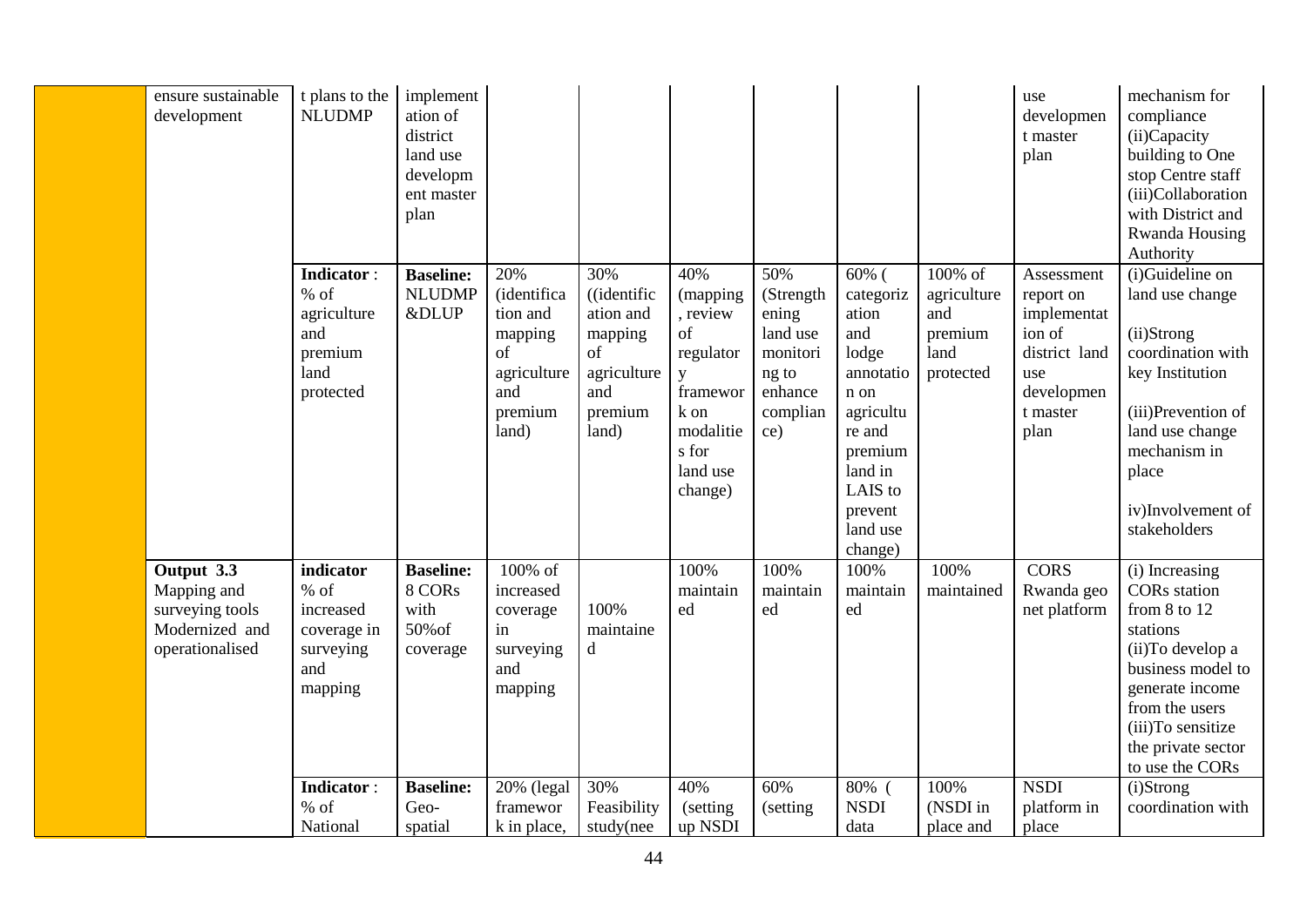| ensure sustainable<br>development                                                 | t plans to the<br><b>NLUDMP</b>                                                                     | implement<br>ation of<br>district<br>land use<br>developm<br>ent master<br>plan |                                                                                                   |                                                                                            |                                                                                                                      |                                                                                          |                                                                                                                                                              |                                                               | use<br>developmen<br>t master<br>plan                                                                      | mechanism for<br>compliance<br>(ii)Capacity<br>building to One<br>stop Centre staff<br>(iii)Collaboration<br>with District and<br>Rwanda Housing<br>Authority                                                              |
|-----------------------------------------------------------------------------------|-----------------------------------------------------------------------------------------------------|---------------------------------------------------------------------------------|---------------------------------------------------------------------------------------------------|--------------------------------------------------------------------------------------------|----------------------------------------------------------------------------------------------------------------------|------------------------------------------------------------------------------------------|--------------------------------------------------------------------------------------------------------------------------------------------------------------|---------------------------------------------------------------|------------------------------------------------------------------------------------------------------------|----------------------------------------------------------------------------------------------------------------------------------------------------------------------------------------------------------------------------|
|                                                                                   | <b>Indicator:</b><br>$%$ of<br>agriculture<br>and<br>premium<br>land<br>protected                   | <b>Baseline:</b><br><b>NLUDMP</b><br><b>&amp;DLUP</b>                           | 20%<br><i>(identifica</i><br>tion and<br>mapping<br>of<br>agriculture<br>and<br>premium<br>land)  | 30%<br>((identific<br>ation and<br>mapping<br>of<br>agriculture<br>and<br>premium<br>land) | 40%<br>(mapping<br>, review<br>of<br>regulator<br>y<br>framewor<br>k on<br>modalitie<br>s for<br>land use<br>change) | 50%<br>(Strength<br>ening<br>land use<br>monitori<br>ng to<br>enhance<br>complian<br>ce) | $60%$ (<br>categoriz<br>ation<br>and<br>lodge<br>annotatio<br>n on<br>agricultu<br>re and<br>premium<br>land in<br>LAIS to<br>prevent<br>land use<br>change) | 100% of<br>agriculture<br>and<br>premium<br>land<br>protected | Assessment<br>report on<br>implementat<br>ion of<br>district land<br>use<br>developmen<br>t master<br>plan | (i)Guideline on<br>land use change<br>(ii)Strong<br>coordination with<br>key Institution<br>(iii)Prevention of<br>land use change<br>mechanism in<br>place<br>iv)Involvement of<br>stakeholders                            |
| Output 3.3<br>Mapping and<br>surveying tools<br>Modernized and<br>operationalised | indicator<br>$%$ of<br>increased<br>coverage in<br>surveying<br>and<br>mapping<br><b>Indicator:</b> | <b>Baseline:</b><br>8 CORs<br>with<br>50% of<br>coverage<br><b>Baseline:</b>    | 100% of<br>increased<br>coverage<br>in<br>surveying<br>and<br>mapping<br>$\overline{20\%}$ (legal | 100%<br>maintaine<br>d<br>30%                                                              | 100%<br>maintain<br>ed<br>40%                                                                                        | 100%<br>maintain<br>ed<br>60%                                                            | 100%<br>maintain<br>ed<br>80% (                                                                                                                              | 100%<br>maintained<br>100%                                    | <b>CORS</b><br>Rwanda geo<br>net platform<br><b>NSDI</b>                                                   | (i) Increasing<br><b>CORs</b> station<br>from 8 to 12<br>stations<br>(ii)To develop a<br>business model to<br>generate income<br>from the users<br>(iii)To sensitize<br>the private sector<br>to use the CORs<br>(i)Strong |
|                                                                                   | $%$ of<br>National                                                                                  | Geo-<br>spatial                                                                 | framewor<br>k in place,                                                                           | Feasibility<br>study(nee                                                                   | (setting)<br>up NSDI                                                                                                 | (setting)                                                                                | <b>NSDI</b><br>data                                                                                                                                          | (NSDI in<br>place and                                         | platform in<br>place                                                                                       | coordination with                                                                                                                                                                                                          |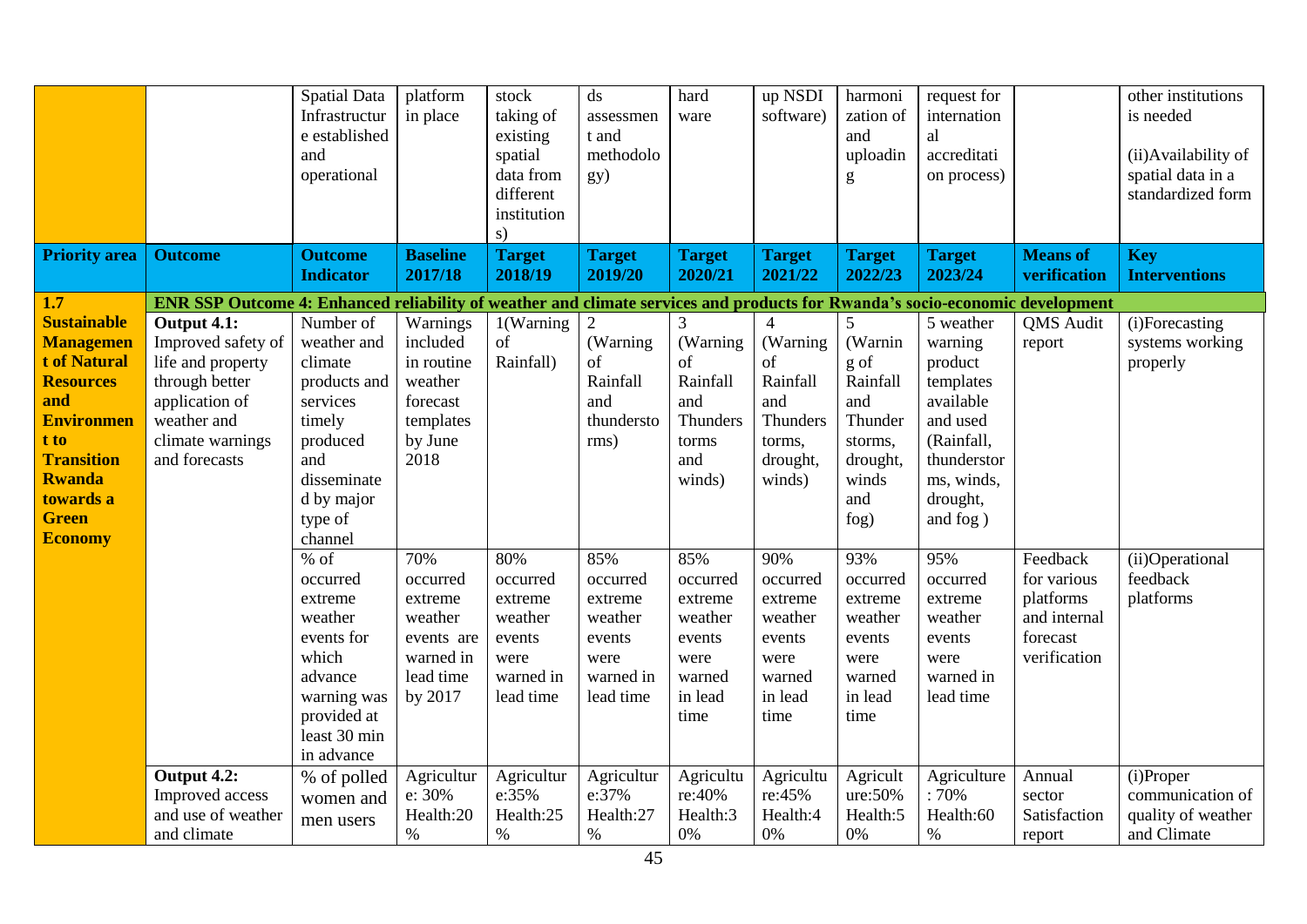| <b>Priority area</b>      | <b>Outcome</b>                                                                                                               | <b>Spatial Data</b><br>Infrastructur<br>e established<br>and<br>operational<br><b>Outcome</b><br><b>Indicator</b> | platform<br>in place<br><b>Baseline</b><br>2017/18 | stock<br>taking of<br>existing<br>spatial<br>data from<br>different<br>institution<br>s)<br><b>Target</b><br>2018/19 | ds<br>assessmen<br>t and<br>methodolo<br>gy)<br><b>Target</b><br>2019/20 | hard<br>ware<br><b>Target</b><br>2020/21 | up NSDI<br>software)<br><b>Target</b><br>2021/22 | harmoni<br>zation of<br>and<br>uploadin<br>g<br><b>Target</b><br>2022/23 | request for<br>internation<br>al<br>accreditati<br>on process)<br><b>Target</b><br>2023/24 | <b>Means</b> of<br>verification | other institutions<br>is needed<br>(ii) Availability of<br>spatial data in a<br>standardized form<br><b>Key</b><br><b>Interventions</b> |
|---------------------------|------------------------------------------------------------------------------------------------------------------------------|-------------------------------------------------------------------------------------------------------------------|----------------------------------------------------|----------------------------------------------------------------------------------------------------------------------|--------------------------------------------------------------------------|------------------------------------------|--------------------------------------------------|--------------------------------------------------------------------------|--------------------------------------------------------------------------------------------|---------------------------------|-----------------------------------------------------------------------------------------------------------------------------------------|
|                           |                                                                                                                              |                                                                                                                   |                                                    |                                                                                                                      |                                                                          |                                          |                                                  |                                                                          |                                                                                            |                                 |                                                                                                                                         |
| 1.7<br><b>Sustainable</b> | ENR SSP Outcome 4: Enhanced reliability of weather and climate services and products for Rwanda's socio-economic development | Number of                                                                                                         | Warnings                                           | $1$ (Warning                                                                                                         | $\overline{2}$                                                           | 3                                        |                                                  | 5                                                                        | 5 weather                                                                                  | <b>QMS</b> Audit                |                                                                                                                                         |
| <b>Managemen</b>          | Output 4.1:<br>Improved safety of                                                                                            | weather and                                                                                                       | included                                           | of                                                                                                                   | (Warning                                                                 | (Warning                                 | (Warning)                                        | (Warnin                                                                  | warning                                                                                    | report                          | (i)Forecasting<br>systems working                                                                                                       |
| <b>t of Natural</b>       | life and property                                                                                                            | climate                                                                                                           | in routine                                         | Rainfall)                                                                                                            | of                                                                       | of                                       | of                                               | g of                                                                     | product                                                                                    |                                 | properly                                                                                                                                |
| <b>Resources</b>          | through better                                                                                                               | products and                                                                                                      | weather                                            |                                                                                                                      | Rainfall                                                                 | Rainfall                                 | Rainfall                                         | Rainfall                                                                 | templates                                                                                  |                                 |                                                                                                                                         |
| and<br><b>Environmen</b>  | application of<br>weather and                                                                                                | services<br>timely                                                                                                | forecast<br>templates                              |                                                                                                                      | and<br>thundersto                                                        | and<br>Thunders                          | and<br>Thunders                                  | and<br>Thunder                                                           | available<br>and used                                                                      |                                 |                                                                                                                                         |
| t to                      | climate warnings                                                                                                             | produced                                                                                                          | by June                                            |                                                                                                                      | rms)                                                                     | torms                                    | torms,                                           | storms,                                                                  | (Rainfall,                                                                                 |                                 |                                                                                                                                         |
| <b>Transition</b>         | and forecasts                                                                                                                | and                                                                                                               | 2018                                               |                                                                                                                      |                                                                          | and                                      | drought,                                         | drought,                                                                 | thunderstor                                                                                |                                 |                                                                                                                                         |
| <b>Rwanda</b>             |                                                                                                                              | disseminate                                                                                                       |                                                    |                                                                                                                      |                                                                          | winds)                                   | winds)                                           | winds                                                                    | ms, winds,                                                                                 |                                 |                                                                                                                                         |
| towards a                 |                                                                                                                              | d by major                                                                                                        |                                                    |                                                                                                                      |                                                                          |                                          |                                                  | and                                                                      | drought,                                                                                   |                                 |                                                                                                                                         |
| <b>Green</b>              |                                                                                                                              | type of                                                                                                           |                                                    |                                                                                                                      |                                                                          |                                          |                                                  | fog)                                                                     | and fog)                                                                                   |                                 |                                                                                                                                         |
| <b>Economy</b>            |                                                                                                                              | channel                                                                                                           |                                                    |                                                                                                                      |                                                                          |                                          |                                                  |                                                                          |                                                                                            |                                 |                                                                                                                                         |
|                           |                                                                                                                              | $%$ of<br>occurred                                                                                                | 70%<br>occurred                                    | 80%<br>occurred                                                                                                      | 85%<br>occurred                                                          | 85%<br>occurred                          | 90%<br>occurred                                  | 93%<br>occurred                                                          | 95%<br>occurred                                                                            | Feedback<br>for various         | (ii)Operational<br>feedback                                                                                                             |
|                           |                                                                                                                              | extreme                                                                                                           | extreme                                            | extreme                                                                                                              | extreme                                                                  | extreme                                  | extreme                                          | extreme                                                                  | extreme                                                                                    | platforms                       | platforms                                                                                                                               |
|                           |                                                                                                                              | weather                                                                                                           | weather                                            | weather                                                                                                              | weather                                                                  | weather                                  | weather                                          | weather                                                                  | weather                                                                                    | and internal                    |                                                                                                                                         |
|                           |                                                                                                                              | events for                                                                                                        | events are                                         | events                                                                                                               | events                                                                   | events                                   | events                                           | events                                                                   | events                                                                                     | forecast                        |                                                                                                                                         |
|                           |                                                                                                                              | which                                                                                                             | warned in                                          | were                                                                                                                 | were                                                                     | were                                     | were                                             | were                                                                     | were                                                                                       | verification                    |                                                                                                                                         |
|                           |                                                                                                                              | advance                                                                                                           | lead time                                          | warned in                                                                                                            | warned in                                                                | warned                                   | warned                                           | warned                                                                   | warned in                                                                                  |                                 |                                                                                                                                         |
|                           |                                                                                                                              | warning was                                                                                                       | by 2017                                            | lead time                                                                                                            | lead time                                                                | in lead                                  | in lead                                          | in lead                                                                  | lead time                                                                                  |                                 |                                                                                                                                         |
|                           |                                                                                                                              | provided at<br>least 30 min                                                                                       |                                                    |                                                                                                                      |                                                                          | time                                     | time                                             | time                                                                     |                                                                                            |                                 |                                                                                                                                         |
|                           |                                                                                                                              | in advance                                                                                                        |                                                    |                                                                                                                      |                                                                          |                                          |                                                  |                                                                          |                                                                                            |                                 |                                                                                                                                         |
|                           | Output 4.2:                                                                                                                  | % of polled                                                                                                       | Agricultur                                         | Agricultur                                                                                                           | Agricultur                                                               | Agricultu                                | Agricultu                                        | Agricult                                                                 | Agriculture                                                                                | Annual                          | (i)Proper                                                                                                                               |
|                           | Improved access                                                                                                              | women and                                                                                                         | e: 30%                                             | e:35%                                                                                                                | e:37%                                                                    | re:40%                                   | re:45%                                           | ure:50%                                                                  | :70%                                                                                       | sector                          | communication of                                                                                                                        |
|                           | and use of weather                                                                                                           | men users                                                                                                         | Health:20                                          | Health:25                                                                                                            | Health:27                                                                | Health:3                                 | Health:4                                         | Health:5                                                                 | Health:60                                                                                  | Satisfaction                    | quality of weather                                                                                                                      |
|                           | and climate                                                                                                                  |                                                                                                                   | $\%$                                               | $\%$                                                                                                                 | $\%$                                                                     | 0%                                       | 0%                                               | $0\%$                                                                    | $\%$                                                                                       | report                          | and Climate                                                                                                                             |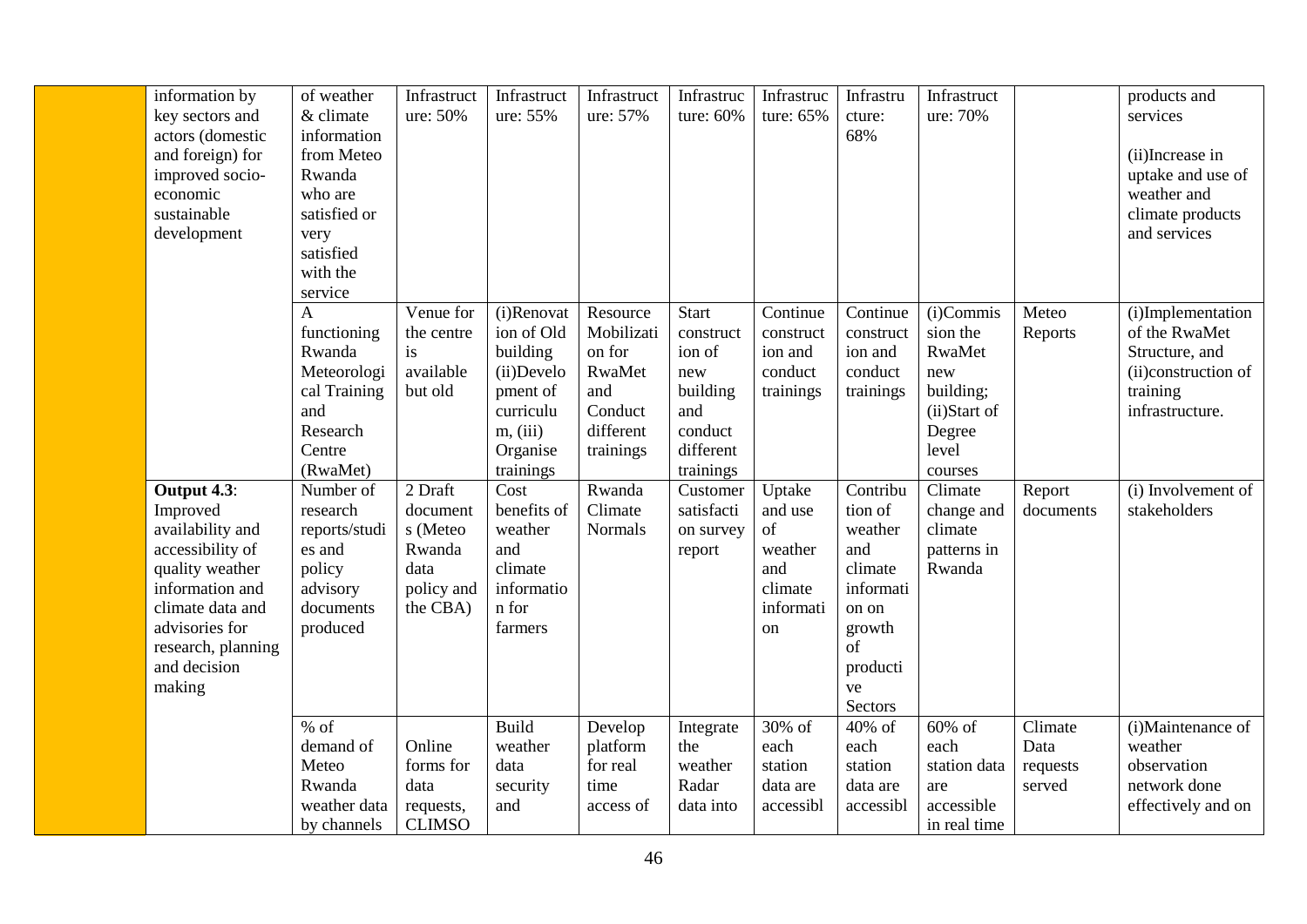| information by<br>key sectors and<br>actors (domestic<br>and foreign) for<br>improved socio-<br>economic<br>sustainable<br>development                                                      | of weather<br>& climate<br>information<br>from Meteo<br>Rwanda<br>who are<br>satisfied or<br>very<br>satisfied<br>with the<br>service | Infrastruct<br>ure: 50%                                                     | Infrastruct<br>ure: 55%                                                                                          | Infrastruct<br>ure: 57%                                                                | Infrastruc<br>ture: 60%                                                                            | Infrastruc<br>ture: 65%                                                 | Infrastru<br>cture:<br>68%                                                                                          | Infrastruct<br>ure: 70%                                                                           |                                       | products and<br>services<br>(ii) Increase in<br>uptake and use of<br>weather and<br>climate products<br>and services |
|---------------------------------------------------------------------------------------------------------------------------------------------------------------------------------------------|---------------------------------------------------------------------------------------------------------------------------------------|-----------------------------------------------------------------------------|------------------------------------------------------------------------------------------------------------------|----------------------------------------------------------------------------------------|----------------------------------------------------------------------------------------------------|-------------------------------------------------------------------------|---------------------------------------------------------------------------------------------------------------------|---------------------------------------------------------------------------------------------------|---------------------------------------|----------------------------------------------------------------------------------------------------------------------|
|                                                                                                                                                                                             | A<br>functioning<br>Rwanda<br>Meteorologi<br>cal Training<br>and<br>Research<br>Centre<br>(RwaMet)                                    | Venue for<br>the centre<br>is<br>available<br>but old                       | (i)Renovat<br>ion of Old<br>building<br>(ii)Develo<br>pment of<br>curriculu<br>m, (iii)<br>Organise<br>trainings | Resource<br>Mobilizati<br>on for<br>RwaMet<br>and<br>Conduct<br>different<br>trainings | <b>Start</b><br>construct<br>ion of<br>new<br>building<br>and<br>conduct<br>different<br>trainings | Continue<br>construct<br>ion and<br>conduct<br>trainings                | Continue<br>construct<br>ion and<br>conduct<br>trainings                                                            | (i)Commis<br>sion the<br>RwaMet<br>new<br>building;<br>(ii)Start of<br>Degree<br>level<br>courses | Meteo<br>Reports                      | (i)Implementation<br>of the RwaMet<br>Structure, and<br>(ii)construction of<br>training<br>infrastructure.           |
| Output 4.3:<br>Improved<br>availability and<br>accessibility of<br>quality weather<br>information and<br>climate data and<br>advisories for<br>research, planning<br>and decision<br>making | Number of<br>research<br>reports/studi<br>es and<br>policy<br>advisory<br>documents<br>produced                                       | 2 Draft<br>document<br>s (Meteo<br>Rwanda<br>data<br>policy and<br>the CBA) | Cost<br>benefits of<br>weather<br>and<br>climate<br>informatio<br>n for<br>farmers                               | Rwanda<br>Climate<br>Normals                                                           | Customer<br>satisfacti<br>on survey<br>report                                                      | Uptake<br>and use<br>of<br>weather<br>and<br>climate<br>informati<br>on | Contribu<br>tion of<br>weather<br>and<br>climate<br>informati<br>on on<br>growth<br>of<br>producti<br>ve<br>Sectors | Climate<br>change and<br>climate<br>patterns in<br>Rwanda                                         | Report<br>documents                   | (i) Involvement of<br>stakeholders                                                                                   |
|                                                                                                                                                                                             | $%$ of<br>demand of<br>Meteo<br>Rwanda<br>weather data<br>by channels                                                                 | Online<br>forms for<br>data<br>requests,<br><b>CLIMSO</b>                   | Build<br>weather<br>data<br>security<br>and                                                                      | Develop<br>platform<br>for real<br>time<br>access of                                   | Integrate<br>the<br>weather<br>Radar<br>data into                                                  | 30% of<br>each<br>station<br>data are<br>accessibl                      | 40% of<br>each<br>station<br>data are<br>accessibl                                                                  | $60\%$ of<br>each<br>station data<br>are<br>accessible<br>in real time                            | Climate<br>Data<br>requests<br>served | $(i)$ Maintenance of<br>weather<br>observation<br>network done<br>effectively and on                                 |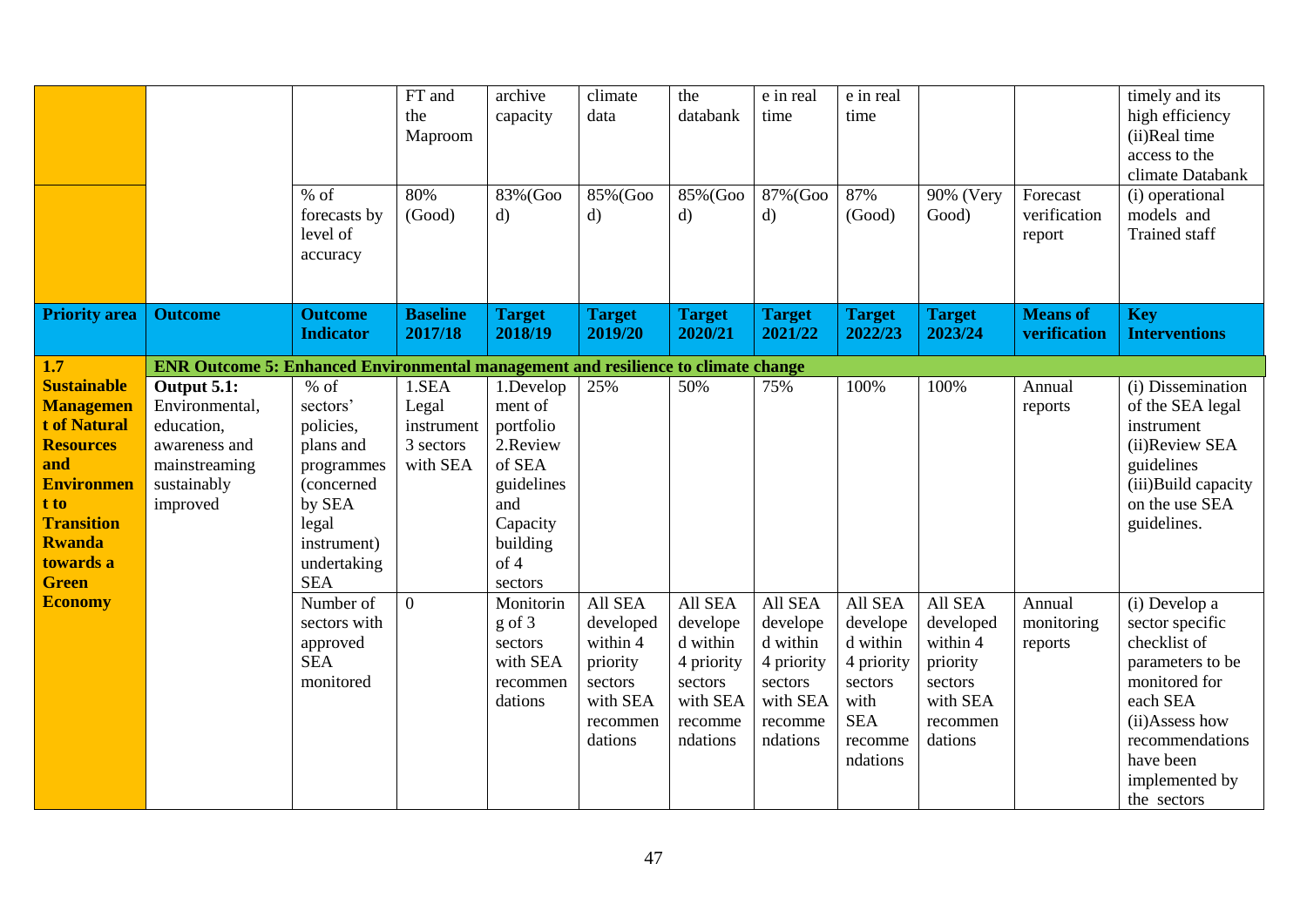|                                                                                                                                                                                          |                                                                                                          |                                                                                                                                         | FT and<br>the<br>Maproom                              | archive<br>capacity                                                                                                     | climate<br>data                                                                            | the<br>databank                                                                             | e in real<br>time                                                                           | e in real<br>time                                                                                     |                                                                                            |                                    | timely and its<br>high efficiency<br>(ii)Real time<br>access to the<br>climate Databank                                                                                              |
|------------------------------------------------------------------------------------------------------------------------------------------------------------------------------------------|----------------------------------------------------------------------------------------------------------|-----------------------------------------------------------------------------------------------------------------------------------------|-------------------------------------------------------|-------------------------------------------------------------------------------------------------------------------------|--------------------------------------------------------------------------------------------|---------------------------------------------------------------------------------------------|---------------------------------------------------------------------------------------------|-------------------------------------------------------------------------------------------------------|--------------------------------------------------------------------------------------------|------------------------------------|--------------------------------------------------------------------------------------------------------------------------------------------------------------------------------------|
|                                                                                                                                                                                          |                                                                                                          | $%$ of<br>forecasts by<br>level of<br>accuracy                                                                                          | 80%<br>(Good)                                         | 83% (Goo<br>$\mathbf{d}$                                                                                                | 85% (Goo<br>d)                                                                             | 85% (Goo<br>$\mathbf{d}$                                                                    | 87% (Goo<br>$\mathbf{d}$                                                                    | 87%<br>(Good)                                                                                         | 90% (Very<br>Good)                                                                         | Forecast<br>verification<br>report | (i) operational<br>models and<br>Trained staff                                                                                                                                       |
| <b>Priority area</b>                                                                                                                                                                     | <b>Outcome</b>                                                                                           | <b>Outcome</b><br><b>Indicator</b>                                                                                                      | <b>Baseline</b><br>2017/18                            | <b>Target</b><br>2018/19                                                                                                | <b>Target</b><br>2019/20                                                                   | <b>Target</b><br>2020/21                                                                    | <b>Target</b><br>2021/22                                                                    | <b>Target</b><br>2022/23                                                                              | <b>Target</b><br>2023/24                                                                   | <b>Means of</b><br>verification    | <b>Key</b><br><b>Interventions</b>                                                                                                                                                   |
| 1.7                                                                                                                                                                                      | <b>ENR Outcome 5: Enhanced Environmental management and resilience to climate change</b>                 |                                                                                                                                         |                                                       |                                                                                                                         |                                                                                            |                                                                                             |                                                                                             |                                                                                                       |                                                                                            |                                    |                                                                                                                                                                                      |
| <b>Sustainable</b><br><b>Managemen</b><br><b>t of Natural</b><br><b>Resources</b><br>and<br><b>Environmen</b><br>t to<br><b>Transition</b><br><b>Rwanda</b><br>towards a<br><b>Green</b> | Output 5.1:<br>Environmental,<br>education,<br>awareness and<br>mainstreaming<br>sustainably<br>improved | $%$ of<br>sectors'<br>policies,<br>plans and<br>programmes<br>(concerned<br>by SEA<br>legal<br>instrument)<br>undertaking<br><b>SEA</b> | 1.SEA<br>Legal<br>instrument<br>3 sectors<br>with SEA | 1.Develop<br>ment of<br>portfolio<br>2.Review<br>of SEA<br>guidelines<br>and<br>Capacity<br>building<br>of 4<br>sectors | 25%                                                                                        | 50%                                                                                         | 75%                                                                                         | 100%                                                                                                  | 100%                                                                                       | Annual<br>reports                  | (i) Dissemination<br>of the SEA legal<br>instrument<br>(ii)Review SEA<br>guidelines<br>(iii)Build capacity<br>on the use SEA<br>guidelines.                                          |
| <b>Economy</b>                                                                                                                                                                           |                                                                                                          | Number of<br>sectors with<br>approved<br><b>SEA</b><br>monitored                                                                        | $\overline{0}$                                        | Monitorin<br>$g$ of 3<br>sectors<br>with SEA<br>recommen<br>dations                                                     | All SEA<br>developed<br>within 4<br>priority<br>sectors<br>with SEA<br>recommen<br>dations | All SEA<br>develope<br>d within<br>4 priority<br>sectors<br>with SEA<br>recomme<br>ndations | All SEA<br>develope<br>d within<br>4 priority<br>sectors<br>with SEA<br>recomme<br>ndations | All SEA<br>develope<br>d within<br>4 priority<br>sectors<br>with<br><b>SEA</b><br>recomme<br>ndations | All SEA<br>developed<br>within 4<br>priority<br>sectors<br>with SEA<br>recommen<br>dations | Annual<br>monitoring<br>reports    | (i) Develop a<br>sector specific<br>checklist of<br>parameters to be<br>monitored for<br>each SEA<br>(ii)Assess how<br>recommendations<br>have been<br>implemented by<br>the sectors |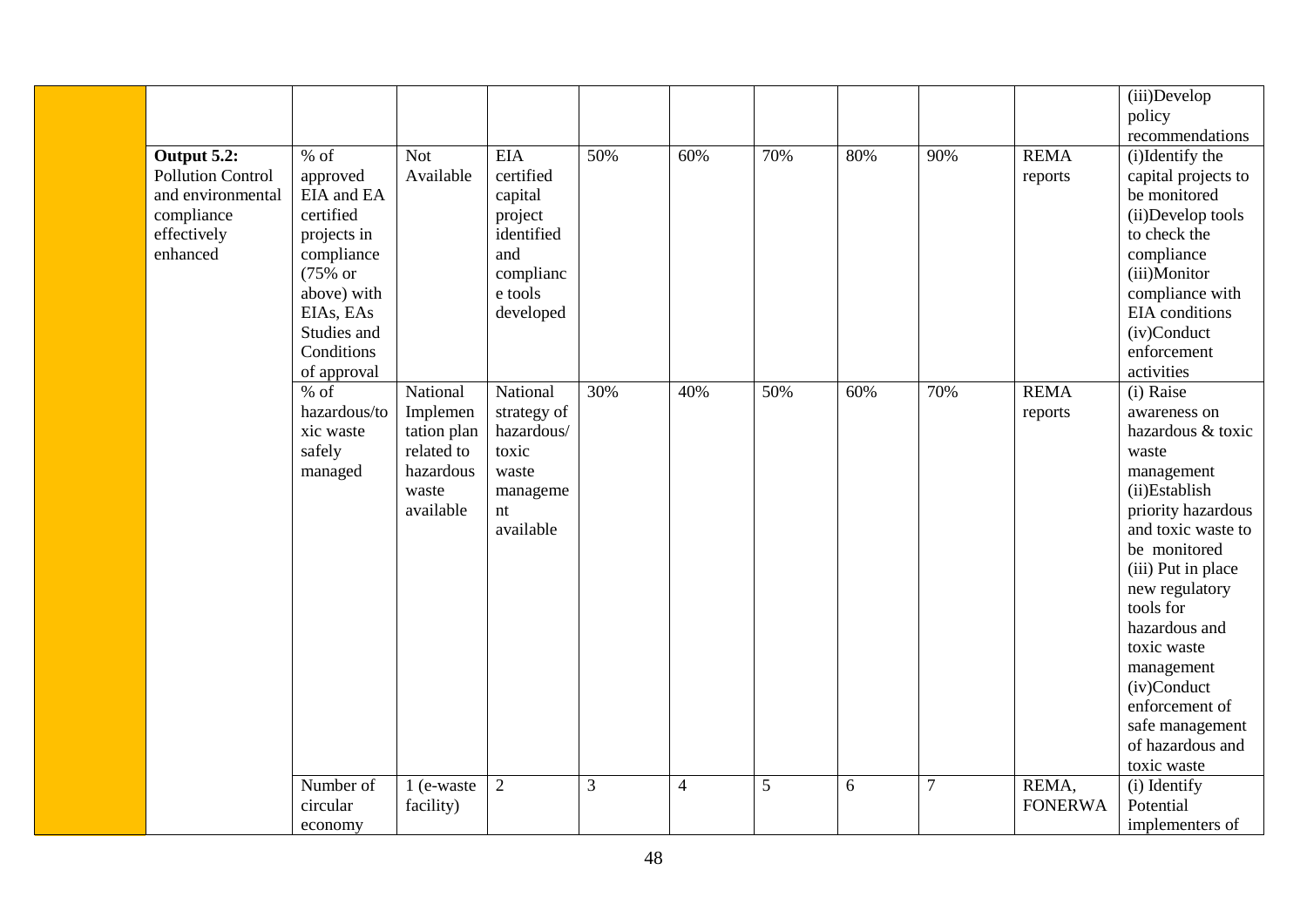|                                                                                                                    |                                                                                                                                                                           |                                                                                      |                                                                                                         |     |     |     |     |                |                         | (iii)Develop<br>policy                                                                                                                                                                                                                                                                                                                         |
|--------------------------------------------------------------------------------------------------------------------|---------------------------------------------------------------------------------------------------------------------------------------------------------------------------|--------------------------------------------------------------------------------------|---------------------------------------------------------------------------------------------------------|-----|-----|-----|-----|----------------|-------------------------|------------------------------------------------------------------------------------------------------------------------------------------------------------------------------------------------------------------------------------------------------------------------------------------------------------------------------------------------|
| Output $5.\overline{2:}$<br><b>Pollution Control</b><br>and environmental<br>compliance<br>effectively<br>enhanced | $%$ of<br>approved<br>EIA and EA<br>certified<br>projects in<br>compliance<br>$(75\% \text{ or }$<br>above) with<br>EIAs, EAs<br>Studies and<br>Conditions<br>of approval | <b>Not</b><br>Available                                                              | <b>EIA</b><br>certified<br>capital<br>project<br>identified<br>and<br>complianc<br>e tools<br>developed | 50% | 60% | 70% | 80% | 90%            | <b>REMA</b><br>reports  | recommendations<br>(i)Identify the<br>capital projects to<br>be monitored<br>(ii)Develop tools<br>to check the<br>compliance<br>(iii)Monitor<br>compliance with<br>EIA conditions<br>(iv)Conduct<br>enforcement<br>activities                                                                                                                  |
|                                                                                                                    | $%$ of<br>hazardous/to<br>xic waste<br>safely<br>managed                                                                                                                  | National<br>Implemen<br>tation plan<br>related to<br>hazardous<br>waste<br>available | National<br>strategy of<br>hazardous/<br>toxic<br>waste<br>manageme<br>nt<br>available                  | 30% | 40% | 50% | 60% | 70%            | <b>REMA</b><br>reports  | $(i)$ Raise<br>awareness on<br>hazardous & toxic<br>waste<br>management<br>(ii)Establish<br>priority hazardous<br>and toxic waste to<br>be monitored<br>(iii) Put in place<br>new regulatory<br>tools for<br>hazardous and<br>toxic waste<br>management<br>(iv)Conduct<br>enforcement of<br>safe management<br>of hazardous and<br>toxic waste |
|                                                                                                                    | Number of<br>circular<br>economy                                                                                                                                          | 1 (e-waste<br>facility)                                                              | $\overline{2}$                                                                                          | 3   | 4   | 5   | 6   | $\overline{7}$ | REMA,<br><b>FONERWA</b> | (i) Identify<br>Potential<br>implementers of                                                                                                                                                                                                                                                                                                   |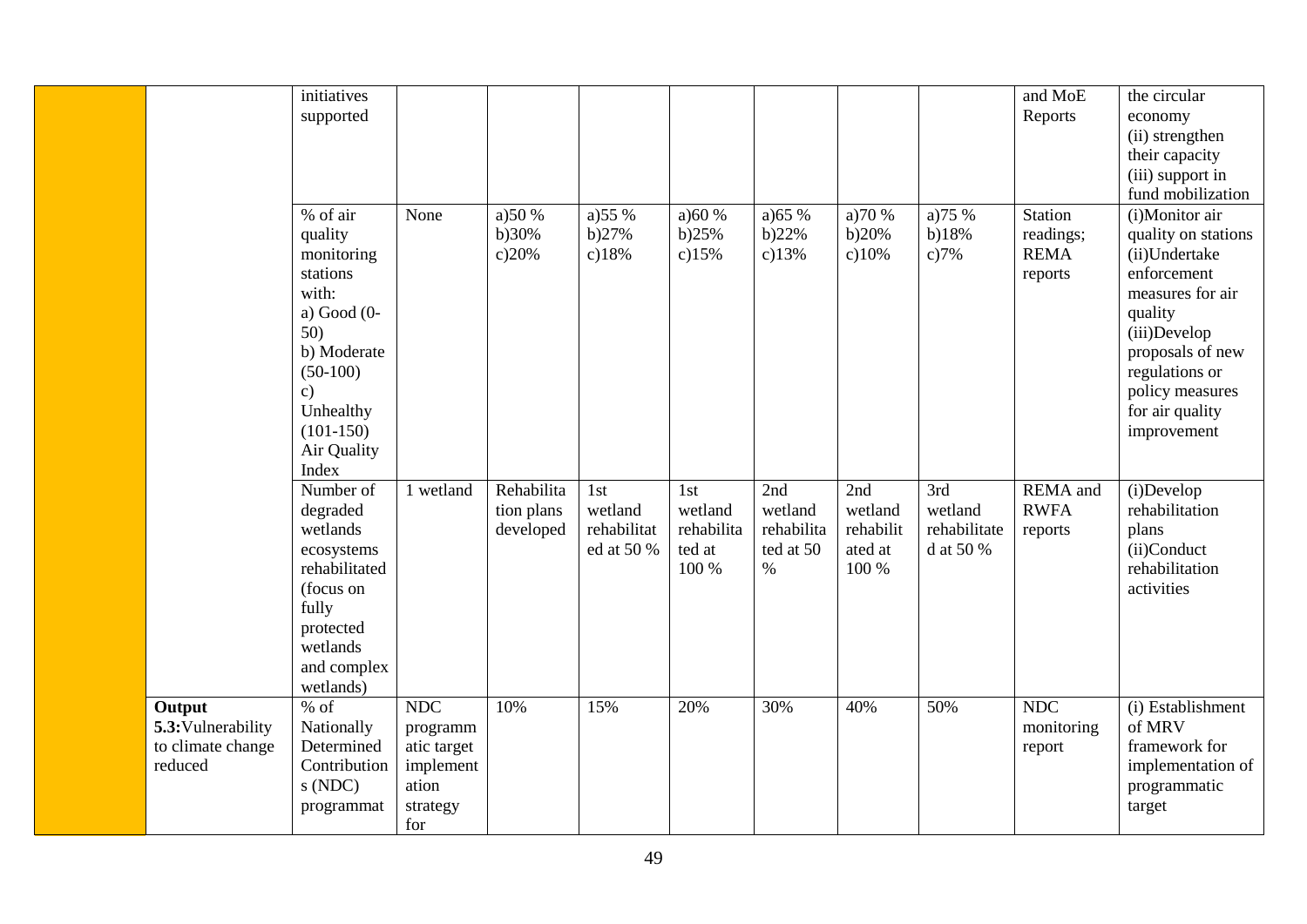|                                                              | initiatives<br>supported                                                                                                                                              |                                                                                |                                       |                                             |                                                 |                                                   |                                                 |                                             | and MoE<br>Reports                                    | the circular<br>economy<br>(ii) strengthen<br>their capacity<br>(iii) support in<br>fund mobilization                                                                                                           |
|--------------------------------------------------------------|-----------------------------------------------------------------------------------------------------------------------------------------------------------------------|--------------------------------------------------------------------------------|---------------------------------------|---------------------------------------------|-------------------------------------------------|---------------------------------------------------|-------------------------------------------------|---------------------------------------------|-------------------------------------------------------|-----------------------------------------------------------------------------------------------------------------------------------------------------------------------------------------------------------------|
|                                                              | % of air<br>quality<br>monitoring<br>stations<br>with:<br>a) Good $(0-$<br>50)<br>b) Moderate<br>$(50-100)$<br>c)<br>Unhealthy<br>$(101-150)$<br>Air Quality<br>Index | None                                                                           | a) 50 %<br>b)30%<br>c)20%             | a)55%<br>b)27%<br>c)18%                     | a)60%<br>b)25%<br>c)15%                         | a) $65%$<br>b)22%<br>c)13%                        | a) $70%$<br>b)20%<br>c)10%                      | a) $75%$<br>b)18%<br>c)7%                   | <b>Station</b><br>readings;<br><b>REMA</b><br>reports | (i)Monitor air<br>quality on stations<br>(ii)Undertake<br>enforcement<br>measures for air<br>quality<br>(iii)Develop<br>proposals of new<br>regulations or<br>policy measures<br>for air quality<br>improvement |
|                                                              | Number of<br>degraded<br>wetlands<br>ecosystems<br>rehabilitated<br>(focus on<br>fully<br>protected<br>wetlands<br>and complex<br>wetlands)                           | 1 wetland                                                                      | Rehabilita<br>tion plans<br>developed | 1st<br>wetland<br>rehabilitat<br>ed at 50 % | 1st<br>wetland<br>rehabilita<br>ted at<br>100 % | 2nd<br>wetland<br>rehabilita<br>ted at 50<br>$\%$ | 2nd<br>wetland<br>rehabilit<br>ated at<br>100 % | 3rd<br>wetland<br>rehabilitate<br>d at 50 % | REMA and<br><b>RWFA</b><br>reports                    | (i)Develop<br>rehabilitation<br>plans<br>(ii)Conduct<br>rehabilitation<br>activities                                                                                                                            |
| Output<br>5.3: Vulnerability<br>to climate change<br>reduced | $%$ of<br>Nationally<br>Determined<br>Contribution<br>s(NDC)<br>programmat                                                                                            | <b>NDC</b><br>programm<br>atic target<br>implement<br>ation<br>strategy<br>for | 10%                                   | 15%                                         | 20%                                             | 30%                                               | 40%                                             | 50%                                         | <b>NDC</b><br>monitoring<br>report                    | (i) Establishment<br>of MRV<br>framework for<br>implementation of<br>programmatic<br>target                                                                                                                     |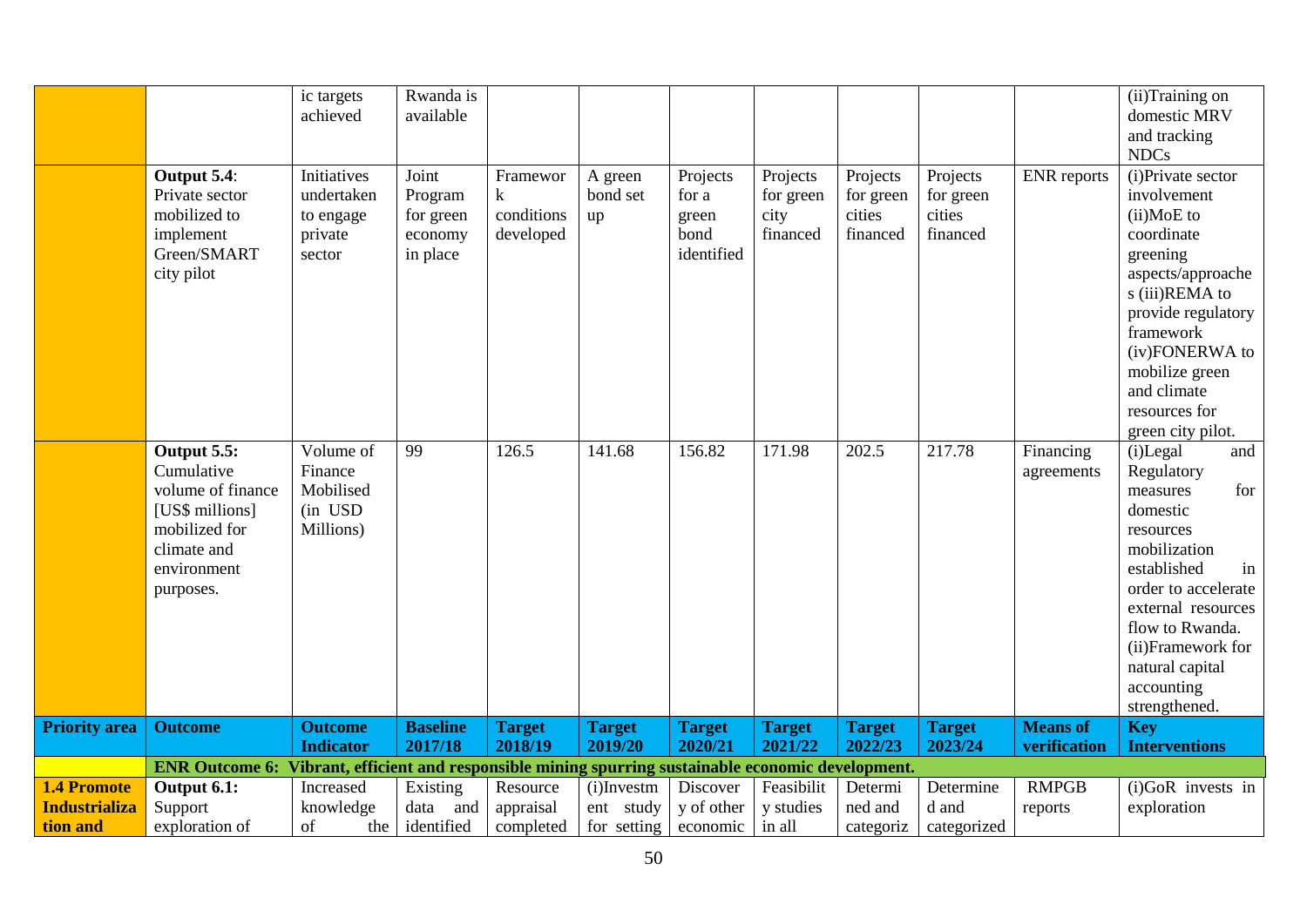|                      | Output 5.4:<br>Private sector<br>mobilized to<br>implement<br>Green/SMART<br>city pilot                                       | ic targets<br>achieved<br>Initiatives<br>undertaken<br>to engage<br>private<br>sector | Rwanda is<br>available<br>Joint<br>Program<br>for green<br>economy<br>in place | Framewor<br>k<br>conditions<br>developed | A green<br>bond set<br>up | Projects<br>for a<br>green<br>bond<br>identified | Projects<br>for green<br>city<br>financed | Projects<br>for green<br>cities<br>financed | Projects<br>for green<br>cities<br>financed | <b>ENR</b> reports              | (ii)Training on<br>domestic MRV<br>and tracking<br><b>NDCs</b><br>(i) Private sector<br>involvement<br>(ii)MoE to<br>coordinate<br>greening<br>aspects/approache<br>s (iii)REMA to<br>provide regulatory<br>framework<br>(iv)FONERWA to<br>mobilize green<br>and climate<br>resources for |
|----------------------|-------------------------------------------------------------------------------------------------------------------------------|---------------------------------------------------------------------------------------|--------------------------------------------------------------------------------|------------------------------------------|---------------------------|--------------------------------------------------|-------------------------------------------|---------------------------------------------|---------------------------------------------|---------------------------------|-------------------------------------------------------------------------------------------------------------------------------------------------------------------------------------------------------------------------------------------------------------------------------------------|
|                      | Output 5.5:<br>Cumulative<br>volume of finance<br>[US\$ millions]<br>mobilized for<br>climate and<br>environment<br>purposes. | Volume of<br>Finance<br>Mobilised<br>(in USD<br>Millions)                             | 99                                                                             | 126.5                                    | 141.68                    | 156.82                                           | 171.98                                    | 202.5                                       | 217.78                                      | Financing<br>agreements         | green city pilot.<br>(i)Legal<br>and<br>Regulatory<br>for<br>measures<br>domestic<br>resources<br>mobilization<br>established<br>in<br>order to accelerate<br>external resources<br>flow to Rwanda.<br>(ii)Framework for<br>natural capital<br>accounting<br>strengthened.                |
| <b>Priority area</b> | <b>Outcome</b>                                                                                                                | <b>Outcome</b><br><b>Indicator</b>                                                    | <b>Baseline</b><br>2017/18                                                     | <b>Target</b><br>2018/19                 | <b>Target</b><br>2019/20  | <b>Target</b><br>2020/21                         | <b>Target</b><br>2021/22                  | <b>Target</b><br>2022/23                    | <b>Target</b><br>2023/24                    | <b>Means of</b><br>verification | <b>Key</b><br><b>Interventions</b>                                                                                                                                                                                                                                                        |
|                      | ENR Outcome 6: Vibrant, efficient and responsible mining spurring sustainable economic development.                           |                                                                                       |                                                                                |                                          |                           |                                                  |                                           |                                             |                                             |                                 |                                                                                                                                                                                                                                                                                           |
| <b>1.4 Promote</b>   | Output 6.1:                                                                                                                   | Increased                                                                             | Existing                                                                       | Resource                                 | $(i)$ Investm             | Discover                                         | Feasibilit                                | Determi                                     | Determine                                   | <b>RMPGB</b>                    | (i)GoR invests in                                                                                                                                                                                                                                                                         |
| <b>Industrializa</b> | Support                                                                                                                       | knowledge                                                                             | and<br>data                                                                    | appraisal                                | ent study                 | y of other                                       | y studies                                 | ned and                                     | d and                                       | reports                         | exploration                                                                                                                                                                                                                                                                               |
| tion and             | exploration of                                                                                                                | of<br>the                                                                             | identified                                                                     | completed                                | for setting               | economic                                         | in all                                    | categoriz                                   | categorized                                 |                                 |                                                                                                                                                                                                                                                                                           |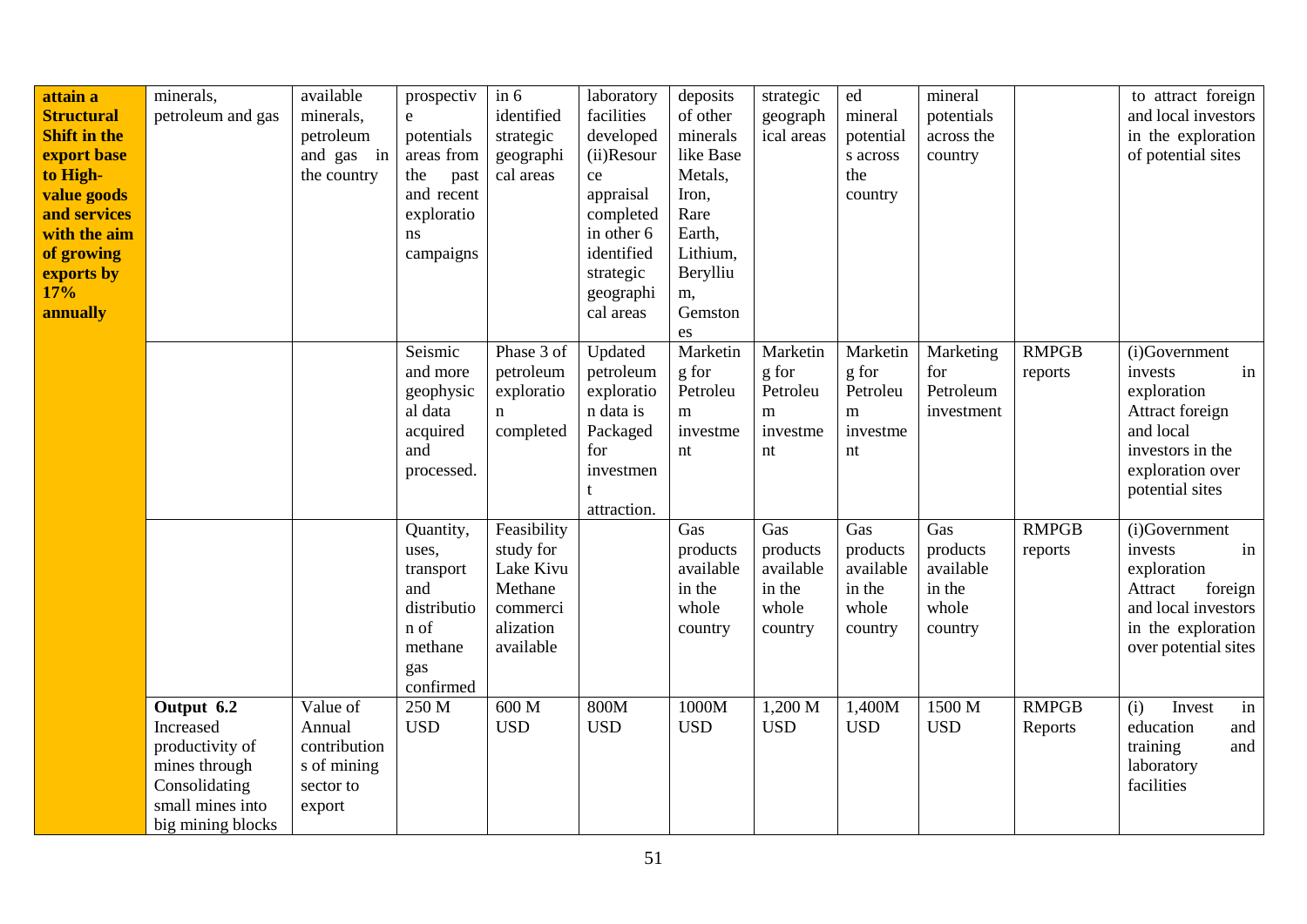| attain a<br><b>Structural</b><br><b>Shift in the</b><br>export base<br>to High-<br>value goods<br>and services<br>with the aim | minerals,<br>petroleum and gas                                                                                        | available<br>minerals,<br>petroleum<br>and gas in<br>the country         | prospectiv<br>$\mathbf{e}$<br>potentials<br>areas from<br>the<br>past<br>and recent<br>exploratio<br>ns | $\sin 6$<br>identified<br>strategic<br>geographi<br>cal areas                          | laboratory<br>facilities<br>developed<br>(ii)Resour<br>ce<br>appraisal<br>completed<br>in other 6 | deposits<br>of other<br>minerals<br>like Base<br>Metals,<br>Iron,<br>Rare<br>Earth, | strategic<br>geograph<br>ical areas                          | ${\rm ed}$<br>mineral<br>potential<br>s across<br>the<br>country | mineral<br>potentials<br>across the<br>country             |                         | to attract foreign<br>and local investors<br>in the exploration<br>of potential sites                                                    |
|--------------------------------------------------------------------------------------------------------------------------------|-----------------------------------------------------------------------------------------------------------------------|--------------------------------------------------------------------------|---------------------------------------------------------------------------------------------------------|----------------------------------------------------------------------------------------|---------------------------------------------------------------------------------------------------|-------------------------------------------------------------------------------------|--------------------------------------------------------------|------------------------------------------------------------------|------------------------------------------------------------|-------------------------|------------------------------------------------------------------------------------------------------------------------------------------|
| of growing<br>exports by<br>17%<br>annually                                                                                    |                                                                                                                       |                                                                          | campaigns                                                                                               |                                                                                        | identified<br>strategic<br>geographi<br>cal areas                                                 | Lithium,<br>Berylliu<br>m,<br>Gemston<br>es                                         |                                                              |                                                                  |                                                            |                         |                                                                                                                                          |
|                                                                                                                                |                                                                                                                       |                                                                          | Seismic<br>and more<br>geophysic<br>al data<br>acquired<br>and<br>processed.                            | Phase 3 of<br>petroleum<br>exploratio<br>$\mathbf n$<br>completed                      | Updated<br>petroleum<br>exploratio<br>n data is<br>Packaged<br>for<br>investmen<br>attraction.    | Marketin<br>g for<br>Petroleu<br>m<br>investme<br>nt                                | Marketin<br>g for<br>Petroleu<br>${\bf m}$<br>investme<br>nt | Marketin<br>g for<br>Petroleu<br>m<br>investme<br>nt             | Marketing<br>for<br>Petroleum<br>investment                | <b>RMPGB</b><br>reports | (i)Government<br>in<br>invests<br>exploration<br>Attract foreign<br>and local<br>investors in the<br>exploration over<br>potential sites |
|                                                                                                                                |                                                                                                                       |                                                                          | Quantity,<br>uses,<br>transport<br>and<br>distributio<br>n of<br>methane<br>gas<br>confirmed            | Feasibility<br>study for<br>Lake Kivu<br>Methane<br>commerci<br>alization<br>available |                                                                                                   | Gas<br>products<br>available<br>in the<br>whole<br>country                          | Gas<br>products<br>available<br>in the<br>whole<br>country   | Gas<br>products<br>available<br>in the<br>whole<br>country       | Gas<br>products<br>available<br>in the<br>whole<br>country | <b>RMPGB</b><br>reports | (i)Government<br>invests<br>in<br>exploration<br>Attract<br>foreign<br>and local investors<br>in the exploration<br>over potential sites |
|                                                                                                                                | Output 6.2<br>Increased<br>productivity of<br>mines through<br>Consolidating<br>small mines into<br>big mining blocks | Value of<br>Annual<br>contribution<br>s of mining<br>sector to<br>export | 250 M<br><b>USD</b>                                                                                     | 600 M<br><b>USD</b>                                                                    | 800M<br><b>USD</b>                                                                                | 1000M<br><b>USD</b>                                                                 | 1,200 M<br><b>USD</b>                                        | 1,400M<br><b>USD</b>                                             | 1500 M<br><b>USD</b>                                       | <b>RMPGB</b><br>Reports | (i)<br>Invest<br>in<br>education<br>and<br>training<br>and<br>laboratory<br>facilities                                                   |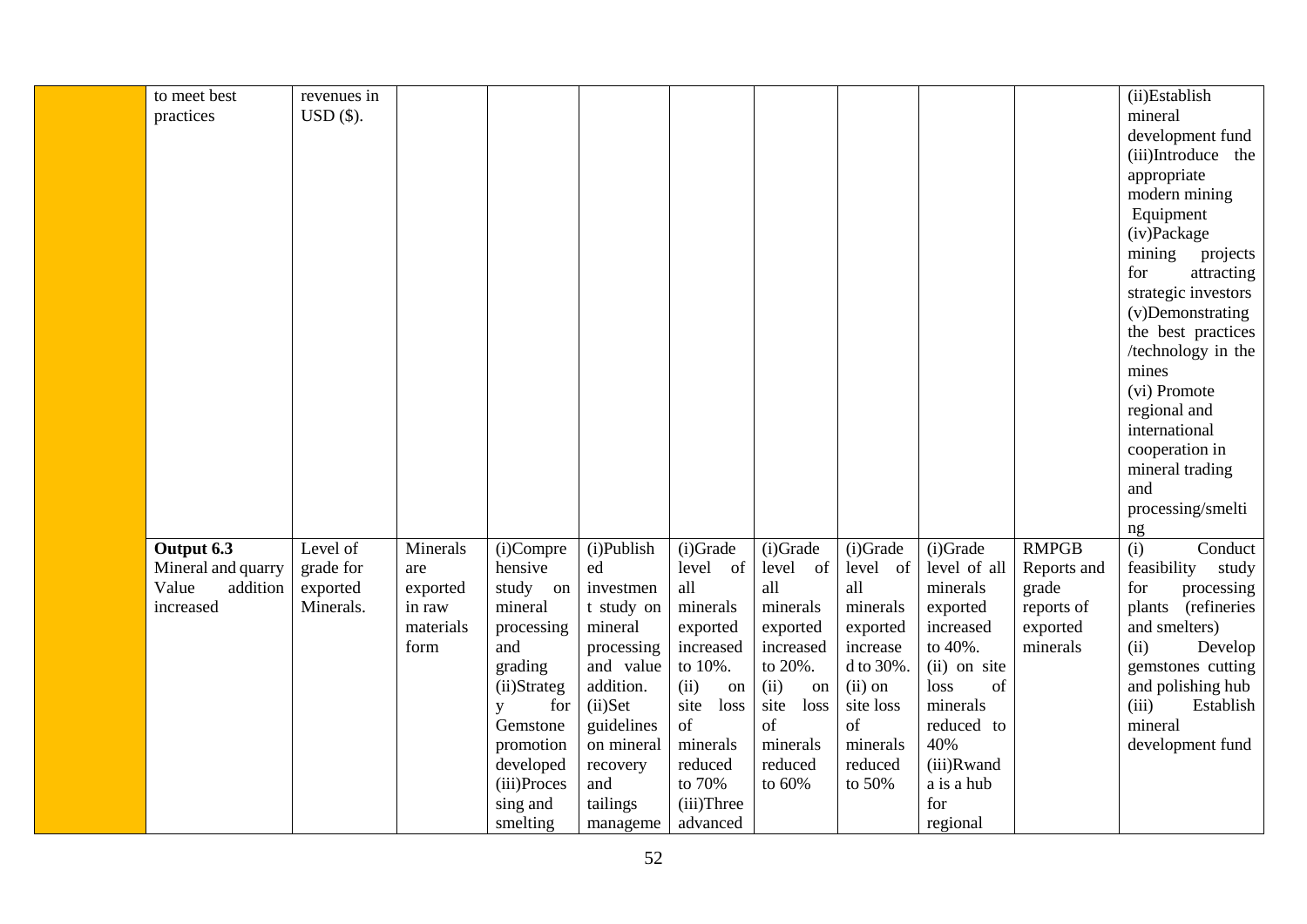| to meet best       | revenues in |           |                    |            |              |              |           |              |              | (ii)Establish                      |
|--------------------|-------------|-----------|--------------------|------------|--------------|--------------|-----------|--------------|--------------|------------------------------------|
| practices          | $USD($ \$). |           |                    |            |              |              |           |              |              | mineral                            |
|                    |             |           |                    |            |              |              |           |              |              | development fund                   |
|                    |             |           |                    |            |              |              |           |              |              | (iii)Introduce the                 |
|                    |             |           |                    |            |              |              |           |              |              | appropriate                        |
|                    |             |           |                    |            |              |              |           |              |              | modern mining                      |
|                    |             |           |                    |            |              |              |           |              |              | Equipment                          |
|                    |             |           |                    |            |              |              |           |              |              | (iv)Package                        |
|                    |             |           |                    |            |              |              |           |              |              | mining                             |
|                    |             |           |                    |            |              |              |           |              |              | projects<br>for                    |
|                    |             |           |                    |            |              |              |           |              |              | attracting                         |
|                    |             |           |                    |            |              |              |           |              |              | strategic investors                |
|                    |             |           |                    |            |              |              |           |              |              | (v)Demonstrating                   |
|                    |             |           |                    |            |              |              |           |              |              | the best practices                 |
|                    |             |           |                    |            |              |              |           |              |              | /technology in the                 |
|                    |             |           |                    |            |              |              |           |              |              | mines<br>(vi) Promote              |
|                    |             |           |                    |            |              |              |           |              |              |                                    |
|                    |             |           |                    |            |              |              |           |              |              | regional and                       |
|                    |             |           |                    |            |              |              |           |              |              | international                      |
|                    |             |           |                    |            |              |              |           |              |              | cooperation in                     |
|                    |             |           |                    |            |              |              |           |              |              | mineral trading                    |
|                    |             |           |                    |            |              |              |           |              |              | and                                |
|                    |             |           |                    |            |              |              |           |              |              | processing/smelti                  |
|                    |             |           |                    |            |              |              |           |              |              | ng                                 |
| Output 6.3         | Level of    | Minerals  | (i)Compre          | (i)Publish | (i)Grade     | (i)Grade     | (i)Grade  | (i)Grade     | <b>RMPGB</b> | $\overline{(\text{i})}$<br>Conduct |
| Mineral and quarry | grade for   | are       | hensive            | ed         | level of     | level of     | level of  | level of all | Reports and  | feasibility<br>study               |
| addition<br>Value  | exported    | exported  | study on           | investmen  | all          | all          | all       | minerals     | grade        | processing<br>for                  |
| increased          | Minerals.   | in raw    | mineral            | t study on | minerals     | minerals     | minerals  | exported     | reports of   | (refineries<br>plants              |
|                    |             | materials | processing         | mineral    | exported     | exported     | exported  | increased    | exported     | and smelters)                      |
|                    |             | form      | and                | processing | increased    | increased    | increase  | to 40%.      | minerals     | (ii)<br>Develop                    |
|                    |             |           | grading            | and value  | to 10%.      | to 20%.      | d to 30%. | (ii) on site |              | gemstones cutting                  |
|                    |             |           | (ii)Strateg        | addition.  | (ii)<br>on   | (ii)<br>on   | $(ii)$ on | loss<br>of   |              | and polishing hub                  |
|                    |             |           | for<br>$\mathbf y$ | $(ii)$ Set | site<br>loss | site<br>loss | site loss | minerals     |              | (iii)<br>Establish                 |
|                    |             |           | Gemstone           | guidelines | of           | of           | of        | reduced to   |              | mineral                            |
|                    |             |           | promotion          | on mineral | minerals     | minerals     | minerals  | 40%          |              | development fund                   |
|                    |             |           | developed          | recovery   | reduced      | reduced      | reduced   | (iii)Rwand   |              |                                    |
|                    |             |           | (iii)Proces        | and        | to 70%       | to 60%       | to 50%    | a is a hub   |              |                                    |
|                    |             |           | sing and           | tailings   | (iii)Three   |              |           | for          |              |                                    |
|                    |             |           | smelting           | manageme   | advanced     |              |           | regional     |              |                                    |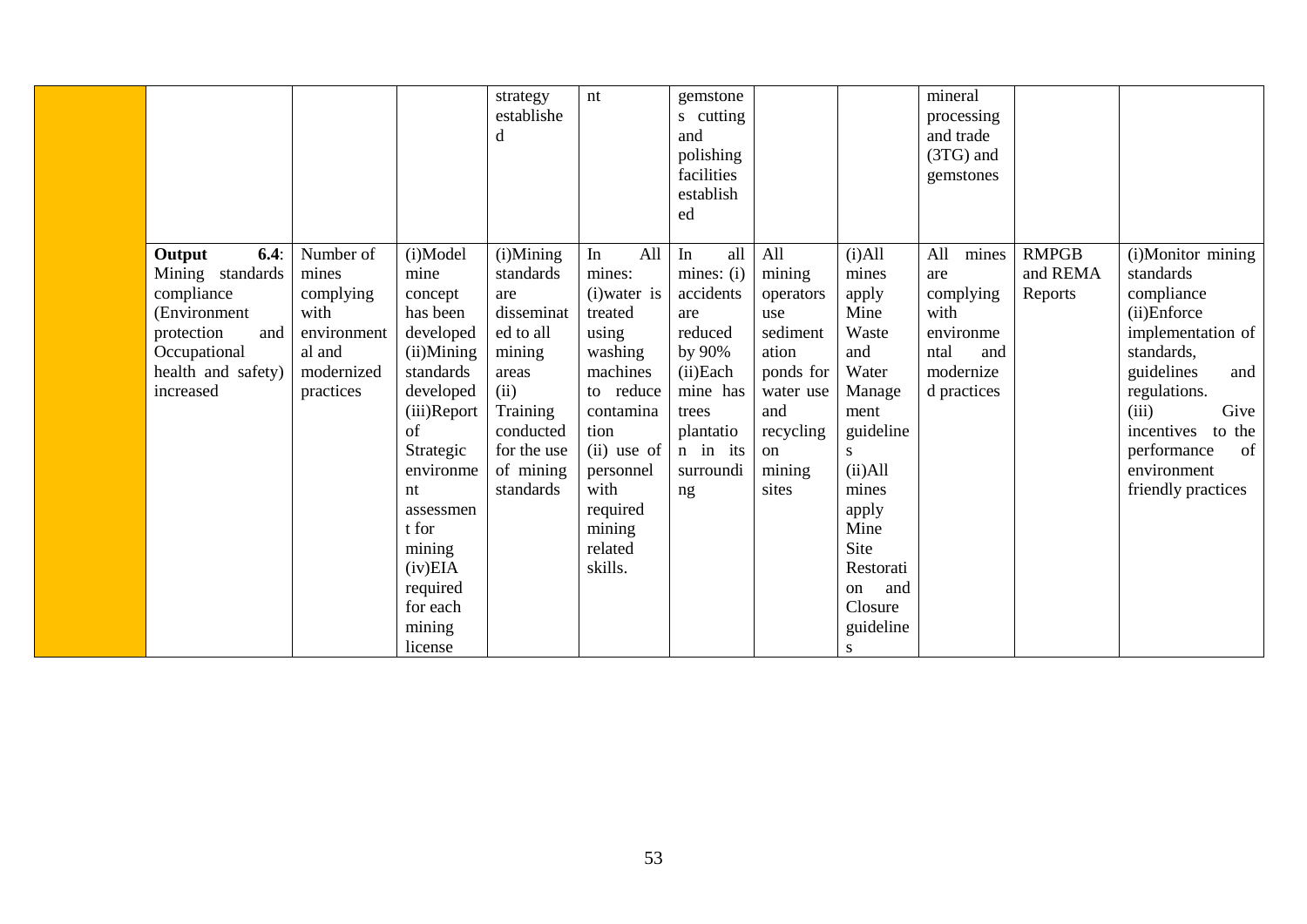|                                                                                                                                          |                                                                                             |                                                                                                                                                                                                                                              | strategy<br>establishe<br>d                                                                                                                           | nt                                                                                                                                                                                               | gemstone<br>s cutting<br>and<br>polishing<br>facilities<br>establish<br>ed                                                                    |                                                                                                                               |                                                                                                                                                                                                   | mineral<br>processing<br>and trade<br>$(3TG)$ and<br>gemstones                                   |                                     |                                                                                                                                                                                                                                        |
|------------------------------------------------------------------------------------------------------------------------------------------|---------------------------------------------------------------------------------------------|----------------------------------------------------------------------------------------------------------------------------------------------------------------------------------------------------------------------------------------------|-------------------------------------------------------------------------------------------------------------------------------------------------------|--------------------------------------------------------------------------------------------------------------------------------------------------------------------------------------------------|-----------------------------------------------------------------------------------------------------------------------------------------------|-------------------------------------------------------------------------------------------------------------------------------|---------------------------------------------------------------------------------------------------------------------------------------------------------------------------------------------------|--------------------------------------------------------------------------------------------------|-------------------------------------|----------------------------------------------------------------------------------------------------------------------------------------------------------------------------------------------------------------------------------------|
| 6.4:<br>Output<br>Mining standards<br>compliance<br>(Environment<br>and<br>protection<br>Occupational<br>health and safety)<br>increased | Number of<br>mines<br>complying<br>with<br>environment<br>al and<br>modernized<br>practices | (i)Model<br>mine<br>concept<br>has been<br>developed<br>$(ii)$ Mining<br>standards<br>developed<br>(iii)Report<br>of<br>Strategic<br>environme<br>nt<br>assessmen<br>t for<br>mining<br>(iv)EIA<br>required<br>for each<br>mining<br>license | (i)Mining<br>standards<br>are<br>disseminat<br>ed to all<br>mining<br>areas<br>(ii)<br>Training<br>conducted<br>for the use<br>of mining<br>standards | All<br>In<br>mines:<br>(i) water is<br>treated<br>using<br>washing<br>machines<br>to reduce<br>contamina<br>tion<br>(ii) use of<br>personnel<br>with<br>required<br>mining<br>related<br>skills. | In<br>all<br>mines: (i)<br>accidents<br>are<br>reduced<br>by 90%<br>(ii)Each<br>mine has<br>trees<br>plantatio<br>n in its<br>surroundi<br>ng | All<br>mining<br>operators<br>use<br>sediment<br>ation<br>ponds for<br>water use<br>and<br>recycling<br>on<br>mining<br>sites | $(i)$ All<br>mines<br>apply<br>Mine<br>Waste<br>and<br>Water<br>Manage<br>ment<br>guideline<br>S.<br>(ii) All<br>mines<br>apply<br>Mine<br>Site<br>Restorati<br>and<br>on<br>Closure<br>guideline | mines<br>All<br>are<br>complying<br>with<br>environme<br>ntal<br>and<br>modernize<br>d practices | <b>RMPGB</b><br>and REMA<br>Reports | (i)Monitor mining<br>standards<br>compliance<br>(ii)Enforce<br>implementation of<br>standards,<br>guidelines<br>and<br>regulations.<br>(iii)<br>Give<br>incentives<br>to the<br>of<br>performance<br>environment<br>friendly practices |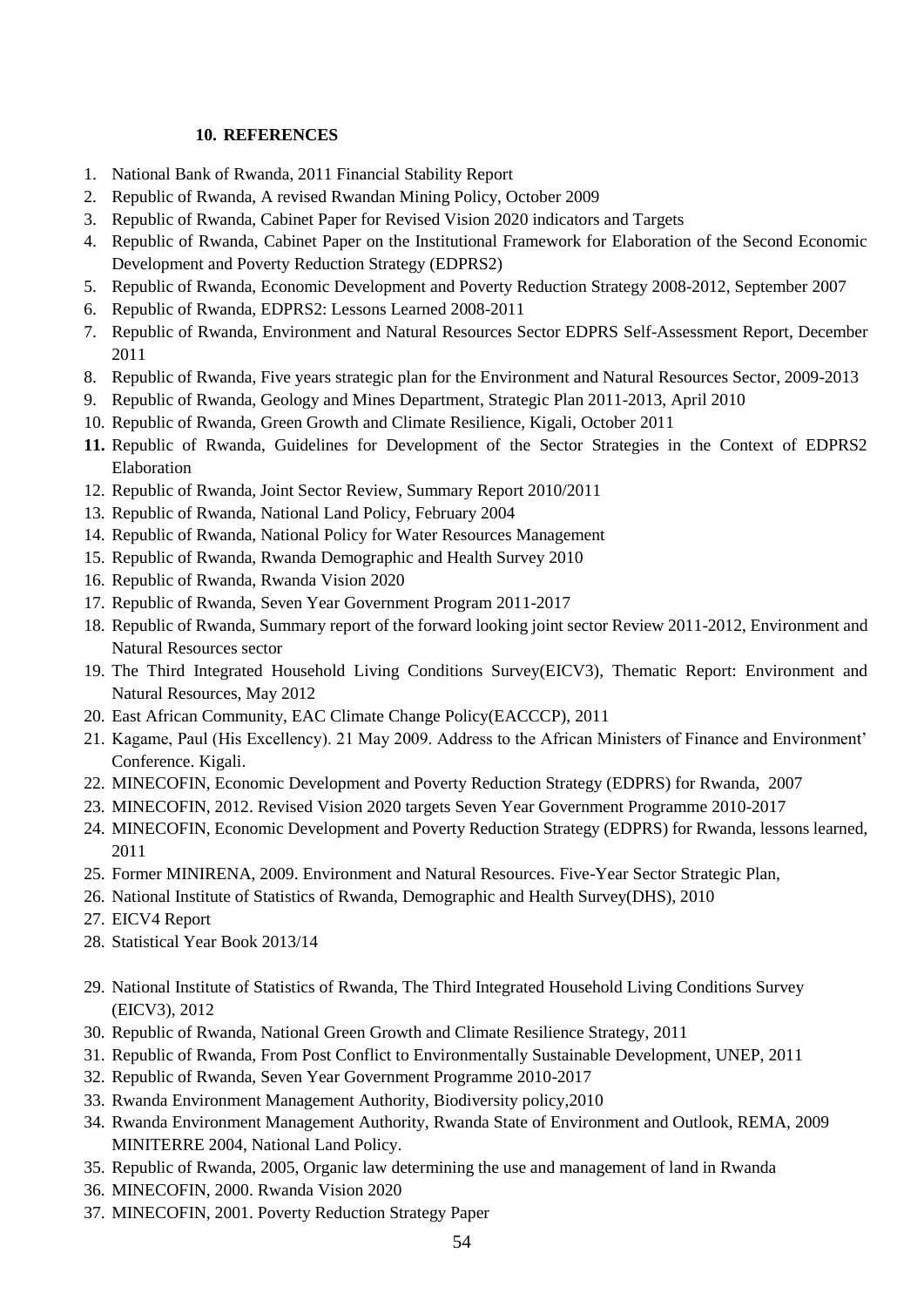#### **10. REFERENCES**

- <span id="page-53-0"></span>1. National Bank of Rwanda, 2011 Financial Stability Report
- 2. Republic of Rwanda, A revised Rwandan Mining Policy, October 2009
- 3. Republic of Rwanda, Cabinet Paper for Revised Vision 2020 indicators and Targets
- 4. Republic of Rwanda, Cabinet Paper on the Institutional Framework for Elaboration of the Second Economic Development and Poverty Reduction Strategy (EDPRS2)
- 5. Republic of Rwanda, Economic Development and Poverty Reduction Strategy 2008-2012, September 2007
- 6. Republic of Rwanda, EDPRS2: Lessons Learned 2008-2011
- 7. Republic of Rwanda, Environment and Natural Resources Sector EDPRS Self-Assessment Report, December 2011
- 8. Republic of Rwanda, Five years strategic plan for the Environment and Natural Resources Sector, 2009-2013
- 9. Republic of Rwanda, Geology and Mines Department, Strategic Plan 2011-2013, April 2010
- 10. Republic of Rwanda, Green Growth and Climate Resilience, Kigali, October 2011
- **11.** Republic of Rwanda, Guidelines for Development of the Sector Strategies in the Context of EDPRS2 Elaboration
- 12. Republic of Rwanda, Joint Sector Review, Summary Report 2010/2011
- 13. Republic of Rwanda, National Land Policy, February 2004
- 14. Republic of Rwanda, National Policy for Water Resources Management
- 15. Republic of Rwanda, Rwanda Demographic and Health Survey 2010
- 16. Republic of Rwanda, Rwanda Vision 2020
- 17. Republic of Rwanda, Seven Year Government Program 2011-2017
- 18. Republic of Rwanda, Summary report of the forward looking joint sector Review 2011-2012, Environment and Natural Resources sector
- 19. The Third Integrated Household Living Conditions Survey(EICV3), Thematic Report: Environment and Natural Resources, May 2012
- 20. East African Community, EAC Climate Change Policy(EACCCP), 2011
- 21. Kagame, Paul (His Excellency). 21 May 2009. Address to the African Ministers of Finance and Environment' Conference. Kigali.
- 22. MINECOFIN, Economic Development and Poverty Reduction Strategy (EDPRS) for Rwanda, 2007
- 23. MINECOFIN, 2012. Revised Vision 2020 targets Seven Year Government Programme 2010-2017
- 24. MINECOFIN, Economic Development and Poverty Reduction Strategy (EDPRS) for Rwanda, lessons learned, 2011
- 25. Former MINIRENA, 2009. Environment and Natural Resources. Five-Year Sector Strategic Plan,
- 26. National Institute of Statistics of Rwanda, Demographic and Health Survey(DHS), 2010
- 27. EICV4 Report
- 28. Statistical Year Book 2013/14
- 29. National Institute of Statistics of Rwanda, The Third Integrated Household Living Conditions Survey (EICV3), 2012
- 30. Republic of Rwanda, National Green Growth and Climate Resilience Strategy, 2011
- 31. Republic of Rwanda, From Post Conflict to Environmentally Sustainable Development, UNEP, 2011
- 32. Republic of Rwanda, Seven Year Government Programme 2010-2017
- 33. Rwanda Environment Management Authority, Biodiversity policy,2010
- 34. Rwanda Environment Management Authority, Rwanda State of Environment and Outlook, REMA, 2009 MINITERRE 2004, National Land Policy.
- 35. Republic of Rwanda, 2005, Organic law determining the use and management of land in Rwanda
- 36. MINECOFIN, 2000. Rwanda Vision 2020
- 37. MINECOFIN, 2001. Poverty Reduction Strategy Paper